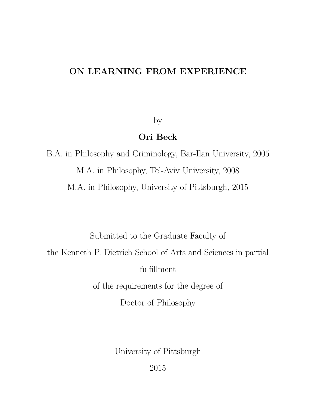# **ON LEARNING FROM EXPERIENCE**

by

# **Ori Beck**

B.A. in Philosophy and Criminology, Bar-Ilan University, 2005 M.A. in Philosophy, Tel-Aviv University, 2008 M.A. in Philosophy, University of Pittsburgh, 2015

Submitted to the Graduate Faculty of the Kenneth P. Dietrich School of Arts and Sciences in partial fulfillment of the requirements for the degree of

Doctor of Philosophy

University of Pittsburgh

2015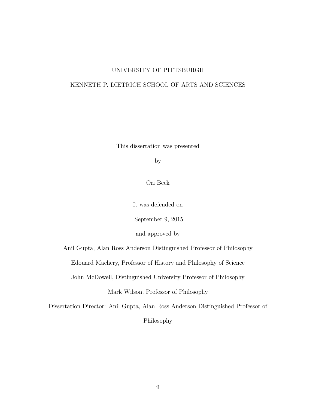### UNIVERSITY OF PITTSBURGH

### KENNETH P. DIETRICH SCHOOL OF ARTS AND SCIENCES

This dissertation was presented

by

Ori Beck

It was defended on

September 9, 2015

and approved by

Anil Gupta, Alan Ross Anderson Distinguished Professor of Philosophy

Edouard Machery, Professor of History and Philosophy of Science

John McDowell, Distinguished University Professor of Philosophy

Mark Wilson, Professor of Philosophy

Dissertation Director: Anil Gupta, Alan Ross Anderson Distinguished Professor of Philosophy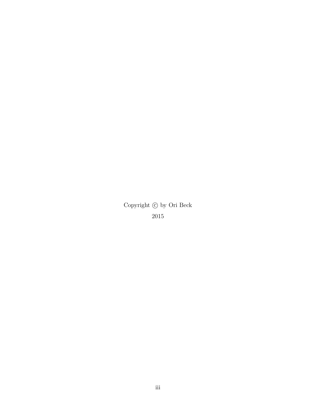Copyright  $\copyright$  by Ori Beck 2015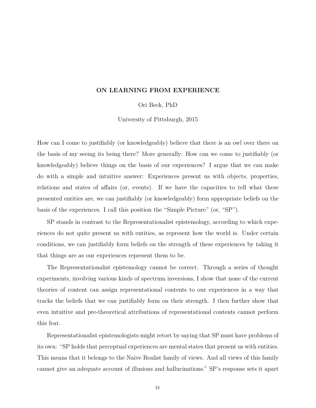#### **ON LEARNING FROM EXPERIENCE**

Ori Beck, PhD

University of Pittsburgh, 2015

How can I come to justifiably (or knowledgeably) believe that there is an owl over there on the basis of my seeing its being there? More generally: How can we come to justifiably (or knowledgeably) believe things on the basis of our experiences? I argue that we can make do with a simple and intuitive answer: Experiences present us with objects, properties, relations and states of affairs (or, events). If we have the capacities to tell what these presented entities are, we can justifiably (or knowledgeably) form appropriate beliefs on the basis of the experiences. I call this position the "Simple Picture" (or, "SP").

SP stands in contrast to the Representationalist epistemology, according to which experiences do not quite present us with entities, as represent how the world is. Under certain conditions, we can justifiably form beliefs on the strength of these experiences by taking it that things are as our experiences represent them to be.

The Representationalist epistemology cannot be correct. Through a series of thought experiments, involving various kinds of spectrum inversions, I show that none of the current theories of content can assign representational contents to our experiences in a way that tracks the beliefs that we can justifiably form on their strength. I then further show that even intuitive and pre-theoretical attributions of representational contents cannot perform this feat.

Representationalist epistemologists might retort by saying that SP must have problems of its own: "SP holds that perceptual experiences are mental states that present us with entities. This means that it belongs to the Naive Realist family of views. And all views of this family cannot give an adequate account of illusions and hallucinations." SP's response sets it apart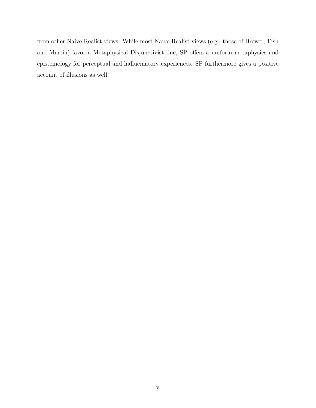from other Naive Realist views. While most Naive Realist views (e.g., those of Brewer, Fish and Martin) favor a Metaphysical Disjunctivist line, SP offers a uniform metaphysics and epistemology for perceptual and hallucinatory experiences. SP furthermore gives a positive account of illusions as well.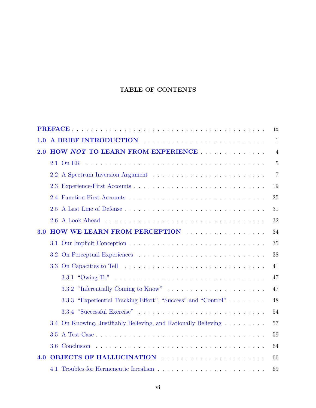## **TABLE OF CONTENTS**

|            |                                                                                                                                                                                                                                               | ix             |  |  |  |  |  |  |  |  |  |
|------------|-----------------------------------------------------------------------------------------------------------------------------------------------------------------------------------------------------------------------------------------------|----------------|--|--|--|--|--|--|--|--|--|
| 1.0        | A BRIEF INTRODUCTION Experience of the set of the set of the set of the set of the set of the set of the set of the set of the set of the set of the set of the set of the set of the set of the set of the set of the set of<br>$\mathbf{1}$ |                |  |  |  |  |  |  |  |  |  |
| 2.0        | HOW NOT TO LEARN FROM EXPERIENCE                                                                                                                                                                                                              | $\overline{4}$ |  |  |  |  |  |  |  |  |  |
|            | 2.1 On ER                                                                                                                                                                                                                                     | $\overline{5}$ |  |  |  |  |  |  |  |  |  |
|            |                                                                                                                                                                                                                                               | 7              |  |  |  |  |  |  |  |  |  |
|            |                                                                                                                                                                                                                                               | 19             |  |  |  |  |  |  |  |  |  |
|            |                                                                                                                                                                                                                                               | 25             |  |  |  |  |  |  |  |  |  |
|            |                                                                                                                                                                                                                                               | 31             |  |  |  |  |  |  |  |  |  |
|            |                                                                                                                                                                                                                                               | 32             |  |  |  |  |  |  |  |  |  |
| <b>3.0</b> | <b>HOW WE LEARN FROM PERCEPTION</b>                                                                                                                                                                                                           | 34             |  |  |  |  |  |  |  |  |  |
|            |                                                                                                                                                                                                                                               | 35             |  |  |  |  |  |  |  |  |  |
|            |                                                                                                                                                                                                                                               | 38             |  |  |  |  |  |  |  |  |  |
|            |                                                                                                                                                                                                                                               | 41             |  |  |  |  |  |  |  |  |  |
|            |                                                                                                                                                                                                                                               | 47             |  |  |  |  |  |  |  |  |  |
|            |                                                                                                                                                                                                                                               | 47             |  |  |  |  |  |  |  |  |  |
|            | 3.3.3 "Experiential Tracking Effort", "Success" and "Control"                                                                                                                                                                                 | 48             |  |  |  |  |  |  |  |  |  |
|            |                                                                                                                                                                                                                                               | 54             |  |  |  |  |  |  |  |  |  |
|            | 3.4 On Knowing, Justifiably Believing, and Rationally Believing                                                                                                                                                                               | 57             |  |  |  |  |  |  |  |  |  |
|            |                                                                                                                                                                                                                                               | 59             |  |  |  |  |  |  |  |  |  |
|            |                                                                                                                                                                                                                                               | 64             |  |  |  |  |  |  |  |  |  |
| 4.0        | OBJECTS OF HALLUCINATION                                                                                                                                                                                                                      | 66             |  |  |  |  |  |  |  |  |  |
|            |                                                                                                                                                                                                                                               | 69             |  |  |  |  |  |  |  |  |  |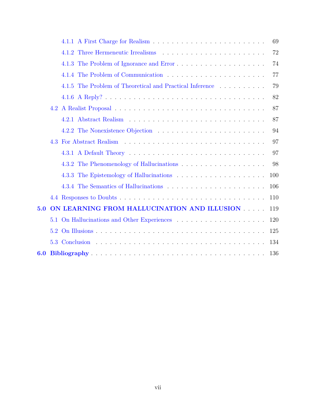|     |                                                             | 69  |
|-----|-------------------------------------------------------------|-----|
|     |                                                             | 72  |
|     |                                                             | 74  |
|     |                                                             | 77  |
|     | The Problem of Theoretical and Practical Inference<br>4.1.5 | 79  |
|     |                                                             | 82  |
|     |                                                             | 87  |
|     |                                                             | 87  |
|     |                                                             | 94  |
|     | 4.3                                                         | 97  |
|     |                                                             | 97  |
|     |                                                             | 98  |
|     |                                                             | 100 |
|     |                                                             | 106 |
|     |                                                             | 110 |
| 5.0 | ON LEARNING FROM HALLUCINATION AND ILLUSION                 | 119 |
|     | 5.1                                                         | 120 |
|     | 5.2                                                         | 125 |
|     | 5.3                                                         | 134 |
| 6.0 |                                                             | 136 |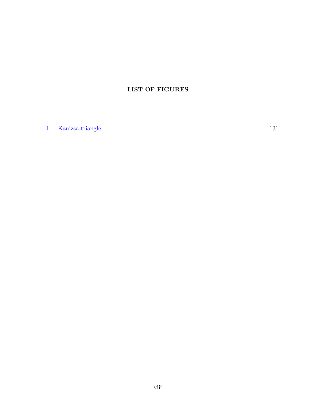## **LIST OF FIGURES**

|--|--|--|--|--|--|--|--|--|--|--|--|--|--|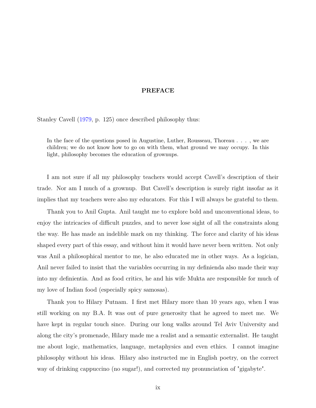#### **PREFACE**

<span id="page-8-0"></span>Stanley Cavell [\(1979,](#page-147-0) p. 125) once described philosophy thus:

In the face of the questions posed in Augustine, Luther, Rousseau, Thoreau . . . , we are children; we do not know how to go on with them, what ground we may occupy. In this light, philosophy becomes the education of grownups.

I am not sure if all my philosophy teachers would accept Cavell's description of their trade. Nor am I much of a grownup. But Cavell's description is surely right insofar as it implies that my teachers were also my educators. For this I will always be grateful to them.

Thank you to Anil Gupta. Anil taught me to explore bold and unconventional ideas, to enjoy the intricacies of difficult puzzles, and to never lose sight of all the constraints along the way. He has made an indelible mark on my thinking. The force and clarity of his ideas shaped every part of this essay, and without him it would have never been written. Not only was Anil a philosophical mentor to me, he also educated me in other ways. As a logician, Anil never failed to insist that the variables occurring in my definienda also made their way into my definientia. And as food critics, he and his wife Mukta are responsible for much of my love of Indian food (especially spicy samosas).

Thank you to Hilary Putnam. I first met Hilary more than 10 years ago, when I was still working on my B.A. It was out of pure generosity that he agreed to meet me. We have kept in regular touch since. During our long walks around Tel Aviv University and along the city's promenade, Hilary made me a realist and a semantic externalist. He taught me about logic, mathematics, language, metaphysics and even ethics. I cannot imagine philosophy without his ideas. Hilary also instructed me in English poetry, on the correct way of drinking cappuccino (no sugar!), and corrected my pronunciation of "gigabyte".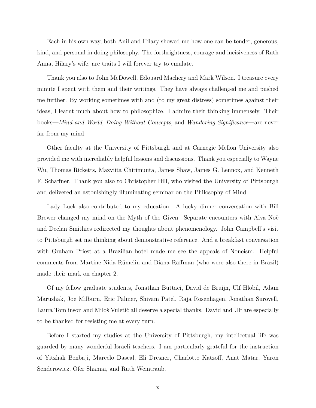Each in his own way, both Anil and Hilary showed me how one can be tender, generous, kind, and personal in doing philosophy. The forthrightness, courage and incisiveness of Ruth Anna, Hilary's wife, are traits I will forever try to emulate.

Thank you also to John McDowell, Edouard Machery and Mark Wilson. I treasure every minute I spent with them and their writings. They have always challenged me and pushed me further. By working sometimes with and (to my great distress) sometimes against their ideas, I learnt much about how to philosophize. I admire their thinking immensely. Their books—*Mind and World*, *Doing Without Concepts*, and *Wandering Significance*—are never far from my mind.

Other faculty at the University of Pittsburgh and at Carnegie Mellon University also provided me with incrediably helpful lessons and discussions. Thank you especially to Wayne Wu, Thomas Ricketts, Mazviita Chirimuuta, James Shaw, James G. Lennox, and Kenneth F. Schaffner. Thank you also to Christopher Hill, who visited the University of Pittsburgh and delivered an astonishingly illuminating seminar on the Philosophy of Mind.

Lady Luck also contributed to my education. A lucky dinner conversation with Bill Brewer changed my mind on the Myth of the Given. Separate encounters with Alva Noë and Declan Smithies redirected my thoughts about phenomenology. John Campbell's visit to Pittsburgh set me thinking about demonstrative reference. And a breakfast conversation with Graham Priest at a Brazilian hotel made me see the appeals of Noneism. Helpful comments from Martine Nida-Rümelin and Diana Raffman (who were also there in Brazil) made their mark on chapter 2.

Of my fellow graduate students, Jonathan Buttaci, David de Bruijn, Ulf Hlobil, Adam Marushak, Joe Milburn, Eric Palmer, Shivam Patel, Raja Rosenhagen, Jonathan Surovell, Laura Tomlinson and Miloš Vuletić all deserve a special thanks. David and Ulf are especially to be thanked for resisting me at every turn.

Before I started my studies at the University of Pittsburgh, my intellectual life was guarded by many wonderful Israeli teachers. I am particularly grateful for the instruction of Yitzhak Benbaji, Marcelo Dascal, Eli Dresner, Charlotte Katzoff, Anat Matar, Yaron Senderowicz, Ofer Shamai, and Ruth Weintraub.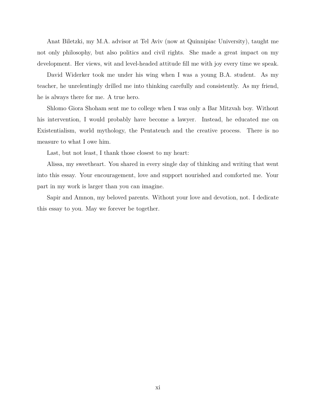Anat Biletzki, my M.A. advisor at Tel Aviv (now at Quinnipiac University), taught me not only philosophy, but also politics and civil rights. She made a great impact on my development. Her views, wit and level-headed attitude fill me with joy every time we speak.

David Widerker took me under his wing when I was a young B.A. student. As my teacher, he unrelentingly drilled me into thinking carefully and consistently. As my friend, he is always there for me. A true hero.

Shlomo Giora Shoham sent me to college when I was only a Bar Mitzvah boy. Without his intervention, I would probably have become a lawyer. Instead, he educated me on Existentialism, world mythology, the Pentateuch and the creative process. There is no measure to what I owe him.

Last, but not least, I thank those closest to my heart:

Alissa, my sweetheart. You shared in every single day of thinking and writing that went into this essay. Your encouragement, love and support nourished and comforted me. Your part in my work is larger than you can imagine.

Sapir and Amnon, my beloved parents. Without your love and devotion, not. I dedicate this essay to you. May we forever be together.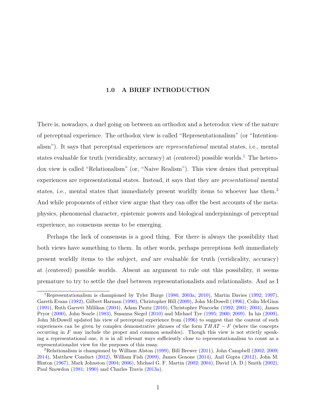#### **1.0 A BRIEF INTRODUCTION**

<span id="page-11-0"></span>There is, nowadays, a duel going on between an orthodox and a heterodox view of the nature of perceptual experience. The orthodox view is called "Representationalism" (or "Intentionalism"). It says that perceptual experiences are *representational* mental states, i.e., mental states evaluable for truth (veridicality, accuracy) at (centered) possible worlds.<sup>[1](#page-11-1)</sup> The heterodox view is called "Relationalism" (or, "Naive Realism"). This view denies that perceptual experiences are representational states. Instead, it says that they are *presentational* mental states, i.e., mental states that immediately present worldly items to whoever has them.<sup>[2](#page-11-2)</sup> And while proponents of either view argue that they can offer the best accounts of the metaphysics, phenomenal character, epistemic powers and biological underpinnings of perceptual experience, no consensus seems to be emerging.

Perhaps the lack of consensus is a good thing. For there is always the possibility that both views have something to them. In other words, perhaps perceptions *both* immediately present worldly items to the subject, *and* are evaluable for truth (veridicality, accuracy) at (centered) possible worlds. Absent an argument to rule out this possibility, it seems premature to try to settle the duel between representationalists and relationalists. And as I

<span id="page-11-1"></span><sup>1</sup>Representationalism is championed by Tyler Burge [\(1986;](#page-147-1) [2003a;](#page-147-2) [2010\)](#page-147-3), Martin Davies [\(1992;](#page-148-0) [1997\)](#page-148-1), Gareth Evans [\(1982\)](#page-148-2), Gilbert Harman [\(1990\)](#page-149-0), Christopher Hill [\(2009\)](#page-149-1), John McDowell [\(1996\)](#page-150-0), Colin McGinn [\(1991\)](#page-151-0), Ruth Garrett Millikan [\(2004\)](#page-151-1), Adam Pautz [\(2010\)](#page-151-2), Christopher Peacocke [\(1992;](#page-151-3) [2001;](#page-151-4) [2004\)](#page-151-5), James Pryor [\(2000\)](#page-152-0), John Searle [\(1983\)](#page-152-1), Susanna Siegel [\(2010\)](#page-153-0) and Michael Tye [\(1995;](#page-153-1) [2000;](#page-153-2) [2009\)](#page-153-3). In his [\(2009\)](#page-150-1), John McDowell updated his view of perceptual experience from [\(1996\)](#page-150-0) to suggest that the content of such experiences can be given by complex demonstrative phrases of the form *T HAT* − *F* (where the concepts occurring in *F* may include the proper and common sensibles). Though this view is not strictly speaking a representational one, it is in all relevant ways sufficiently close to representationalism to count as a representationalist view for the purposes of this essay.

<span id="page-11-2"></span><sup>&</sup>lt;sup>2</sup>Relationalism is championed by William Alston  $(1999)$ , Bill Brewer  $(2011)$ , John Campbell  $(2002; 2009;$  $(2002; 2009;$  $(2002; 2009;$ [2014\)](#page-147-6), Matthew Conduct [\(2012\)](#page-148-3), William Fish [\(2009\)](#page-148-4), James Genone [\(2014\)](#page-149-2), Anil Gupta [\(2012\)](#page-149-3), John M. Hinton [\(1967\)](#page-149-4), Mark Johnston [\(2004;](#page-149-5) [2006\)](#page-150-2), Michael G. F. Martin [\(2002;](#page-150-3) [2004\)](#page-150-4), David (A. D.) Smith [\(2002\)](#page-153-4), Paul Snowdon [\(1981;](#page-153-5) [1990\)](#page-153-6) and Charles Travis [\(2013a\)](#page-153-7).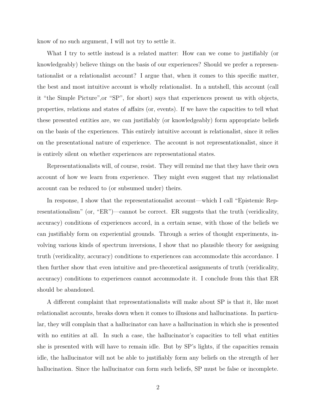know of no such argument, I will not try to settle it.

What I try to settle instead is a related matter: How can we come to justifiably (or knowledgeably) believe things on the basis of our experiences? Should we prefer a representationalist or a relationalist account? I argue that, when it comes to this specific matter, the best and most intuitive account is wholly relationalist. In a nutshell, this account (call it "the Simple Picture",or "SP", for short) says that experiences present us with objects, properties, relations and states of affairs (or, events). If we have the capacities to tell what these presented entities are, we can justifiably (or knowledgeably) form appropriate beliefs on the basis of the experiences. This entirely intuitive account is relationalist, since it relies on the presentational nature of experience. The account is not representationalist, since it is entirely silent on whether experiences are representational states.

Representationalists will, of course, resist. They will remind me that they have their own account of how we learn from experience. They might even suggest that my relationalist account can be reduced to (or subsumed under) theirs.

In response, I show that the representationalist account—which I call "Epistemic Representationalism" (or, "ER")—cannot be correct. ER suggests that the truth (veridicality, accuracy) conditions of experiences accord, in a certain sense, with those of the beliefs we can justifiably form on experiential grounds. Through a series of thought experiments, involving various kinds of spectrum inversions, I show that no plausible theory for assigning truth (veridicality, accuracy) conditions to experiences can accommodate this accordance. I then further show that even intuitive and pre-theoretical assignments of truth (veridicality, accuracy) conditions to experiences cannot accommodate it. I conclude from this that ER should be abandoned.

A different complaint that representationalists will make about SP is that it, like most relationalist accounts, breaks down when it comes to illusions and hallucinations. In particular, they will complain that a hallucinator can have a hallucination in which she is presented with no entities at all. In such a case, the hallucinator's capacities to tell what entities she is presented with will have to remain idle. But by SP's lights, if the capacities remain idle, the hallucinator will not be able to justifiably form any beliefs on the strength of her hallucination. Since the hallucinator can form such beliefs, SP must be false or incomplete.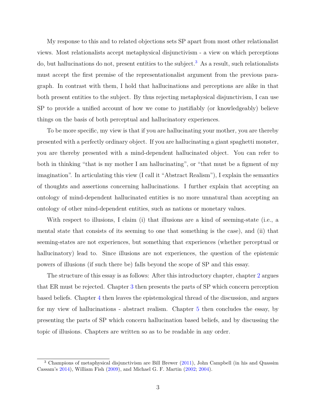My response to this and to related objections sets SP apart from most other relationalist views. Most relationalists accept metaphysical disjunctivism - a view on which perceptions do, but hallucinations do not, present entities to the subject.<sup>[3](#page-13-0)</sup> As a result, such relationalists must accept the first premise of the representationalist argument from the previous paragraph. In contrast with them, I hold that hallucinations and perceptions are alike in that both present entities to the subject. By thus rejecting metaphysical disjunctivism, I can use SP to provide a unified account of how we come to justifiably (or knowledgeably) believe things on the basis of both perceptual and hallucinatory experiences.

To be more specific, my view is that if you are hallucinating your mother, you are thereby presented with a perfectly ordinary object. If you are hallucinating a giant spaghetti monster, you are thereby presented with a mind-dependent hallucinated object. You can refer to both in thinking "that is my mother I am hallucinating", or "that must be a figment of my imagination". In articulating this view (I call it "Abstract Realism"), I explain the semantics of thoughts and assertions concerning hallucinations. I further explain that accepting an ontology of mind-dependent hallucinated entities is no more unnatural than accepting an ontology of other mind-dependent entities, such as nations or monetary values.

With respect to illusions, I claim (i) that illusions are a kind of seeming-state (i.e., a mental state that consists of its seeming to one that something is the case), and (ii) that seeming-states are not experiences, but something that experiences (whether perceptual or hallucinatory) lead to. Since illusions are not experiences, the question of the epistemic powers of illusions (if such there be) falls beyond the scope of SP and this essay.

The structure of this essay is as follows: After this introductory chapter, chapter [2](#page-14-0) argues that ER must be rejected. Chapter [3](#page-44-0) then presents the parts of SP which concern perception based beliefs. Chapter [4](#page-76-0) then leaves the epistemological thread of the discussion, and argues for my view of hallucinations - abstract realism. Chapter [5](#page-129-0) then concludes the essay, by presenting the parts of SP which concern hallucination based beliefs, and by discussing the topic of illusions. Chapters are written so as to be readable in any order.

<span id="page-13-0"></span><sup>&</sup>lt;sup>3</sup> Champions of metaphysical disjunctivism are Bill Brewer [\(2011\)](#page-146-2), John Campbell (in his and Quassim Cassam's [2014\)](#page-147-6), William Fish [\(2009\)](#page-148-4), and Michael G. F. Martin [\(2002;](#page-150-3) [2004\)](#page-150-4).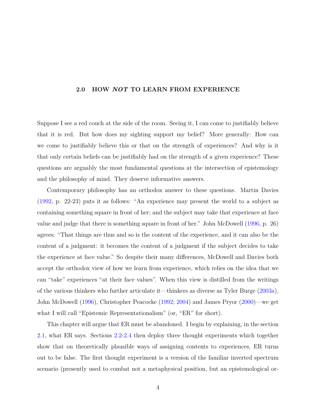#### <span id="page-14-0"></span>**2.0 HOW** *NOT* **TO LEARN FROM EXPERIENCE**

Suppose I see a red couch at the side of the room. Seeing it, I can come to justifiably believe that it is red. But how does my sighting support my belief? More generally: How can we come to justifiably believe this or that on the strength of experiences? And why is it that only certain beliefs can be justifiably had on the strength of a given experience? These questions are arguably the most fundamental questions at the intersection of epistemology and the philosophy of mind. They deserve informative answers.

Contemporary philosophy has an orthodox answer to these questions. Martin Davies [\(1992,](#page-148-0) p. 22-23) puts it as follows: "An experience may present the world to a subject as containing something square in front of her; and the subject may take that experience at face value and judge that there is something square in front of her." John McDowell [\(1996,](#page-150-0) p. 26) agrees: "That things are thus and so is the content of the experience, and it can also be the content of a judgment: it becomes the content of a judgment if the subject decides to take the experience at face value." So despite their many differences, McDowell and Davies both accept the orthodox view of how we learn from experience, which relies on the idea that we can "take" experiences "at their face values". When this view is distilled from the writings of the various thinkers who further articulate it—thinkers as diverse as Tyler Burge [\(2003a\)](#page-147-2), John McDowell [\(1996\)](#page-150-0), Christopher Peacocke [\(1992;](#page-151-3) [2004\)](#page-151-5) and James Pryor [\(2000\)](#page-152-0)—we get what I will call "Epistemic Representationalism" (or, "ER" for short).

This chapter will argue that ER must be abandoned. I begin by explaining, in the section [2.1,](#page-15-0) what ER says. Sections [2.2](#page-17-0)[-2.4](#page-35-0) then deploy three thought experiments which together show that on theoretically plausible ways of assigning contents to experiences, ER turns out to be false. The first thought experiment is a version of the familiar inverted spectrum scenario (presently used to combat not a metaphysical position, but an epistemological or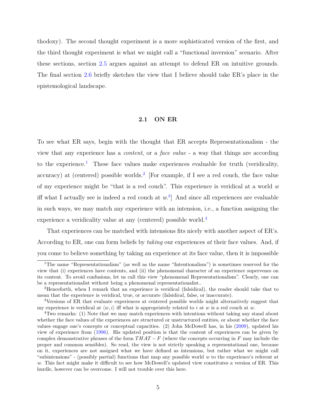thodoxy). The second thought experiment is a more sophisticated version of the first, and the third thought experiment is what we might call a "functional inversion" scenario. After these sections, section [2.5](#page-41-0) argues against an attempt to defend ER on intuitive grounds. The final section [2.6](#page-42-0) briefly sketches the view that I believe should take ER's place in the epistemological landscape.

#### **2.1 ON ER**

<span id="page-15-0"></span>To see what ER says, begin with the thought that ER accepts Representationalism - the view that any experience has a *content*, or a *face value* - a way that things are according to the experience.<sup>[1](#page-15-1)</sup> These face values make experiences evaluable for truth (veridicality, accuracy) at (centered) possible worlds.<sup>[2](#page-15-2)</sup> [For example, if I see a red couch, the face value of my experience might be "that is a red couch". This experience is veridical at a world *w* iff what I actually see is indeed a red couch at *w*. [3](#page-15-3) ] And since all experiences are evaluable in such ways, we may match any experience with an intension, i.e., a function assigning the experience a veridicality value at any (centered) possible world.<sup>[4](#page-15-4)</sup>

That experiences can be matched with intensions fits nicely with another aspect of ER's. According to ER, one can form beliefs by *taking* our experiences *at* their face values. And, if you come to believe something by taking an experience at its face value, then it is impossible

<span id="page-15-1"></span><sup>&</sup>lt;sup>1</sup>The name "Representationalism" (as well as the name "Intentionalism") is sometimes reserved for the view that (i) experiences have contents, and (ii) the phenomenal character of an experience supervenes on its content. To avoid confusions, let us call this view "phenomenal Representationalism". Clearly, one can be a representationalist without being a phenomenal representationalist..

<span id="page-15-2"></span><sup>2</sup>Henceforth, when I remark that an experience is veridical (falsidical), the reader should take that to mean that the experience is veridical, true, or accurate (falsidical, false, or inaccurate).

<span id="page-15-3"></span><sup>3</sup>Versions of ER that evaluate experiences at centered possible worlds might alternatively suggest that my experience is veridical at  $\langle w, i \rangle$  iff what is appropriately related to *i* at *w* is a red couch at *w*.

<span id="page-15-4"></span><sup>&</sup>lt;sup>4</sup>Two remarks: (1) Note that we may match experiences with intentions without taking any stand about whether the face values of the experiences are structured or unstructured entities, or about whether the face values engage one's concepts or conceptual capacities. (2) John McDowell has, in his [\(2009\)](#page-150-1), updated his view of experience from [\(1996\)](#page-150-0). His updated position is that the content of experiences can be given by complex demonstrative phrases of the form  $THAT - F$  (where the concepts occurring in F may include the proper and common sensibles). So read, the view is not strictly speaking a representational one, because on it, experiences are not assigned what we have defined as intensions, but rather what we might call "subintensions" - (possibly partial) functions that map any possible world *w* to the experience's referent at *w*. This fact might make it difficult to see how McDowell's updated view constitutes a version of ER. This hurdle, however can be overcome. I will not trouble over this here.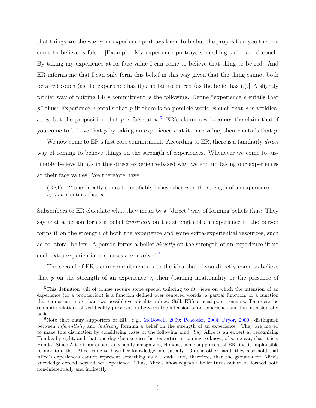that things are the way your experience portrays them to be but the proposition you thereby come to believe is false. [Example: My experience portrays something to be a red couch. By taking my experience at its face value I can come to believe that thing to be red. And ER informs me that I can only form this belief in this way given that the thing cannot both be a red couch (as the experience has it) and fail to be red (as the belief has it).] A slightly pithier way of putting ER's commitment is the following. Define "experience *e* entails that *p*" thus: Experience *e* entails that *p* iff there is no possible world *w* such that *e* is veridical at *w*, but the proposition that *p* is false at  $w$ <sup>[5](#page-16-0)</sup> ER's claim now becomes the claim that if you come to believe that *p* by taking an experience *e* at its face value, then *e* entails that *p*.

We now come to ER's first core commitment. According to ER, there is a familiarly *direct* way of coming to believe things on the strength of experiences. Whenever we come to justifiably believe things in this direct experience-based way, we end up taking our experiences at their face values. We therefore have:

 $(ER1)$  *If* one directly comes to justifiably believe that p on the strength of an experience *e*, *then e* entails that *p*.

Subscribers to ER elucidate what they mean by a "direct" way of forming beliefs thus: They say that a person forms a belief *indirectly* on the strength of an experience iff the person forms it on the strength of both the experience and some extra-experiential resources, such as collateral beliefs. A person forms a belief *directly* on the strength of an experience iff no such extra-experiential resources are involved.<sup>[6](#page-16-1)</sup>

The second of ER's core commitments is to the idea that if you directly come to believe that *p* on the strength of an experience *e*, then (barring irrationality or the presence of

<span id="page-16-0"></span><sup>5</sup>This definition will of course require some special tailoring to fit views on which the intension of an experience (or a proposition) is a function defined over centered worlds, a partial function, or a function that can assign more than two possible veridicality values. Still, ER's crucial point remains: There can be semantic relations of veridicality preservation between the intension of an experience and the intension of a belief.

<span id="page-16-1"></span><sup>&</sup>lt;sup>6</sup>Note that many supporters of ER—e.g., [McDowell,](#page-150-1) [2009;](#page-150-1) [Peacocke,](#page-151-5) [2004;](#page-151-5) [Pryor,](#page-152-0) [2000—](#page-152-0)distinguish between *inferentially* and *indirectly* forming a belief on the strength of an experience. They are moved to make this distinction by considering cases of the following kind: Say Alice is an expert at recognizing Hondas by sight, and that one day she exercises her expertise in coming to know, of some car, that it is a Honda. Since Alice is an expert at visually recognizing Hondas, some supporters of ER find it implausible to maintain that Alice came to have her knowledge inferentially. On the other hand, they also hold that Alice's experiences cannot represent something as a Honda and, therefore, that the grounds for Alice's knowledge extend beyond her experience. Thus, Alice's knowledgeable belief turns out to be formed both non-inferentially and indirectly.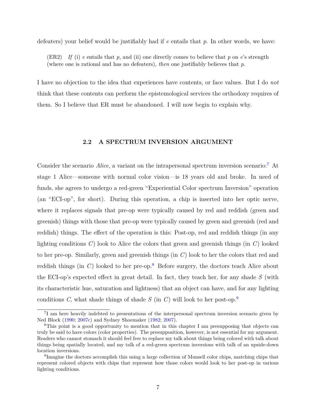defeaters) your belief would be justifiably had if *e* entails that *p*. In other words, we have:

(ER2) If (i) *e* entails that  $p$ , and (ii) one directly comes to believe that  $p$  on  $e$ 's strength (where one is rational and has no defeaters), *then* one justifiably believes that *p*.

I have no objection to the idea that experiences have contents, or face values. But I do *not* think that these contents can perform the epistemological services the orthodoxy requires of them. So I believe that ER must be abandoned. I will now begin to explain why.

#### **2.2 A SPECTRUM INVERSION ARGUMENT**

<span id="page-17-0"></span>Consider the scenario *Alice*, a variant on the intrapersonal spectrum inversion scenario:<sup>[7](#page-17-1)</sup> At stage 1 Alice—someone with normal color vision—is 18 years old and broke. In need of funds, she agrees to undergo a red-green "Experiential Color spectrum Inversion" operation (an "ECI-op", for short). During this operation, a chip is inserted into her optic nerve, where it replaces signals that pre-op were typically caused by red and reddish (green and greenish) things with those that pre-op were typically caused by green and greenish (red and reddish) things. The effect of the operation is this: Post-op, red and reddish things (in any lighting conditions *C*) look to Alice the colors that green and greenish things (in *C*) looked to her pre-op. Similarly, green and greenish things (in *C*) look to her the colors that red and reddish things (in  $C$ ) looked to her pre-op.<sup>[8](#page-17-2)</sup> Before surgery, the doctors teach Alice about the ECI-op's expected effect in great detail. In fact, they teach her, for any shade *S* (with its characteristic hue, saturation and lightness) that an object can have, and for any lighting conditions *C*, what shade things of shade *S* (in *C*) will look to her post-op.[9](#page-17-3)

<span id="page-17-1"></span><sup>7</sup> I am here heavily indebted to presentations of the interpersonal spectrum inversion scenario given by Ned Block [\(1990;](#page-146-3) [2007c\)](#page-146-4) and Sydney Shoemaker [\(1982;](#page-152-2) [2007\)](#page-152-3).

<span id="page-17-2"></span><sup>8</sup>This point is a good opportunity to mention that in this chapter I am presupposing that objects can truly be said to have colors (color properties). The presupposition, however, is not essential for my argument. Readers who cannot stomach it should feel free to replace my talk about things being colored with talk about things being spatially located, and my talk of a red-green spectrum inversions with talk of an upside-down location inversions.

<span id="page-17-3"></span><sup>&</sup>lt;sup>9</sup>Imagine the doctors accomplish this using a large collection of Munsell color chips, matching chips that represent colored objects with chips that represent how those colors would look to her post-op in various lighting conditions.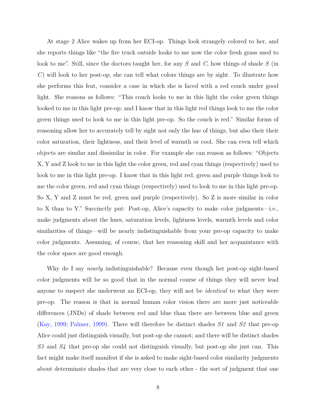At stage 2 Alice wakes up from her ECI-op. Things look strangely colored to her, and she reports things like "the fire truck outside looks to me now the color fresh grass used to look to me". Still, since the doctors taught her, for any *S* and *C*, how things of shade *S* (in *C*) will look to her post-op, she can tell what colors things are by sight. To illustrate how she performs this feat, consider a case in which she is faced with a red couch under good light. She reasons as follows: "This couch looks to me in this light the color green things looked to me in this light pre-op; and I know that in this light red things look to me the color green things used to look to me in this light pre-op. So the couch is red." Similar forms of reasoning allow her to accurately tell by sight not only the hue of things, but also their their color saturation, their lightness, and their level of warmth or cool. She can even tell which objects are similar and dissimilar in color. For example she can reason as follows: "Objects X, Y and Z look to me in this light the color green, red and cyan things (respectively) used to look to me in this light pre-op. I know that in this light red, green and purple things look to me the color green, red and cyan things (respectively) used to look to me in this light pre-op. So X, Y and Z must be red, green and purple (respectively). So Z is more similar in color to X than to Y." Succinctly put: Post-op, Alice's capacity to make color judgments—i.e., make judgments about the hues, saturation levels, lightness levels, warmth levels and color similarities of things—will be nearly indistinguishable from your pre-op capacity to make color judgments. Assuming, of course, that her reasoning skill and her acquaintance with the color space are good enough.

Why do I say *nearly* indistinguishable? Because even though her post-op sight-based color judgments will be so good that in the normal course of things they will never lead anyone to suspect she underwent an ECI-op, they will not be *identical* to what they were pre-op. The reason is that in normal human color vision there are more just noticeable differences (JNDs) of shade between red and blue than there are between blue and green [\(Kay,](#page-150-5) [1999;](#page-150-5) [Palmer,](#page-151-6) [1999\)](#page-151-6). There will therefore be distinct shades *S1* and *S2* that pre-op Alice could just distinguish visually, but post-op she cannot; and there will be distinct shades *S3* and *S4* that pre-op she could not distinguish visually, but post-op she just can. This fact might make itself manifest if she is asked to make sight-based color similarity judgments about determinate shades that are very close to each other - the sort of judgment that one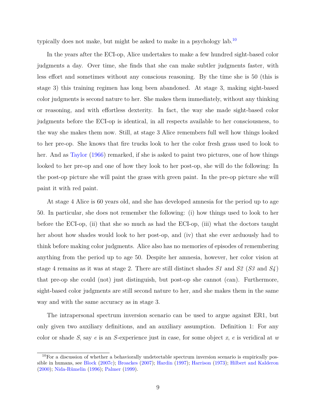typically does not make, but might be asked to make in a psychology lab.<sup>[10](#page-19-0)</sup>

In the years after the ECI-op, Alice undertakes to make a few hundred sight-based color judgments a day. Over time, she finds that she can make subtler judgments faster, with less effort and sometimes without any conscious reasoning. By the time she is 50 (this is stage 3) this training regimen has long been abandoned. At stage 3, making sight-based color judgments is second nature to her. She makes them immediately, without any thinking or reasoning, and with effortless dexterity. In fact, the way she made sight-based color judgments before the ECI-op is identical, in all respects available to her consciousness, to the way she makes them now. Still, at stage 3 Alice remembers full well how things looked to her pre-op. She knows that fire trucks look to her the color fresh grass used to look to her. And as [Taylor](#page-153-8) [\(1966\)](#page-153-8) remarked, if she is asked to paint two pictures, one of how things looked to her pre-op and one of how they look to her post-op, she will do the following: In the post-op picture she will paint the grass with green paint. In the pre-op picture she will paint it with red paint.

At stage 4 Alice is 60 years old, and she has developed amnesia for the period up to age 50. In particular, she does not remember the following: (i) how things used to look to her before the ECI-op, (ii) that she so much as had the ECI-op, (iii) what the doctors taught her about how shades would look to her post-op, and (iv) that she ever arduously had to think before making color judgments. Alice also has no memories of episodes of remembering anything from the period up to age 50. Despite her amnesia, however, her color vision at stage 4 remains as it was at stage 2. There are still distinct shades *S1* and *S2* (*S3* and *S4* ) that pre-op she could (not) just distinguish, but post-op she cannot (can). Furthermore, sight-based color judgments are still second nature to her, and she makes them in the same way and with the same accuracy as in stage 3.

The intrapersonal spectrum inversion scenario can be used to argue against ER1, but only given two auxiliary definitions, and an auxiliary assumption. Definition 1: For any color or shade *S*, say *e* is an *S*-experience just in case, for some object *x*, *e* is veridical at *w*

<span id="page-19-0"></span> $10$ For a discussion of whether a behaviorally undetectable spectrum inversion scenario is empirically pos-sible in humans, see [Block](#page-146-4) [\(2007c\)](#page-146-4); [Broackes](#page-147-7) [\(2007\)](#page-147-7); [Hardin](#page-149-6) [\(1997\)](#page-149-6); [Harrison](#page-149-7) [\(1973\)](#page-149-7); [Hilbert and Kalderon](#page-149-8) [\(2000\)](#page-149-8); [Nida-Rümelin](#page-151-7) [\(1996\)](#page-151-7); [Palmer](#page-151-6) [\(1999\)](#page-151-6).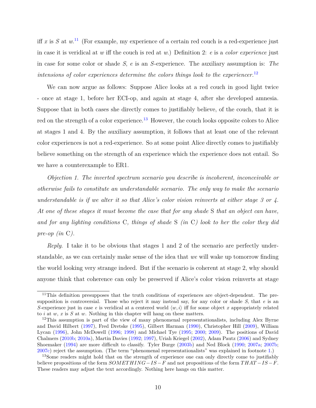iff  $x$  is  $S$  at  $w$ <sup>[11](#page-20-0)</sup> (For example, my experience of a certain red couch is a red-experience just in case it is veridical at *w* iff the couch is red at *w*.) Definition 2: *e* is a *color experience* just in case for some color or shade *S*, *e* is an *S*-experience. The auxiliary assumption is: *The intensions of color experiences determine the colors things look to the experiencer.*[12](#page-20-1)

We can now argue as follows: Suppose Alice looks at a red couch in good light twice - once at stage 1, before her ECI-op, and again at stage 4, after she developed amnesia. Suppose that in both cases she directly comes to justifiably believe, of the couch, that it is red on the strength of a color experience.<sup>[13](#page-20-2)</sup> However, the couch looks opposite colors to Alice at stages 1 and 4. By the auxiliary assumption, it follows that at least one of the relevant color experiences is not a red-experience. So at some point Alice directly comes to justifiably believe something on the strength of an experience which the experience does not entail. So we have a counterexample to ER1.

*Objection 1. The inverted spectrum scenario you describe is incoherent, inconceivable or otherwise fails to constitute an understandable scenario. The only way to make the scenario understandable is if we alter it so that Alice's color vision reinverts at either stage 3 or 4. At one of these stages it must become the case that for any shade* S *that an object can have, and for any lighting conditions* C*, things of shade* S *(in* C*) look to her the color they did pre-op (in* C*).*

*Reply*. I take it to be obvious that stages 1 and 2 of the scenario are perfectly understandable, as we can certainly make sense of the idea that *we* will wake up tomorrow finding the world looking very strange indeed. But if the scenario is coherent at stage 2, why should anyone think that coherence can only be preserved if Alice's color vision reinverts at stage

<span id="page-20-0"></span><sup>&</sup>lt;sup>11</sup>This definition presupposes that the truth conditions of experiences are object-dependent. The presupposition is controversial. Those who reject it may instead say, for any color or shade *S*, that *e* is an *S*-experience just in case *e* is veridical at a centered world  $\langle w, i \rangle$  iff for some object *x* appropriately related to *i* at *w*, *x* is *S* at *w*. Nothing in this chapter will hang on these matters.

<span id="page-20-1"></span><sup>&</sup>lt;sup>12</sup>This assumption is part of the view of many phenomenal representationalists, including Alex Byrne and David Hilbert [\(1997\)](#page-147-8), Fred Dretske [\(1995\)](#page-148-5), Gilbert Harman [\(1990\)](#page-149-0), Christopher Hill [\(2009\)](#page-149-1), William Lycan [\(1996\)](#page-150-6), John McDowell [\(1996;](#page-150-0) [1998\)](#page-150-7) and Michael Tye [\(1995;](#page-153-1) [2000;](#page-153-2) [2009\)](#page-153-3). The positions of David Chalmers [\(2010b;](#page-148-6) [2010a\)](#page-147-9), Martin Davies [\(1992;](#page-148-0) [1997\)](#page-148-1), Uriah Kriegel [\(2002\)](#page-150-8), Adam Pautz [\(2006\)](#page-151-8) and Sydney Shoemaker [\(1994\)](#page-152-4) are more difficult to classify. Tyler Burge [\(2003b\)](#page-147-10) and Ned Block [\(1990;](#page-146-3) [2007a;](#page-146-5) [2007b;](#page-146-6) [2007c\)](#page-146-4) reject the assumption. (The term "phenomenal representationalists" was explained in footnote [1.](#page-15-1))

<span id="page-20-2"></span><sup>&</sup>lt;sup>13</sup>Some readers might hold that on the strength of experience one can only directly come to justifiably believe propositions of the form *SOMET HING*−*IS* −*F* and not propositions of the form *T HAT* −*IS* −*F*. These readers may adjust the text accordingly. Nothing here hangs on this matter.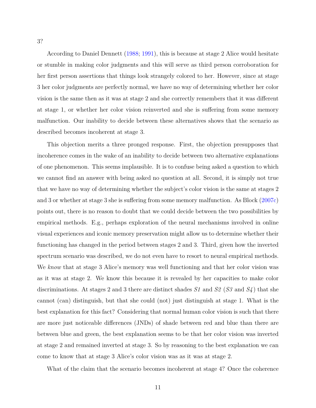According to Daniel Dennett [\(1988;](#page-148-7) [1991\)](#page-148-8), this is because at stage 2 Alice would hesitate or stumble in making color judgments and this will serve as third person corroboration for her first person assertions that things look strangely colored to her. However, since at stage 3 her color judgments are perfectly normal, we have no way of determining whether her color vision is the same then as it was at stage 2 and she correctly remembers that it was different at stage 1, or whether her color vision reinverted and she is suffering from some memory malfunction. Our inability to decide between these alternatives shows that the scenario as described becomes incoherent at stage 3.

This objection merits a three pronged response. First, the objection presupposes that incoherence comes in the wake of an inability to decide between two alternative explanations of one phenomenon. This seems implausible. It is to confuse being asked a question to which we cannot find an answer with being asked no question at all. Second, it is simply not true that we have no way of determining whether the subject's color vision is the same at stages 2 and 3 or whether at stage 3 she is suffering from some memory malfunction. As Block [\(2007c\)](#page-146-4) points out, there is no reason to doubt that we could decide between the two possibilities by empirical methods. E.g., perhaps exploration of the neural mechanisms involved in online visual experiences and iconic memory preservation might allow us to determine whether their functioning has changed in the period between stages 2 and 3. Third, given how the inverted spectrum scenario was described, we do not even have to resort to neural empirical methods. We *know* that at stage 3 Alice's memory was well functioning and that her color vision was as it was at stage 2. We know this because it is revealed by her capacities to make color discriminations. At stages 2 and 3 there are distinct shades *S1* and *S2* (*S3* and *S4* ) that she cannot (can) distinguish, but that she could (not) just distinguish at stage 1. What is the best explanation for this fact? Considering that normal human color vision is such that there are more just noticeable differences (JNDs) of shade between red and blue than there are between blue and green, the best explanation seems to be that her color vision was inverted at stage 2 and remained inverted at stage 3. So by reasoning to the best explanation we can come to know that at stage 3 Alice's color vision was as it was at stage 2.

What of the claim that the scenario becomes incoherent at stage 4? Once the coherence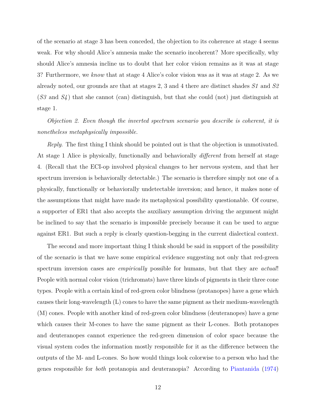of the scenario at stage 3 has been conceded, the objection to its coherence at stage 4 seems weak. For why should Alice's amnesia make the scenario incoherent? More specifically, why should Alice's amnesia incline us to doubt that her color vision remains as it was at stage 3? Furthermore, we *know* that at stage 4 Alice's color vision was as it was at stage 2. As we already noted, our grounds are that at stages 2, 3 and 4 there are distinct shades *S1* and *S2* (*S3* and *S4* ) that she cannot (can) distinguish, but that she could (not) just distinguish at stage 1.

*Objection 2. Even though the inverted spectrum scenario you describe is coherent, it is nonetheless metaphysically impossible.*

*Reply*. The first thing I think should be pointed out is that the objection is unmotivated. At stage 1 Alice is physically, functionally and behaviorally *different* from herself at stage 4. (Recall that the ECI-op involved physical changes to her nervous system, and that her spectrum inversion is behaviorally detectable.) The scenario is therefore simply not one of a physically, functionally or behaviorally undetectable inversion; and hence, it makes none of the assumptions that might have made its metaphysical possibility questionable. Of course, a supporter of ER1 that also accepts the auxiliary assumption driving the argument might be inclined to say that the scenario is impossible precisely because it can be used to argue against ER1. But such a reply is clearly question-begging in the current dialectical context.

The second and more important thing I think should be said in support of the possibility of the scenario is that we have some empirical evidence suggesting not only that red-green spectrum inversion cases are *empirically* possible for humans, but that they are *actual*! People with normal color vision (trichromats) have three kinds of pigments in their three cone types. People with a certain kind of red-green color blindness (protanopes) have a gene which causes their long-wavelength (L) cones to have the same pigment as their medium-wavelength (M) cones. People with another kind of red-green color blindness (deuteranopes) have a gene which causes their M-cones to have the same pigment as their L-cones. Both protanopes and deuteranopes cannot experience the red-green dimension of color space because the visual system codes the information mostly responsible for it as the difference between the outputs of the M- and L-cones. So how would things look colorwise to a person who had the genes responsible for *both* protanopia and deuteranopia? According to [Piantanida](#page-152-5) [\(1974\)](#page-152-5)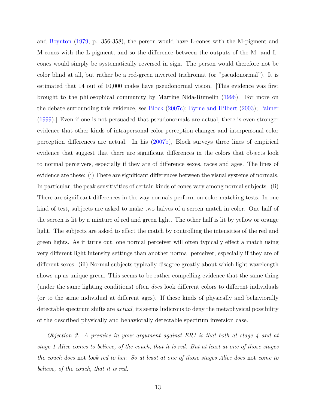and [Boynton](#page-146-7) [\(1979,](#page-146-7) p. 356-358), the person would have L-cones with the M-pigment and M-cones with the L-pigment, and so the difference between the outputs of the M- and Lcones would simply be systematically reversed in sign. The person would therefore not be color blind at all, but rather be a red-green inverted trichromat (or "pseudonormal"). It is estimated that 14 out of 10,000 males have pseudonormal vision. [This evidence was first brought to the philosophical community by Martine Nida-Rümelin [\(1996\)](#page-151-7). For more on the debate surrounding this evidence, see [Block](#page-146-4) [\(2007c\)](#page-146-4); [Byrne and Hilbert](#page-147-11) [\(2003\)](#page-147-11); [Palmer](#page-151-6) [\(1999\)](#page-151-6).] Even if one is not persuaded that pseudonormals are actual, there is even stronger evidence that other kinds of intrapersonal color perception changes and interpersonal color perception differences are actual. In his [\(2007b\)](#page-146-6), Block surveys three lines of empirical evidence that suggest that there are significant differences in the colors that objects look to normal perceivers, especially if they are of difference sexes, races and ages. The lines of evidence are these: (i) There are significant differences between the visual systems of normals. In particular, the peak sensitivities of certain kinds of cones vary among normal subjects. (ii) There are significant differences in the way normals perform on color matching tests. In one kind of test, subjects are asked to make two halves of a screen match in color. One half of the screen is lit by a mixture of red and green light. The other half is lit by yellow or orange light. The subjects are asked to effect the match by controlling the intensities of the red and green lights. As it turns out, one normal perceiver will often typically effect a match using very different light intensity settings than another normal perceiver, especially if they are of different sexes. (iii) Normal subjects typically disagree greatly about which light wavelength shows up as unique green. This seems to be rather compelling evidence that the same thing (under the same lighting conditions) often *does* look different colors to different individuals (or to the same individual at different ages). If these kinds of physically and behaviorally detectable spectrum shifts are *actual*, its seems ludicrous to deny the metaphysical possibility of the described physically and behaviorally detectable spectrum inversion case.

*Objection 3. A premise in your argument against ER1 is that both at stage 4 and at stage 1 Alice comes to believe, of the couch, that it is red. But at least at one of those stages the couch does* not *look red to her. So at least at one of those stages Alice does* not *come to believe, of the couch, that it is red.*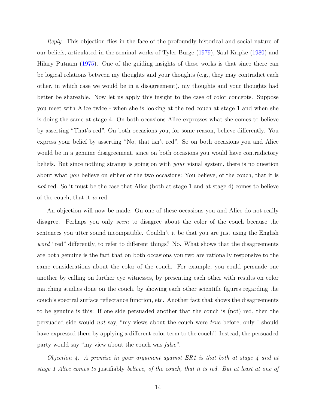*Reply*. This objection flies in the face of the profoundly historical and social nature of our beliefs, articulated in the seminal works of Tyler Burge [\(1979\)](#page-147-12), Saul Kripke [\(1980\)](#page-150-9) and Hilary Putnam [\(1975\)](#page-152-6). One of the guiding insights of these works is that since there can be logical relations between my thoughts and your thoughts (e.g., they may contradict each other, in which case we would be in a disagreement), my thoughts and your thoughts had better be shareable. Now let us apply this insight to the case of color concepts. Suppose you meet with Alice twice - when she is looking at the red couch at stage 1 and when she is doing the same at stage 4. On both occasions Alice expresses what she comes to believe by asserting "That's red". On both occasions you, for some reason, believe differently. You express your belief by asserting "No, that isn't red". So on both occasions you and Alice would be in a genuine disagreement, since on both occasions you would have contradictory beliefs. But since nothing strange is going on with *your* visual system, there is no question about what *you* believe on either of the two occasions: You believe, of the couch, that it is *not* red. So it must be the case that Alice (both at stage 1 and at stage 4) comes to believe of the couch, that it *is* red.

An objection will now be made: On one of these occasions you and Alice do not really disagree. Perhaps you only *seem* to disagree about the color of the couch because the sentences you utter sound incompatible. Couldn't it be that you are just using the English *word* "red" differently, to refer to different things? No. What shows that the disagreements are both genuine is the fact that on both occasions you two are rationally responsive to the same considerations about the color of the couch. For example, you could persuade one another by calling on further eye witnesses, by presenting each other with results on color matching studies done on the couch, by showing each other scientific figures regarding the couch's spectral surface reflectance function, etc. Another fact that shows the disagreements to be genuine is this: If one side persuaded another that the couch is (not) red, then the persuaded side would *not* say, "my views about the couch were *true* before, only I should have expressed them by applying a different color term to the couch". Instead, the persuaded party would say "my view about the couch was *false*".

*Objection 4. A premise in your argument against ER1 is that both at stage 4 and at stage 1 Alice comes to* justifiably *believe, of the couch, that it is red. But at least at one of*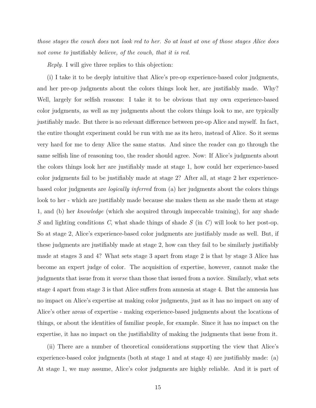*those stages the couch does* not *look red to her. So at least at one of those stages Alice does not come to* justifiably *believe, of the couch, that it is red.*

*Reply*. I will give three replies to this objection:

(i) I take it to be deeply intuitive that Alice's pre-op experience-based color judgments, and her pre-op judgments about the colors things look her, are justifiably made. Why? Well, largely for selfish reasons: I take it to be obvious that my own experience-based color judgments, as well as my judgments about the colors things look to me, are typically justifiably made. But there is no relevant difference between pre-op Alice and myself. In fact, the entire thought experiment could be run with me as its hero, instead of Alice. So it seems very hard for me to deny Alice the same status. And since the reader can go through the same selfish line of reasoning too, the reader should agree. Now: If Alice's judgments about the colors things look her are justifiably made at stage 1, how could her experience-based color judgments fail to be justifiably made at stage 2? After all, at stage 2 her experiencebased color judgments are *logically inferred* from (a) her judgments about the colors things look to her - which are justifiably made because she makes them as she made them at stage 1, and (b) her *knowledge* (which she acquired through impeccable training), for any shade *S* and lighting conditions *C*, what shade things of shade *S* (in *C*) will look to her post-op. So at stage 2, Alice's experience-based color judgments are justifiably made as well. But, if these judgments are justifiably made at stage 2, how can they fail to be similarly justifiably made at stages 3 and 4? What sets stage 3 apart from stage 2 is that by stage 3 Alice has become an expert judge of color. The acquisition of expertise, however, cannot make the judgments that issue from it *worse* than those that issued from a novice. Similarly, what sets stage 4 apart from stage 3 is that Alice suffers from amnesia at stage 4. But the amnesia has no impact on Alice's expertise at making color judgments, just as it has no impact on any of Alice's other areas of expertise - making experience-based judgments about the locations of things, or about the identities of familiar people, for example. Since it has no impact on the expertise, it has no impact on the justifiability of making the judgments that issue from it.

(ii) There are a number of theoretical considerations supporting the view that Alice's experience-based color judgments (both at stage 1 and at stage 4) are justifiably made: (a) At stage 1, we may assume, Alice's color judgments are highly reliable. And it is part of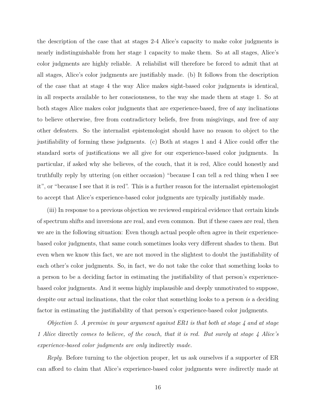the description of the case that at stages 2-4 Alice's capacity to make color judgments is nearly indistinguishable from her stage 1 capacity to make them. So at all stages, Alice's color judgments are highly reliable. A reliabilist will therefore be forced to admit that at all stages, Alice's color judgments are justifiably made. (b) It follows from the description of the case that at stage 4 the way Alice makes sight-based color judgments is identical, in all respects available to her consciousness, to the way she made them at stage 1. So at both stages Alice makes color judgments that are experience-based, free of any inclinations to believe otherwise, free from contradictory beliefs, free from misgivings, and free of any other defeaters. So the internalist epistemologist should have no reason to object to the justifiability of forming these judgments. (c) Both at stages 1 and 4 Alice could offer the standard sorts of justifications we all give for our experience-based color judgments. In particular, if asked why she believes, of the couch, that it is red, Alice could honestly and truthfully reply by uttering (on either occasion) "because I can tell a red thing when I see it", or "because I see that it is red". This is a further reason for the internalist epistemologist to accept that Alice's experience-based color judgments are typically justifiably made.

(iii) In response to a previous objection we reviewed empirical evidence that certain kinds of spectrum shifts and inversions are real, and even common. But if these cases are real, then we are in the following situation: Even though actual people often agree in their experiencebased color judgments, that same couch sometimes looks very different shades to them. But even when we know this fact, we are not moved in the slightest to doubt the justifiability of each other's color judgments. So, in fact, we do not take the color that something looks to a person to be a deciding factor in estimating the justifiability of that person's experiencebased color judgments. And it seems highly implausible and deeply unmotivated to suppose, despite our actual inclinations, that the color that something looks to a person *is* a deciding factor in estimating the justifiability of that person's experience-based color judgments.

*Objection 5. A premise in your argument against ER1 is that both at stage 4 and at stage 1 Alice* directly *comes to believe, of the couch, that it is red. But surely at stage 4 Alice's experience-based color judgments are only* indirectly *made.*

*Reply*. Before turning to the objection proper, let us ask ourselves if a supporter of ER can afford to claim that Alice's experience-based color judgments were *in*directly made at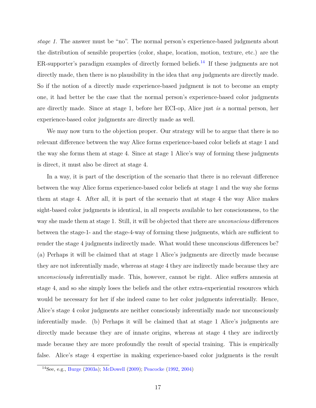*stage 1*. The answer must be "no". The normal person's experience-based judgments about the distribution of sensible properties (color, shape, location, motion, texture, etc.) are the ER-supporter's paradigm examples of directly formed beliefs.<sup>[14](#page-27-0)</sup> If these judgments are not directly made, then there is no plausibility in the idea that *any* judgments are directly made. So if the notion of a directly made experience-based judgment is not to become an empty one, it had better be the case that the normal person's experience-based color judgments are directly made. Since at stage 1, before her ECI-op, Alice just *is* a normal person, her experience-based color judgments are directly made as well.

We may now turn to the objection proper. Our strategy will be to argue that there is no relevant difference between the way Alice forms experience-based color beliefs at stage 1 and the way she forms them at stage 4. Since at stage 1 Alice's way of forming these judgments is direct, it must also be direct at stage 4.

In a way, it is part of the description of the scenario that there is no relevant difference between the way Alice forms experience-based color beliefs at stage 1 and the way she forms them at stage 4. After all, it is part of the scenario that at stage 4 the way Alice makes sight-based color judgments is identical, in all respects available to her consciousness, to the way she made them at stage 1. Still, it will be objected that there are *unconscious* differences between the stage-1- and the stage-4-way of forming these judgments, which are sufficient to render the stage 4 judgments indirectly made. What would these unconscious differences be? (a) Perhaps it will be claimed that at stage 1 Alice's judgments are directly made because they are not inferentially made, whereas at stage 4 they are indirectly made because they are *unconsciously* inferentially made. This, however, cannot be right. Alice suffers amnesia at stage 4, and so she simply loses the beliefs and the other extra-experiential resources which would be necessary for her if she indeed came to her color judgments inferentially. Hence, Alice's stage 4 color judgments are neither consciously inferentially made nor unconsciously inferentially made. (b) Perhaps it will be claimed that at stage 1 Alice's judgments are directly made because they are of innate origins, whereas at stage 4 they are indirectly made because they are more profoundly the result of special training. This is empirically false. Alice's stage 4 expertise in making experience-based color judgments is the result

<span id="page-27-0"></span><sup>14</sup>See, e.g., [Burge](#page-147-2) [\(2003a\)](#page-147-2); [McDowell](#page-150-1) [\(2009\)](#page-150-1); [Peacocke](#page-151-3) [\(1992,](#page-151-3) [2004\)](#page-151-5)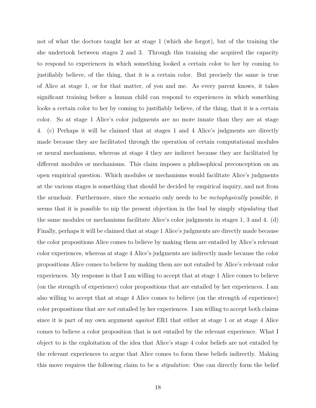not of what the doctors taught her at stage 1 (which she forgot), but of the training the she undertook between stages 2 and 3. Through this training she acquired the capacity to respond to experiences in which something looked a certain color to her by coming to justifiably believe, of the thing, that it is a certain color. But precisely the same is true of Alice at stage 1, or for that matter, of you and me. As every parent knows, it takes significant training before a human child can respond to experiences in which something looks a certain color to her by coming to justifiably believe, of the thing, that it is a certain color. So at stage 1 Alice's color judgments are no more innate than they are at stage 4. (c) Perhaps it will be claimed that at stages 1 and 4 Alice's judgments are directly made because they are facilitated through the operation of certain computational modules or neural mechanisms, whereas at stage 4 they are indirect because they are facilitated by different modules or mechanisms. This claim imposes a philosophical preconception on an open empirical question. Which modules or mechanisms would facilitate Alice's judgments at the various stages is something that should be decided by empirical inquiry, and not from the armchair. Furthermore, since the scenario only needs to be *metaphysically* possible, it seems that it is possible to nip the present objection in the bud by simply *stipulating* that the same modules or mechanisms facilitate Alice's color judgments in stages 1, 3 and 4. (d) Finally, perhaps it will be claimed that at stage 1 Alice's judgments are directly made because the color propositions Alice comes to believe by making them are entailed by Alice's relevant color experiences, whereas at stage 4 Alice's judgments are indirectly made because the color propositions Alice comes to believe by making them are not entailed by Alice's relevant color experiences. My response is that I am willing to accept that at stage 1 Alice comes to believe (on the strength of experience) color propositions that are entailed by her experiences. I am also willing to accept that at stage 4 Alice comes to believe (on the strength of experience) color propositions that are *not* entailed by her experiences. I am willing to accept both claims since it is part of my own argument *against* ER1 that either at stage 1 or at stage 4 Alice comes to believe a color proposition that is not entailed by the relevant experience. What I object to is the exploitation of the idea that Alice's stage 4 color beliefs are not entailed by the relevant experiences to argue that Alice comes to form these beliefs indirectly. Making this move requires the following claim to be a *stipulation*: One can directly form the belief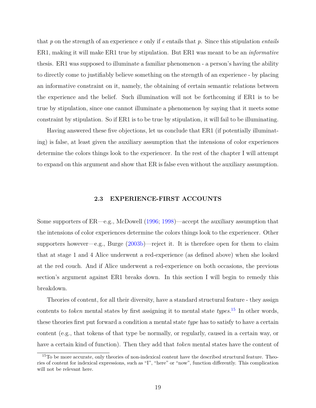that *p* on the strength of an experience *e* only if *e* entails that *p.* Since this stipulation *entails* ER1, making it will make ER1 true by stipulation. But ER1 was meant to be an *informative* thesis. ER1 was supposed to illuminate a familiar phenomenon - a person's having the ability to directly come to justifiably believe something on the strength of an experience - by placing an informative constraint on it, namely, the obtaining of certain semantic relations between the experience and the belief. Such illumination will not be forthcoming if ER1 is to be true by stipulation, since one cannot illuminate a phenomenon by saying that it meets some constraint by stipulation. So if ER1 is to be true by stipulation, it will fail to be illuminating.

Having answered these five objections, let us conclude that ER1 (if potentially illuminating) is false, at least given the auxiliary assumption that the intensions of color experiences determine the colors things look to the experiencer. In the rest of the chapter I will attempt to expand on this argument and show that ER is false even without the auxiliary assumption.

#### **2.3 EXPERIENCE-FIRST ACCOUNTS**

<span id="page-29-0"></span>Some supporters of ER—e.g., McDowell [\(1996;](#page-150-0) [1998\)](#page-150-7)—accept the auxiliary assumption that the intensions of color experiences determine the colors things look to the experiencer. Other supporters however—e.g., Burge [\(2003b\)](#page-147-10)—reject it. It is therefore open for them to claim that at stage 1 and 4 Alice underwent a red-experience (as defined above) when she looked at the red couch. And if Alice underwent a red-experience on both occasions, the previous section's argument against ER1 breaks down. In this section I will begin to remedy this breakdown.

Theories of content, for all their diversity, have a standard structural feature - they assign contents to *token* mental states by first assigning it to mental state *types*. [15](#page-29-1) In other words, these theories first put forward a condition a mental state *type* has to satisfy to have a certain content (e.g., that tokens of that type be normally, or regularly, caused in a certain way, or have a certain kind of function). Then they add that *token* mental states have the content of

<span id="page-29-1"></span><sup>15</sup>To be more accurate, only theories of non-indexical content have the described structural feature. Theories of content for indexical expressions, such as "I", "here" or "now", function differently. This complication will not be relevant here.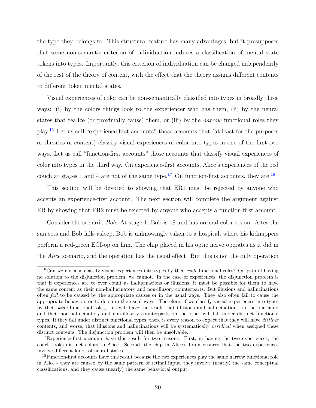the type they belongs to. This structural feature has many advantages, but it presupposes that some non-semantic criterion of individuation induces a classification of mental state tokens into types. Importantly, this criterion of individuation can be changed independently of the rest of the theory of content, with the effect that the theory assigns different contents to different token mental states.

Visual experiences of color can be non-semantically classified into types in broadly three ways: (i) by the colors things look to the experiencer who has them, (ii) by the neural states that realize (or proximally cause) them, or (iii) by the *narrow* functional roles they play.[16](#page-30-0) Let us call "experience-first accounts" those accounts that (at least for the purposes of theories of content) classify visual experiences of color into types in one of the first two ways. Let us call "function-first accounts" those accounts that classify visual experiences of color into types in the third way. On experience-first accounts, Alice's experiences of the red couch at stages 1 and 4 are not of the same type.<sup>[17](#page-30-1)</sup> On function-first accounts, they are.<sup>[18](#page-30-2)</sup>

This section will be devoted to showing that ER1 must be rejected by anyone who accepts an experience-first account. The next section will complete the argument against ER by showing that ER2 must be rejected by anyone who accepts a function-first account.

Consider the scenario *Bob*: At stage 1, Bob is 18 and has normal color vision. After the sun sets and Bob falls asleep, Bob is unknowingly taken to a hospital, where his kidnappers perform a red-green ECI-op on him. The chip placed in his optic nerve operates as it did in the *Alice* scenario, and the operation has the usual effect. But this is not the only operation

<span id="page-30-0"></span><sup>16</sup>Can we not also classify visual experiences into types by their *wide* functional roles? On pain of having no solution to the disjunction problem, we cannot. In the case of experiences, the disjunction problem is that if experiences are to ever count as hallucinations or illusions, it must be possible for them to have the same content as their non-hallucinatory and non-illusory counterparts. But illusions and hallucinations often *fail* to be caused by the appropriate causes or in the usual ways. They also often fail to cause the appropriate behaviors or to do so in the usual ways. Therefore, if we classify visual experiences into types by their *wide* functional roles, this will have the result that illusions and hallucinations on the one hand and their non-hallucinatory and non-illusory counterparts on the other will fall under distinct functional types. If they fall under distinct functional types, there is every reason to expect that they will have *distinct* contents, and worse, that illusions and hallucinations will be systematically *veridical* when assigned these distinct contents. The disjunction problem will then be unsolvable.

<span id="page-30-1"></span><sup>&</sup>lt;sup>17</sup>Experience-first accounts have this result for two reasons. First, in having the two experiences, the couch looks distinct colors to Alice. Second, the chip in Alice's brain ensures that the two experiences involve different kinds of neural states.

<span id="page-30-2"></span><sup>&</sup>lt;sup>18</sup>Function-first accounts have this result because the two experiences play the same narrow functional role in Alice - they are caused by the same pattern of retinal input, they involve (nearly) the same conceptual classifications, and they cause (nearly) the same behavioral output.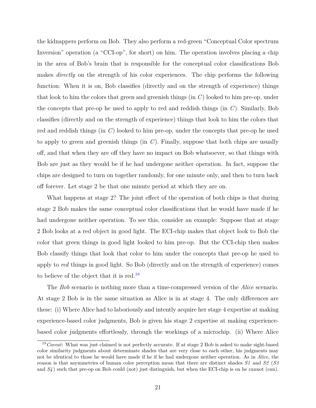the kidnappers perform on Bob. They also perform a red-green "Conceptual Color spectrum Inversion" operation (a "CCI-op", for short) on him. The operation involves placing a chip in the area of Bob's brain that is responsible for the conceptual color classifications Bob makes *directly* on the strength of his color experiences. The chip performs the following function: When it is on, Bob classifies (directly and on the strength of experience) things that look to him the colors that green and greenish things (in *C*) looked to him pre-op, under the concepts that pre-op he used to apply to red and reddish things (in *C*). Similarly, Bob classifies (directly and on the strength of experience) things that look to him the colors that red and reddish things (in *C*) looked to him pre-op, under the concepts that pre-op he used to apply to green and greenish things (in *C*). Finally, suppose that both chips are usually off, and that when they are off they have no impact on Bob whatsoever, so that things with Bob are just as they would be if he had undergone neither operation. In fact, suppose the chips are designed to turn on together randomly, for one minute only, and then to turn back off forever. Let stage 2 be that one minute period at which they are on.

What happens at stage 2? The joint effect of the operation of both chips is that during stage 2 Bob makes the same conceptual color classifications that he would have made if he had undergone neither operation. To see this, consider an example: Suppose that at stage 2 Bob looks at a red object in good light. The ECI-chip makes that object look to Bob the color that green things in good light looked to him pre-op. But the CCI-chip then makes Bob classify things that look that color to him under the concepts that pre-op he used to apply to *red* things in good light. So Bob (directly and on the strength of experience) comes to believe of the object that it is red.[19](#page-31-0)

The *Bob* scenario is nothing more than a time-compressed version of the *Alice* scenario. At stage 2 Bob is in the same situation as Alice is in at stage 4. The only differences are these: (i) Where Alice had to laboriously and intently acquire her stage 4 expertise at making experience-based color judgments, Bob is given his stage 2 expertise at making experiencebased color judgments effortlessly, through the workings of a microchip. (ii) Where Alice

<span id="page-31-0"></span><sup>19</sup>*Caveat*: What was just claimed is not perfectly accurate. If at stage 2 Bob is asked to make sight-based color similarity judgments about determinate shades that are very close to each other, his judgments may not be identical to those he would have made if he if he had undergone neither operation. As in *Alice*, the reason is that asymmetries of human color perception mean that there are distinct shades *S1* and *S2* (*S3* and  $S<sub>4</sub>$  ) such that pre-op on Bob could (not) just distinguish, but when the ECI-chip is on he cannot (can).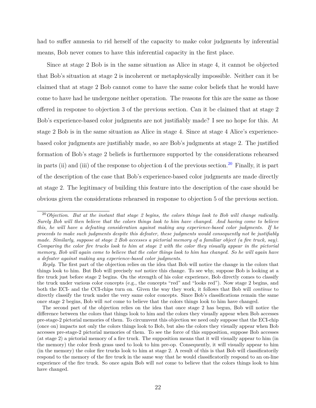had to suffer amnesia to rid herself of the capacity to make color judgments by inferential means, Bob never comes to have this inferential capacity in the first place.

Since at stage 2 Bob is in the same situation as Alice in stage 4, it cannot be objected that Bob's situation at stage 2 is incoherent or metaphysically impossible. Neither can it be claimed that at stage 2 Bob cannot come to have the same color beliefs that he would have come to have had he undergone neither operation. The reasons for this are the same as those offered in response to objection 3 of the previous section. Can it be claimed that at stage 2 Bob's experience-based color judgments are not justifiably made? I see no hope for this. At stage 2 Bob is in the same situation as Alice in stage 4. Since at stage 4 Alice's experiencebased color judgments are justifiably made, so are Bob's judgments at stage 2. The justified formation of Bob's stage 2 beliefs is furthermore supported by the considerations rehearsed in parts (ii) and (iii) of the response to objection 4 of the previous section.<sup>[20](#page-32-0)</sup> Finally, it is part of the description of the case that Bob's experience-based color judgments are made directly at stage 2. The legitimacy of building this feature into the description of the case should be obvious given the considerations rehearsed in response to objection 5 of the previous section.

<span id="page-32-0"></span><sup>20</sup>*Objection*. *But at the instant that stage 2 begins, the colors things look to Bob will change radically. Surely Bob will then believe that the colors things look to him have changed. And having come to believe this, he will have a defeating consideration against making any experience-based color judgments. If he proceeds to make such judgments despite this defeater, these judgments would consequently not be justifiably made. Similarly, suppose at stage 2 Bob accesses a pictorial memory of a familiar object (a fire truck, say). Comparing the color fire trucks look to him at stage 2 with the color they visually appear in the pictorial memory, Bob will again come to believe that the color things look to him has changed. So he will again have a defeater against making any experience-based color judgments.*

*Reply*. The first part of the objection relies on the idea that Bob will notice the change in the colors that things look to him. But Bob will precisely *not* notice this change. To see why, suppose Bob is looking at a fire truck just before stage 2 begins. On the strength of his color experience, Bob directly comes to classify the truck under various color concepts (e.g., the concepts "red" and "looks red"). Now stage 2 begins, and both the ECI- and the CCI-chips turn on. Given the way they work, it follows that Bob will *continue* to directly classify the truck under the very same color concepts. Since Bob's classifications remain the same once stage 2 begins, Bob will *not* come to believe that the colors things look to him have changed.

The second part of the objection relies on the idea that once stage 2 has begun, Bob will notice the difference between the colors that things look to him and the colors they visually appear when Bob accesses pre-stage-2 pictorial memories of them. To circumvent this objection we need only suppose that the ECI-chip (once on) impacts not only the colors things look to Bob, but also the colors they visually appear when Bob accesses pre-stage-2 pictorial memories of them. To see the force of this supposition, suppose Bob accesses (at stage 2) a pictorial memory of a fire truck. The supposition means that it will visually appear to him (in the memory) the color fresh grass used to look to him pre-op. Consequently, it will visually appear to him (in the memory) the color fire trucks look to him at stage 2. A result of this is that Bob will classificatorily respond to the memory of the fire truck in the same way that he would classificatorily respond to an on-line experience of the fire truck. So once again Bob will *not* come to believe that the colors things look to him have changed.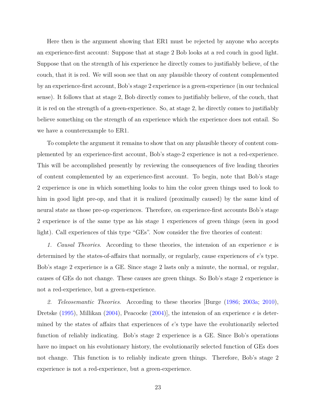Here then is the argument showing that ER1 must be rejected by anyone who accepts an experience-first account: Suppose that at stage 2 Bob looks at a red couch in good light. Suppose that on the strength of his experience he directly comes to justifiably believe, of the couch, that it is red. We will soon see that on any plausible theory of content complemented by an experience-first account, Bob's stage 2 experience is a green-experience (in our technical sense). It follows that at stage 2, Bob directly comes to justifiably believe, of the couch, that it is red on the strength of a green-experience. So, at stage 2, he directly comes to justifiably believe something on the strength of an experience which the experience does not entail. So we have a counterexample to ER1.

To complete the argument it remains to show that on any plausible theory of content complemented by an experience-first account, Bob's stage-2 experience is not a red-experience. This will be accomplished presently by reviewing the consequences of five leading theories of content complemented by an experience-first account. To begin, note that Bob's stage 2 experience is one in which something looks to him the color green things used to look to him in good light pre-op, and that it is realized (proximally caused) by the same kind of neural state as those pre-op experiences. Therefore, on experience-first accounts Bob's stage 2 experience is of the same type as his stage 1 experiences of green things (seen in good light). Call experiences of this type "GEs". Now consider the five theories of content:

*1. Causal Theories*. According to these theories, the intension of an experience *e* is determined by the states-of-affairs that normally, or regularly, cause experiences of *e*'s type. Bob's stage 2 experience is a GE. Since stage 2 lasts only a minute, the normal, or regular, causes of GEs do not change. These causes are green things. So Bob's stage 2 experience is not a red-experience, but a green-experience.

*2. Teleosemantic Theories*. According to these theories [Burge [\(1986;](#page-147-1) [2003a;](#page-147-2) [2010\)](#page-147-3), Dretske [\(1995\)](#page-148-5), Millikan [\(2004\)](#page-151-1), Peacocke [\(2004\)](#page-151-5)], the intension of an experience *e* is determined by the states of affairs that experiences of *e*'s type have the evolutionarily selected function of reliably indicating. Bob's stage 2 experience is a GE. Since Bob's operations have no impact on his evolutionary history, the evolutionarily selected function of GEs does not change. This function is to reliably indicate green things. Therefore, Bob's stage 2 experience is not a red-experience, but a green-experience.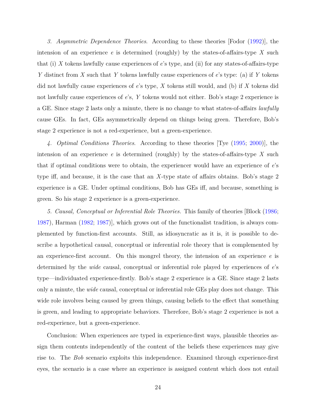*3. Asymmetric Dependence Theories*. According to these theories [Fodor [\(1992\)](#page-149-9)], the intension of an experience *e* is determined (roughly) by the states-of-affairs-type *X* such that (i) *X* tokens lawfully cause experiences of *e*'s type, and (ii) for any states-of-affairs-type *Y* distinct from *X* such that *Y* tokens lawfully cause experiences of *e*'s type: (a) if *Y* tokens did not lawfully cause experiences of *e*'s type, *X* tokens still would, and (b) if *X* tokens did not lawfully cause experiences of *e*'s, *Y* tokens would not either. Bob's stage 2 experience is a GE. Since stage 2 lasts only a minute, there is no change to what states-of-affairs *lawfully* cause GEs. In fact, GEs asymmetrically depend on things being green. Therefore, Bob's stage 2 experience is not a red-experience, but a green-experience.

*4. Optimal Conditions Theories*. According to these theories [Tye [\(1995;](#page-153-1) [2000\)](#page-153-2)], the intension of an experience  $e$  is determined (roughly) by the states-of-affairs-type  $X$  such that if optimal conditions were to obtain, the experiencer would have an experience of *e*'s type iff, and because, it is the case that an *X*-type state of affairs obtains. Bob's stage 2 experience is a GE. Under optimal conditions, Bob has GEs iff, and because, something is green. So his stage 2 experience is a green-experience.

*5. Causal, Conceptual or Inferential Role Theories.* This family of theories [Block [\(1986;](#page-146-8) [1987\)](#page-146-9), Harman [\(1982;](#page-149-10) [1987\)](#page-149-11)], which grows out of the functionalist tradition, is always complemented by function-first accounts. Still, as idiosyncratic as it is, it is possible to describe a hypothetical causal, conceptual or inferential role theory that is complemented by an experience-first account. On this mongrel theory, the intension of an experience *e* is determined by the *wide* causal, conceptual or inferential role played by experiences of *e*'s type—individuated experience-firstly. Bob's stage 2 experience is a GE. Since stage 2 lasts only a minute, the *wide* causal, conceptual or inferential role GEs play does not change. This wide role involves being caused by green things, causing beliefs to the effect that something is green, and leading to appropriate behaviors. Therefore, Bob's stage 2 experience is not a red-experience, but a green-experience.

Conclusion: When experiences are typed in experience-first ways, plausible theories assign them contents independently of the content of the beliefs these experiences may give rise to. The *Bob* scenario exploits this independence. Examined through experience-first eyes, the scenario is a case where an experience is assigned content which does not entail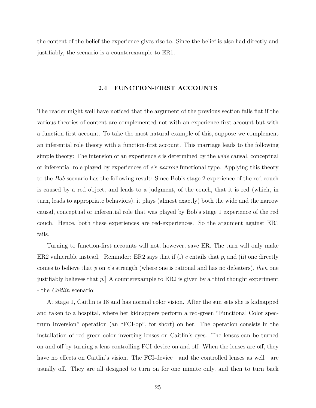the content of the belief the experience gives rise to. Since the belief is also had directly and justifiably, the scenario is a counterexample to ER1.

#### **2.4 FUNCTION-FIRST ACCOUNTS**

<span id="page-35-0"></span>The reader might well have noticed that the argument of the previous section falls flat if the various theories of content are complemented not with an experience-first account but with a function-first account. To take the most natural example of this, suppose we complement an inferential role theory with a function-first account. This marriage leads to the following simple theory: The intension of an experience *e* is determined by the *wide* causal, conceptual or inferential role played by experiences of *e*'s *narrow* functional type. Applying this theory to the *Bob* scenario has the following result: Since Bob's stage 2 experience of the red couch is caused by a red object, and leads to a judgment, of the couch, that it is red (which, in turn, leads to appropriate behaviors), it plays (almost exactly) both the wide and the narrow causal, conceptual or inferential role that was played by Bob's stage 1 experience of the red couch. Hence, both these experiences are red-experiences. So the argument against ER1 fails.

Turning to function-first accounts will not, however, save ER. The turn will only make ER2 vulnerable instead. [Reminder: ER2 says that if (i) *e* entails that *p*, and (ii) one directly comes to believe that *p* on *e*'s strength (where one is rational and has no defeaters), *then* one justifiably believes that *p*.] A counterexample to ER2 is given by a third thought experiment - the *Caitlin* scenario:

At stage 1, Caitlin is 18 and has normal color vision. After the sun sets she is kidnapped and taken to a hospital, where her kidnappers perform a red-green "Functional Color spectrum Inversion" operation (an "FCI-op", for short) on her. The operation consists in the installation of red-green color inverting lenses on Caitlin's eyes. The lenses can be turned on and off by turning a lens-controlling FCI-device on and off. When the lenses are off, they have no effects on Caitlin's vision. The FCI-device—and the controlled lenses as well—are usually off. They are all designed to turn on for one minute only, and then to turn back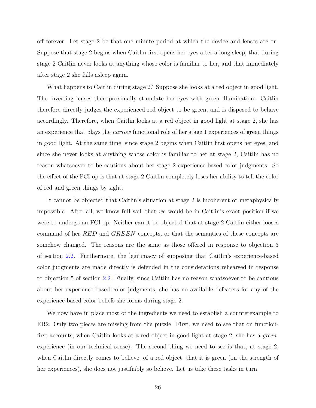off forever. Let stage 2 be that one minute period at which the device and lenses are on. Suppose that stage 2 begins when Caitlin first opens her eyes after a long sleep, that during stage 2 Caitlin never looks at anything whose color is familiar to her, and that immediately after stage 2 she falls asleep again.

What happens to Caitlin during stage 2? Suppose she looks at a red object in good light. The inverting lenses then proximally stimulate her eyes with green illumination. Caitlin therefore directly judges the experienced red object to be green, and is disposed to behave accordingly. Therefore, when Caitlin looks at a red object in good light at stage 2, she has an experience that plays the *narrow* functional role of her stage 1 experiences of green things in good light. At the same time, since stage 2 begins when Caitlin first opens her eyes, and since she never looks at anything whose color is familiar to her at stage 2, Caitlin has no reason whatsoever to be cautious about her stage 2 experience-based color judgments. So the effect of the FCI-op is that at stage 2 Caitlin completely loses her ability to tell the color of red and green things by sight.

It cannot be objected that Caitlin's situation at stage 2 is incoherent or metaphysically impossible. After all, we know full well that *we* would be in Caitlin's exact position if we were to undergo an FCI-op. Neither can it be objected that at stage 2 Caitlin either looses command of her *RED* and *GREEN* concepts, or that the semantics of these concepts are somehow changed. The reasons are the same as those offered in response to objection 3 of section [2.2.](#page-17-0) Furthermore, the legitimacy of supposing that Caitlin's experience-based color judgments are made directly is defended in the considerations rehearsed in response to objection 5 of section [2.2.](#page-17-0) Finally, since Caitlin has no reason whatsoever to be cautious about her experience-based color judgments, she has no available defeaters for any of the experience-based color beliefs she forms during stage 2.

We now have in place most of the ingredients we need to establish a counterexample to ER2. Only two pieces are missing from the puzzle. First, we need to see that on functionfirst accounts, when Caitlin looks at a red object in good light at stage 2, she has a *green*experience (in our technical sense). The second thing we need to see is that, at stage 2, when Caitlin directly comes to believe, of a red object, that it is green (on the strength of her experiences), she does not justifiably so believe. Let us take these tasks in turn.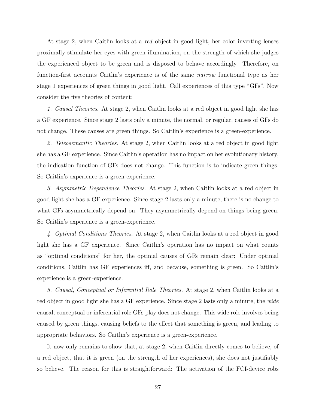At stage 2, when Caitlin looks at a *red* object in good light, her color inverting lenses proximally stimulate her eyes with green illumination, on the strength of which she judges the experienced object to be green and is disposed to behave accordingly. Therefore, on function-first accounts Caitlin's experience is of the same *narrow* functional type as her stage 1 experiences of green things in good light. Call experiences of this type "GFs". Now consider the five theories of content:

*1. Causal Theories*. At stage 2, when Caitlin looks at a red object in good light she has a GF experience. Since stage 2 lasts only a minute, the normal, or regular, causes of GFs do not change. These causes are green things. So Caitlin's experience is a green-experience.

*2. Teleosemantic Theories*. At stage 2, when Caitlin looks at a red object in good light she has a GF experience. Since Caitlin's operation has no impact on her evolutionary history, the indication function of GFs does not change. This function is to indicate green things. So Caitlin's experience is a green-experience.

*3. Asymmetric Dependence Theories*. At stage 2, when Caitlin looks at a red object in good light she has a GF experience. Since stage 2 lasts only a minute, there is no change to what GFs asymmetrically depend on. They asymmetrically depend on things being green. So Caitlin's experience is a green-experience.

*4. Optimal Conditions Theories*. At stage 2, when Caitlin looks at a red object in good light she has a GF experience. Since Caitlin's operation has no impact on what counts as "optimal conditions" for her, the optimal causes of GFs remain clear: Under optimal conditions, Caitlin has GF experiences iff, and because, something is green. So Caitlin's experience is a green-experience.

*5. Causal, Conceptual or Inferential Role Theories.* At stage 2, when Caitlin looks at a red object in good light she has a GF experience. Since stage 2 lasts only a minute, the *wide* causal, conceptual or inferential role GFs play does not change. This wide role involves being caused by green things, causing beliefs to the effect that something is green, and leading to appropriate behaviors. So Caitlin's experience is a green-experience.

It now only remains to show that, at stage 2, when Caitlin directly comes to believe, of a red object, that it is green (on the strength of her experiences), she does not justifiably so believe. The reason for this is straightforward: The activation of the FCI-device robs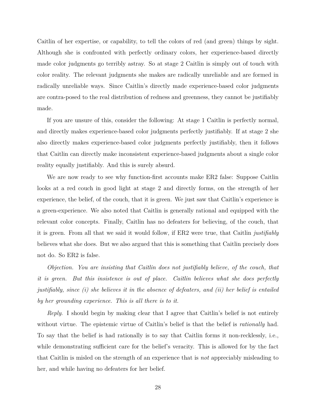Caitlin of her expertise, or capability, to tell the colors of red (and green) things by sight. Although she is confronted with perfectly ordinary colors, her experience-based directly made color judgments go terribly astray. So at stage 2 Caitlin is simply out of touch with color reality. The relevant judgments she makes are radically unreliable and are formed in radically unreliable ways. Since Caitlin's directly made experience-based color judgments are contra-posed to the real distribution of redness and greenness, they cannot be justifiably made.

If you are unsure of this, consider the following: At stage 1 Caitlin is perfectly normal, and directly makes experience-based color judgments perfectly justifiably. If at stage 2 she also directly makes experience-based color judgments perfectly justifiably, then it follows that Caitlin can directly make inconsistent experience-based judgments about a single color reality equally justifiably. And this is surely absurd.

We are now ready to see why function-first accounts make ER2 false: Suppose Caitlin looks at a red couch in good light at stage 2 and directly forms, on the strength of her experience, the belief, of the couch, that it is green. We just saw that Caitlin's experience is a green-experience. We also noted that Caitlin is generally rational and equipped with the relevant color concepts. Finally, Caitlin has no defeaters for believing, of the couch, that it is green. From all that we said it would follow, if ER2 were true, that Caitlin *justifiably* believes what she does. But we also argued that this is something that Caitlin precisely does not do. So ER2 is false.

*Objection. You are insisting that Caitlin does not justifiably believe, of the couch, that it is green. But this insistence is out of place. Caitlin believes what she does perfectly justifiably, since (i) she believes it in the absence of defeaters, and (ii) her belief is entailed by her grounding experience. This is all there is to it.*

*Reply*. I should begin by making clear that I agree that Caitlin's belief is not entirely without virtue. The epistemic virtue of Caitlin's belief is that the belief is *rationally* had. To say that the belief is had rationally is to say that Caitlin forms it non-recklessly, i.e., while demonstrating sufficient care for the belief's veracity. This is allowed for by the fact that Caitlin is misled on the strength of an experience that is *not* appreciably misleading to her, and while having no defeaters for her belief.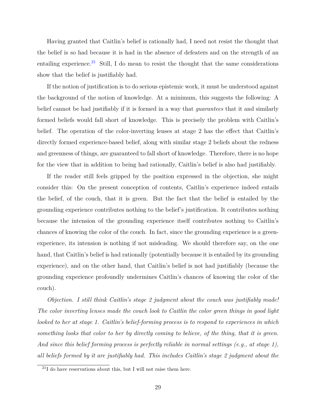Having granted that Caitlin's belief is rationally had, I need not resist the thought that the belief is so had because it is had in the absence of defeaters and on the strength of an entailing experience.<sup>[21](#page-39-0)</sup> Still, I do mean to resist the thought that the same considerations show that the belief is justifiably had.

If the notion of justification is to do serious epistemic work, it must be understood against the background of the notion of knowledge. At a minimum, this suggests the following: A belief cannot be had justifiably if it is formed in a way that *guarantees* that it and similarly formed beliefs would fall short of knowledge. This is precisely the problem with Caitlin's belief. The operation of the color-inverting lenses at stage 2 has the effect that Caitlin's directly formed experience-based belief, along with similar stage 2 beliefs about the redness and greenness of things, are guaranteed to fall short of knowledge. Therefore, there is no hope for the view that in addition to being had rationally, Caitlin's belief is also had justifiably.

If the reader still feels gripped by the position expressed in the objection, she might consider this: On the present conception of contents, Caitlin's experience indeed entails the belief, of the couch, that it is green. But the fact that the belief is entailed by the grounding experience contributes nothing to the belief's justification. It contributes nothing because the intension of the grounding experience itself contributes nothing to Caitlin's chances of knowing the color of the couch. In fact, since the grounding experience is a greenexperience, its intension is nothing if not misleading. We should therefore say, on the one hand, that Caitlin's belief is had rationally (potentially because it is entailed by its grounding experience), and on the other hand, that Caitlin's belief is not had justifiably (because the grounding experience profoundly undermines Caitlin's chances of knowing the color of the couch).

*Objection. I still think Caitlin's stage 2 judgment about the couch was justifiably made! The color inverting lenses made the couch look to Caitlin the color green things in good light looked to her at stage 1. Caitlin's belief-forming process is to respond to experiences in which something looks that color to her by directly coming to believe, of the thing, that it is green. And since this belief forming process is perfectly reliable in normal settings (e.g., at stage 1), all beliefs formed by it are justifiably had. This includes Caitlin's stage 2 judgment about the*

<span id="page-39-0"></span> $^{21}$ I do have reservations about this, but I will not raise them here.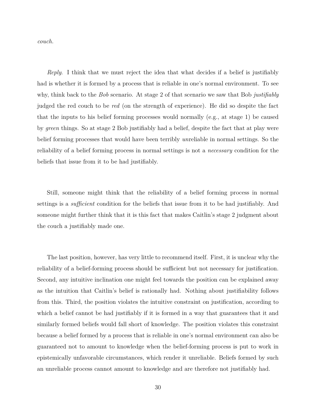*couch.*

*Reply*. I think that we must reject the idea that what decides if a belief is justifiably had is whether it is formed by a process that is reliable in one's normal environment. To see why, think back to the *Bob* scenario. At stage 2 of that scenario we saw that Bob *justifiably* judged the red couch to be *red* (on the strength of experience). He did so despite the fact that the inputs to his belief forming processes would normally (e.g., at stage 1) be caused by *green* things. So at stage 2 Bob justifiably had a belief, despite the fact that at play were belief forming processes that would have been terribly *un*reliable in normal settings. So the reliability of a belief forming process in normal settings is not a *necessary* condition for the beliefs that issue from it to be had justifiably.

Still, someone might think that the reliability of a belief forming process in normal settings is a *sufficient* condition for the beliefs that issue from it to be had justifiably. And someone might further think that it is this fact that makes Caitlin's stage 2 judgment about the couch a justifiably made one.

The last position, however, has very little to recommend itself. First, it is unclear why the reliability of a belief-forming process should be sufficient but not necessary for justification. Second, any intuitive inclination one might feel towards the position can be explained away as the intuition that Caitlin's belief is rationally had. Nothing about justifiability follows from this. Third, the position violates the intuitive constraint on justification, according to which a belief cannot be had justifiably if it is formed in a way that guarantees that it and similarly formed beliefs would fall short of knowledge. The position violates this constraint because a belief formed by a process that is reliable in one's normal environment can also be guaranteed not to amount to knowledge when the belief-forming process is put to work in epistemically unfavorable circumstances, which render it unreliable. Beliefs formed by such an unreliable process cannot amount to knowledge and are therefore not justifiably had.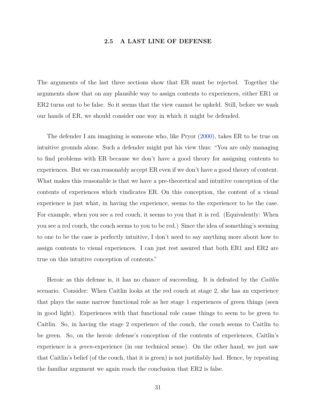# **2.5 A LAST LINE OF DEFENSE**

The arguments of the last three sections show that ER must be rejected. Together the arguments show that on any plausible way to assign contents to experiences, either ER1 or ER2 turns out to be false. So it seems that the view cannot be upheld. Still, before we wash our hands of ER, we should consider one way in which it might be defended.

The defender I am imagining is someone who, like Pryor [\(2000\)](#page-152-0), takes ER to be true on intuitive grounds alone. Such a defender might put his view thus: "You are only managing to find problems with ER because we don't have a good theory for assigning contents to experiences. But we can reasonably accept ER even if we don't have a good theory of content. What makes this reasonable is that we have a pre-theoretical and intuitive conception of the contents of experiences which vindicates ER. On this conception, the content of a visual experience is just what, in having the experience, seems to the experiencer to be the case. For example, when you see a red couch, it seems to you that it is red. (Equivalently: When you see a red couch, the couch seems to you to be red.) Since the idea of something's seeming to one to be the case is perfectly intuitive, I don't need to say anything more about how to assign contents to visual experiences. I can just rest assured that both ER1 and ER2 are true on this intuitive conception of contents."

Heroic as this defense is, it has no chance of succeeding. It is defeated by the *Caitlin* scenario. Consider: When Caitlin looks at the red couch at stage 2, she has an experience that plays the same narrow functional role as her stage 1 experiences of green things (seen in good light). Experiences with that functional role cause things to seem to be green to Caitlin. So, in having the stage 2 experience of the couch, the couch seems to Caitlin to be green. So, on the heroic defense's conception of the contents of experiences, Caitlin's experience is a *green*-experience (in our technical sense). On the other hand, we just saw that Caitlin's belief (of the couch, that it is green) is not justifiably had. Hence, by repeating the familiar argument we again reach the conclusion that ER2 is false.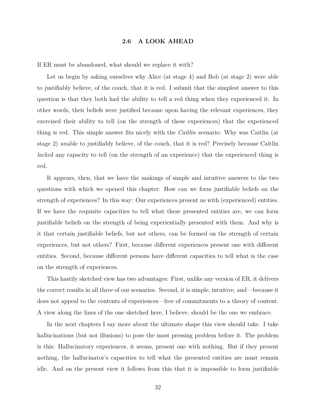## **2.6 A LOOK AHEAD**

If ER must be abandoned, what should we replace it with?

Let us begin by asking ourselves why Alice (at stage 4) and Bob (at stage 2) were able to justifiably believe, of the couch, that it is red. I submit that the simplest answer to this question is that they both had the ability to tell a red thing when they experienced it. In other words, their beliefs were justified because upon having the relevant experiences, they exercised their ability to tell (on the strength of these experiences) that the experienced thing is red. This simple answer fits nicely with the *Caitlin* scenario: Why was Caitlin (at stage 2) *un*able to justifiably believe, of the couch, that it is red? Precisely because Caitlin *lacked* any capacity to tell (on the strength of an experience) that the experienced thing is red.

It appears, then, that we have the makings of simple and intuitive answers to the two questions with which we opened this chapter: How can we form justifiable beliefs on the strength of experiences? In this way: Our experiences present us with (experienced) entities. If we have the requisite capacities to tell what these presented entities are, we can form justifiable beliefs on the strength of being experientially presented with them. And why is it that certain justifiable beliefs, but not others, can be formed on the strength of certain experiences, but not others? First, because different experiences present one with different entities. Second, because different persons have different capacities to tell what is the case on the strength of experiences.

This hastily sketched view has two advantages: First, unlike any version of ER, it delivers the correct results in all three of our scenarios. Second, it is simple, intuitive, and—because it does not appeal to the contents of experiences—free of commitments to a theory of content. A view along the lines of the one sketched here, I believe, should be the one we embrace.

In the next chapters I say more about the ultimate shape this view should take. I take hallucinations (but not illusions) to pose the most pressing problem before it. The problem is this: Hallucinatory experiences, it seems, present one with nothing. But if they present nothing, the hallucinator's capacities to tell what the presented entities are must remain idle. And on the present view it follows from this that it is impossible to form justifiable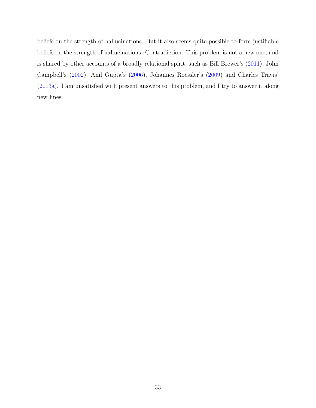beliefs on the strength of hallucinations. But it also seems quite possible to form justifiable beliefs on the strength of hallucinations. Contradiction. This problem is not a new one, and is shared by other accounts of a broadly relational spirit, such as Bill Brewer's [\(2011\)](#page-146-0), John Campbell's [\(2002\)](#page-147-0), Anil Gupta's [\(2006\)](#page-149-0), Johannes Roessler's [\(2009\)](#page-152-1) and Charles Travis' [\(2013a\)](#page-153-0). I am unsatisfied with present answers to this problem, and I try to answer it along new lines.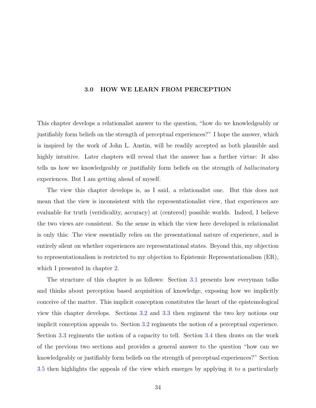# **3.0 HOW WE LEARN FROM PERCEPTION**

This chapter develops a relationalist answer to the question, "how do we knowledgeably or justifiably form beliefs on the strength of perceptual experiences?" I hope the answer, which is inspired by the work of John L. Austin, will be readily accepted as both plausible and highly intuitive. Later chapters will reveal that the answer has a further virtue: It also tells us how we knowledgeably or justifiably form beliefs on the strength of *hallucinatory* experiences. But I am getting ahead of myself.

The view this chapter develops is, as I said, a relationalist one. But this does not mean that the view is inconsistent with the representationalist view, that experiences are evaluable for truth (veridicality, accuracy) at (centered) possible worlds. Indeed, I believe the two views are consistent. So the sense in which the view here developed is relationalist is only this: The view essentially relies on the presentational nature of experience, and is entirely silent on whether experiences are representational states. Beyond this, my objection to representationalism is restricted to my objection to Epistemic Representationalism (ER), which I presented in chapter [2.](#page-14-0)

The structure of this chapter is as follows: Section [3.1](#page-45-0) presents how everyman talks and thinks about perception based acquisition of knowledge, exposing how we implicitly conceive of the matter. This implicit conception constitutes the heart of the epistemological view this chapter develops. Sections [3.2](#page-48-0) and [3.3](#page-51-0) then regiment the two key notions our implicit conception appeals to. Section [3.2](#page-48-0) regiments the notion of a perceptual experience. Section [3.3](#page-51-0) regiments the notion of a capacity to tell. Section [3.4](#page-67-0) then draws on the work of the previous two sections and provides a general answer to the question "how can we knowledgeably or justifiably form beliefs on the strength of perceptual experiences?" Section [3.5](#page-69-0) then highlights the appeals of the view which emerges by applying it to a particularly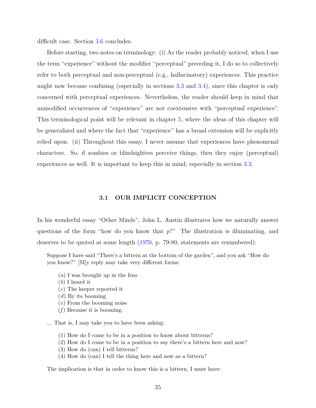difficult case. Section [3.6](#page-74-0) concludes.

Before starting, two notes on terminology: (i) As the reader probably noticed, when I use the term "experience" without the modifier "perceptual" preceding it, I do so to collectively refer to both perceptual and non-perceptual (e.g., hallucinatory) experiences. This practice might now become confusing (especially in sections [3.3](#page-51-0) and [3.4\)](#page-67-0), since this chapter is only concerned with perceptual experiences. Nevertheless, the reader should keep in mind that unmodified occurrences of "experience" are not coextensive with "perceptual experience". This terminological point will be relevant in chapter [5,](#page-129-0) where the ideas of this chapter will be generalized and where the fact that "experience" has a broad extension will be explicitly relied upon. (ii) Throughout this essay, I never assume that experiences have phenomenal characters. So, if zombies or blindsighters perceive things, then they enjoy (perceptual) experiences as well. It is important to keep this in mind, especially in section [3.3.](#page-51-0)

## **3.1 OUR IMPLICIT CONCEPTION**

<span id="page-45-0"></span>In his wonderful essay "Other Minds", John L. Austin illustrates how we naturally answer questions of the form "how do you know that *p*?" The illustration is illuminating, and deserves to be quoted at some length [\(1970,](#page-146-1) p. 79-80, statements are renumbered):

Suppose I have said "There's a bittern at the bottom of the garden", and you ask "How do you know?" [M]y reply may take very different forms:

- (*a*) I was brought up in the fens
- (*b*) I heard it
- (*c*) The keeper reported it
- (*d*) By its booming
- (*e*) From the booming noise
- (*f*) Because it is booming.
- ... That is, I may take you to have been asking:
	- (1) How do I come to be in a position to know about bitterns?
	- (2) How do I come to be in a position to say there's a bittern here and now?
	- (3) How do (can) I tell bitterns?
	- (4) How do (can) I tell the thing here and now as a bittern?

The implication is that in order to know this is a bittern, I must have: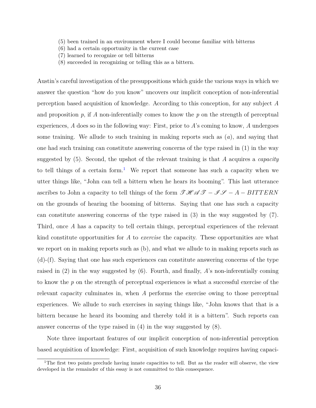- (5) been trained in an environment where I could become familiar with bitterns
- (6) had a certain opportunity in the current case
- (7) learned to recognize or tell bitterns
- (8) succeeded in recognizing or telling this as a bittern.

Austin's careful investigation of the presuppositions which guide the various ways in which we answer the question "how do you know" uncovers our implicit conception of non-inferential perception based acquisition of knowledge. According to this conception, for any subject *A* and proposition  $p$ , if  $\tilde{A}$  non-inferentially comes to know the  $p$  on the strength of perceptual experiences, *A* does so in the following way: First, prior to *A*'s coming to know, *A* undergoes some training. We allude to such training in making reports such as (*a*), and saying that one had such training can constitute answering concerns of the type raised in (1) in the way suggested by (5). Second, the upshot of the relevant training is that *A* acquires a *capacity* to tell things of a certain form.<sup>[1](#page-46-0)</sup> We report that someone has such a capacity when we utter things like, "John can tell a bittern when he hears its booming". This last utterance ascribes to John a capacity to tell things of the form  $\mathscr{THAG} - \mathscr{F} - A - BITTERN$ on the grounds of hearing the booming of bitterns. Saying that one has such a capacity can constitute answering concerns of the type raised in (3) in the way suggested by (7). Third, once *A* has a capacity to tell certain things, perceptual experiences of the relevant kind constitute opportunities for *A* to *exercise* the capacity. These opportunities are what we report on in making reports such as (b), and what we allude to in making reports such as (d)-(f). Saying that one has such experiences can constitute answering concerns of the type raised in (2) in the way suggested by (6). Fourth, and finally, *A*'s non-inferentially coming to know the *p* on the strength of perceptual experiences is what a successful exercise of the relevant capacity culminates in, when *A* performs the exercise owing to those perceptual experiences. We allude to such exercises in saying things like, "John knows that that is a bittern because he heard its booming and thereby told it is a bittern". Such reports can answer concerns of the type raised in (4) in the way suggested by (8).

Note three important features of our implicit conception of non-inferential perception based acquisition of knowledge: First, acquisition of such knowledge requires having capaci-

<span id="page-46-0"></span><sup>&</sup>lt;sup>1</sup>The first two points preclude having innate capacities to tell. But as the reader will observe, the view developed in the remainder of this essay is not committed to this consequence.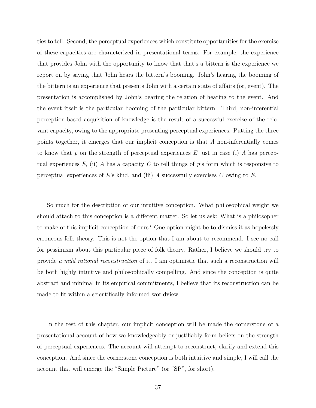ties to tell. Second, the perceptual experiences which constitute opportunities for the exercise of these capacities are characterized in presentational terms. For example, the experience that provides John with the opportunity to know that that's a bittern is the experience we report on by saying that John hears the bittern's booming. John's hearing the booming of the bittern is an experience that presents John with a certain state of affairs (or, event). The presentation is accomplished by John's bearing the relation of hearing to the event. And the event itself is the particular booming of the particular bittern. Third, non-inferential perception-based acquisition of knowledge is the result of a successful exercise of the relevant capacity, owing to the appropriate presenting perceptual experiences. Putting the three points together, it emerges that our implicit conception is that *A* non-inferentially comes to know that *p* on the strength of perceptual experiences *E* just in case (i) *A* has perceptual experiences  $E$ , (ii)  $\tilde{A}$  has a capacity  $C$  to tell things of  $p$ 's form which is responsive to perceptual experiences of *E*'s kind, and (iii) *A* successfully exercises *C* owing to *E*.

So much for the description of our intuitive conception. What philosophical weight we should attach to this conception is a different matter. So let us ask: What is a philosopher to make of this implicit conception of ours? One option might be to dismiss it as hopelessly erroneous folk theory. This is not the option that I am about to recommend. I see no call for pessimism about this particular piece of folk theory. Rather, I believe we should try to provide *a mild rational reconstruction* of it. I am optimistic that such a reconstruction will be both highly intuitive and philosophically compelling. And since the conception is quite abstract and minimal in its empirical commitments, I believe that its reconstruction can be made to fit within a scientifically informed worldview.

In the rest of this chapter, our implicit conception will be made the cornerstone of a presentational account of how we knowledgeably or justifiably form beliefs on the strength of perceptual experiences. The account will attempt to reconstruct, clarify and extend this conception. And since the cornerstone conception is both intuitive and simple, I will call the account that will emerge the "Simple Picture" (or "SP", for short).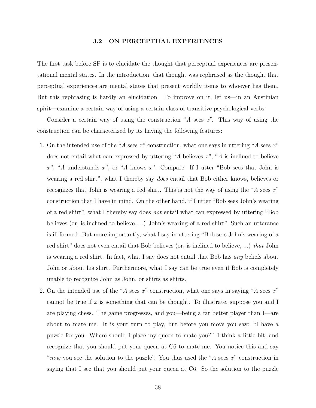#### **3.2 ON PERCEPTUAL EXPERIENCES**

<span id="page-48-0"></span>The first task before SP is to elucidate the thought that perceptual experiences are presentational mental states. In the introduction, that thought was rephrased as the thought that perceptual experiences are mental states that present worldly items to whoever has them. But this rephrasing is hardly an elucidation. To improve on it, let us—in an Austinian spirit—examine a certain way of using a certain class of transitive psychological verbs.

Consider a certain way of using the construction "*A* sees *x*". This way of using the construction can be characterized by its having the following features:

- 1. On the intended use of the "*A* sees *x*" construction, what one says in uttering "*A* sees *x*" does not entail what can expressed by uttering "*A* believes *x*", "*A* is inclined to believe *x*", "*A* understands *x*", or "*A* knows *x*". Compare: If I utter "Bob sees that John is wearing a red shirt", what I thereby say *does* entail that Bob either knows, believes or recognizes that John is wearing a red shirt. This is not the way of using the "*A* sees *x*" construction that I have in mind. On the other hand, if I utter "Bob sees John's wearing of a red shirt", what I thereby say does *not* entail what can expressed by uttering "Bob believes (or, is inclined to believe, ...) John's wearing of a red shirt". Such an utterance is ill formed. But more importantly, what I say in uttering "Bob sees John's wearing of a red shirt" does not even entail that Bob believes (or, is inclined to believe, ...) *that* John is wearing a red shirt. In fact, what I say does not entail that Bob has *any* beliefs about John or about his shirt. Furthermore, what I say can be true even if Bob is completely unable to recognize John as John, or shirts as shirts.
- 2. On the intended use of the "*A* sees *x*" construction, what one says in saying "*A* sees *x*" cannot be true if *x* is something that can be thought. To illustrate, suppose you and I are playing chess. The game progresses, and you—being a far better player than I—are about to mate me. It is your turn to play, but before you move you say: "I have a puzzle for you. Where should I place my queen to mate you?" I think a little bit, and recognize that you should put your queen at C6 to mate me. You notice this and say "*now* you see the solution to the puzzle". You thus used the "*A* sees *x*" construction in saying that I see that you should put your queen at C6. So the solution to the puzzle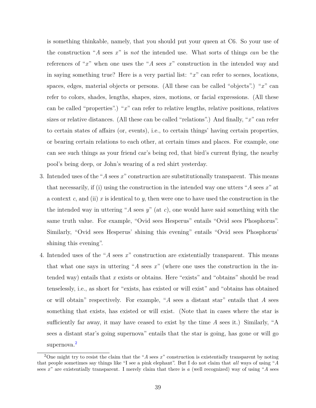is something thinkable, namely, that you should put your queen at C6. So your use of the construction "*A* sees *x*" is *not* the intended use. What sorts of things *can* be the references of "*x*" when one uses the "*A* sees *x*" construction in the intended way and in saying something true? Here is a very partial list: "*x*" can refer to scenes, locations, spaces, edges, material objects or persons. (All these can be called "objects".) "*x*" can refer to colors, shades, lengths, shapes, sizes, motions, or facial expressions. (All these can be called "properties".) "*x*" can refer to relative lengths, relative positions, relatives sizes or relative distances. (All these can be called "relations".) And finally, "*x*" can refer to certain states of affairs (or, events), i.e., to certain things' having certain properties, or bearing certain relations to each other, at certain times and places. For example, one can see such things as your friend car's being red, that bird's current flying, the nearby pool's being deep, or John's wearing of a red shirt yesterday.

- 3. Intended uses of the "*A* sees *x*" construction are substitutionally transparent. This means that necessarily, if (i) using the construction in the intended way one utters "*A* sees *x*" at a context *c*, and (ii) *x* is identical to *y*, then were one to have used the construction in the the intended way in uttering "*A* sees *y*" (at *c*), one would have said something with the same truth value. For example, "Ovid sees Hesperus" entails "Ovid sees Phosphorus". Similarly, "Ovid sees Hesperus' shining this evening" entails "Ovid sees Phosphorus' shining this evening".
- 4. Intended uses of the "*A* sees *x*" construction are existentially transparent. This means that what one says in uttering "*A* sees *x*" (where one uses the construction in the intended way) entails that *x* exists or obtains. Here "exists" and "obtains" should be read tenselessly, i.e., as short for "exists, has existed or will exist" and "obtains has obtained or will obtain" respectively. For example, "*A* sees a distant star" entails that *A* sees something that exists, has existed or will exist. (Note that in cases where the star is sufficiently far away, it may have ceased to exist by the time *A* sees it.) Similarly, "A sees a distant star's going supernova" entails that the star is going, has gone or will go supernova.<sup>[2](#page-49-0)</sup>

<span id="page-49-0"></span><sup>2</sup>One might try to resist the claim that the "*A* sees *x*" construction is existentially transparent by noting that people sometimes say things like "I see a pink elephant". But I do not claim that *all* ways of using "*A* sees *x*" are existentially transparent. I merely claim that there is *a* (well recognized) way of using "*A* sees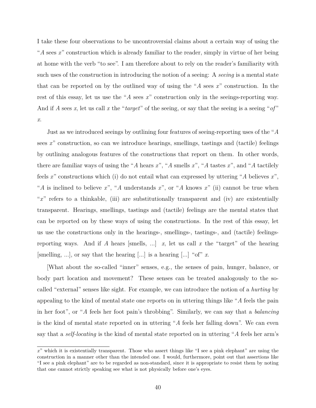I take these four observations to be uncontroversial claims about a certain way of using the "*A* sees *x*" construction which is already familiar to the reader, simply in virtue of her being at home with the verb "to see". I am therefore about to rely on the reader's familiarity with such uses of the construction in introducing the notion of a seeing: A *seeing* is a mental state that can be reported on by the outlined way of using the "*A* sees *x*" construction. In the rest of this essay, let us use the "*A* sees *x*" construction only in the seeings-reporting way. And if *A* sees *x*, let us call *x* the "*target*" of the seeing, or say that the seeing is a seeing " $of$ " *x*.

Just as we introduced seeings by outlining four features of seeing-reporting uses of the "*A* sees x<sup>"</sup> construction, so can we introduce hearings, smellings, tastings and (tactile) feelings by outlining analogous features of the constructions that report on them. In other words, there are familiar ways of using the "*A* hears *x*", "*A* smells *x*", "*A* tastes *x*", and "*A* tactilely feels *x*" constructions which (i) do not entail what can expressed by uttering "*A* believes *x*", "*A* is inclined to believe *x*", "*A* understands *x*", or "*A* knows *x*" (ii) cannot be true when "*x*" refers to a thinkable, (iii) are substitutionally transparent and (iv) are existentially transparent. Hearings, smellings, tastings and (tactile) feelings are the mental states that can be reported on by these ways of using the constructions. In the rest of this essay, let us use the constructions only in the hearings-, smellings-, tastings-, and (tactile) feelingsreporting ways. And if *A* hears [smells, ...]  $x$ , let us call  $x$  the "target" of the hearing [smelling, ...], or say that the hearing [...] is a hearing [...] "of" *x*.

[What about the so-called "inner" senses, e.g., the senses of pain, hunger, balance, or body part location and movement? These senses can be treated analogously to the socalled "external" senses like sight. For example, we can introduce the notion of a *hurting* by appealing to the kind of mental state one reports on in uttering things like "*A* feels the pain in her foot", or "*A* feels her foot pain's throbbing". Similarly, we can say that a *balancing* is the kind of mental state reported on in uttering "*A* feels her falling down". We can even say that a *self-locating* is the kind of mental state reported on in uttering "*A* feels her arm's

*x*" which it is existentially transparent. Those who assert things like "I see a pink elephant" are using the construction in a manner other than the intended one. I would, furthermore, point out that assertions like "I see a pink elephant" are to be regarded as non-standard, since it is appropriate to resist them by noting that one cannot strictly speaking see what is not physically before one's eyes.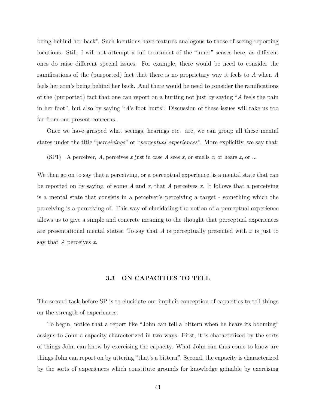being behind her back". Such locutions have features analogous to those of seeing-reporting locutions. Still, I will not attempt a full treatment of the "inner" senses here, as different ones do raise different special issues. For example, there would be need to consider the ramifications of the (purported) fact that there is no proprietary way it feels to *A* when *A* feels her arm's being behind her back. And there would be need to consider the ramifications of the (purported) fact that one can report on a hurting not just by saying "*A* feels the pain in her foot", but also by saying "*A*'s foot hurts". Discussion of these issues will take us too far from our present concerns.

Once we have grasped what seeings, hearings etc. are, we can group all these mental states under the title "*perceivings*" or "*perceptual experiences*". More explicitly, we say that:

 $(SP1)$  A perceiver, A, perceives *x* just in case A sees *x*, or smells *x*, or hears *x*, or ...

We then go on to say that a perceiving, or a perceptual experience, is a mental state that can be reported on by saying, of some *A* and *x*, that *A* perceives *x*. It follows that a perceiving is a mental state that consists in a perceiver's perceiving a target - something which the perceiving is a perceiving of. This way of elucidating the notion of a perceptual experience allows us to give a simple and concrete meaning to the thought that perceptual experiences are presentational mental states: To say that *A* is perceptually presented with *x* is just to say that *A* perceives *x*.

# **3.3 ON CAPACITIES TO TELL**

<span id="page-51-0"></span>The second task before SP is to elucidate our implicit conception of capacities to tell things on the strength of experiences.

To begin, notice that a report like "John can tell a bittern when he hears its booming" assigns to John a capacity characterized in two ways. First, it is characterized by the sorts of things John can know by exercising the capacity. What John can thus come to know are things John can report on by uttering "that's a bittern". Second, the capacity is characterized by the sorts of experiences which constitute grounds for knowledge gainable by exercising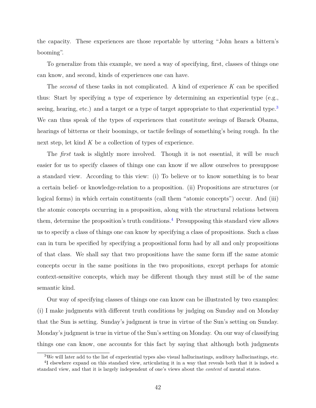the capacity. These experiences are those reportable by uttering "John hears a bittern's booming".

To generalize from this example, we need a way of specifying, first, classes of things one can know, and second, kinds of experiences one can have.

The *second* of these tasks in not complicated. A kind of experience *K* can be specified thus: Start by specifying a type of experience by determining an experiential type (e.g., seeing, hearing, etc.) and a target or a type of target appropriate to that experiential type.<sup>[3](#page-52-0)</sup> We can thus speak of the types of experiences that constitute seeings of Barack Obama, hearings of bitterns or their boomings, or tactile feelings of something's being rough. In the next step, let kind *K* be a collection of types of experience.

The *first* task is slightly more involved. Though it is not essential, it will be *much* easier for us to specify classes of things one can know if we allow ourselves to presuppose a standard view. According to this view: (i) To believe or to know something is to bear a certain belief- or knowledge-relation to a proposition. (ii) Propositions are structures (or logical forms) in which certain constituents (call them "atomic concepts") occur. And (iii) the atomic concepts occurring in a proposition, along with the structural relations between them, determine the proposition's truth conditions.<sup>[4](#page-52-1)</sup> Presupposing this standard view allows us to specify a class of things one can know by specifying a class of propositions. Such a class can in turn be specified by specifying a propositional form had by all and only propositions of that class. We shall say that two propositions have the same form iff the same atomic concepts occur in the same positions in the two propositions, except perhaps for atomic context-sensitive concepts, which may be different though they must still be of the same semantic kind.

Our way of specifying classes of things one can know can be illustrated by two examples: (i) I make judgments with different truth conditions by judging on Sunday and on Monday that the Sun is setting. Sunday's judgment is true in virtue of the Sun's setting on Sunday. Monday's judgment is true in virtue of the Sun's setting on Monday. On our way of classifying things one can know, one accounts for this fact by saying that although both judgments

<span id="page-52-1"></span><span id="page-52-0"></span><sup>3</sup>We will later add to the list of experiential types also visual hallucinatings, auditory hallucinatings, etc. <sup>4</sup>I elsewhere expand on this standard view, articulating it in a way that reveals both that it is indeed a standard view, and that it is largely independent of one's views about the *content* of mental states.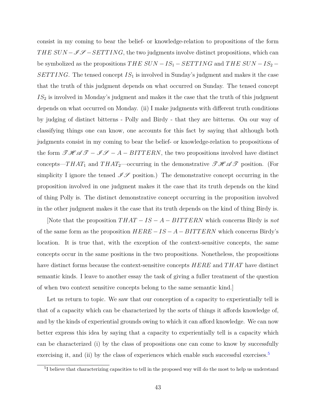consist in my coming to bear the belief- or knowledge-relation to propositions of the form *THE SUN*  $-\mathscr{I}\mathscr{S}-SETTING$ , the two judgments involve distinct propositions, which can be symbolized as the propositions  $THE$   $SUN-IS_{1}-SETTING$  and  $THE$   $SUN-IS_{2}-$ *SET T ING*. The tensed concept *IS*<sup>1</sup> is involved in Sunday's judgment and makes it the case that the truth of this judgment depends on what occurred on Sunday. The tensed concept *IS*<sup>2</sup> is involved in Monday's judgment and makes it the case that the truth of this judgment depends on what occurred on Monday. (ii) I make judgments with different truth conditions by judging of distinct bitterns - Polly and Birdy - that they are bitterns. On our way of classifying things one can know, one accounts for this fact by saying that although both judgments consist in my coming to bear the belief- or knowledge-relation to propositions of the form  $\mathscr{THAT} - \mathscr{IF} - A - BITTERN$ , the two propositions involved have distinct concepts—*THAT*<sub>1</sub> and *THAT*<sub>2</sub>—occurring in the demonstrative  $\mathscr{THAT}_1$  position. (For simplicity I ignore the tensed  $\mathscr{I}\mathscr{S}$  position.) The demonstrative concept occurring in the proposition involved in one judgment makes it the case that its truth depends on the kind of thing Polly is. The distinct demonstrative concept occurring in the proposition involved in the other judgment makes it the case that its truth depends on the kind of thing Birdy is.

[Note that the proposition *T HAT* − *IS* − *A* − *BIT T ERN* which concerns Birdy is *not* of the same form as the proposition *HERE* − *IS* − *A* − *BIT T ERN* which concerns Birdy's location. It is true that, with the exception of the context-sensitive concepts, the same concepts occur in the same positions in the two propositions. Nonetheless, the propositions have distinct forms because the context-sensitive concepts *HERE* and *T HAT* have distinct semantic kinds. I leave to another essay the task of giving a fuller treatment of the question of when two context sensitive concepts belong to the same semantic kind.]

Let us return to topic. We saw that our conception of a capacity to experientially tell is that of a capacity which can be characterized by the sorts of things it affords knowledge of, and by the kinds of experiential grounds owing to which it can afford knowledge. We can now better express this idea by saying that a capacity to experientially tell is a capacity which can be characterized (i) by the class of propositions one can come to know by successfully exercising it, and (ii) by the class of experiences which enable such successful exercises.<sup>[5](#page-53-0)</sup>

<span id="page-53-0"></span><sup>&</sup>lt;sup>5</sup>I believe that characterizing capacities to tell in the proposed way will do the most to help us understand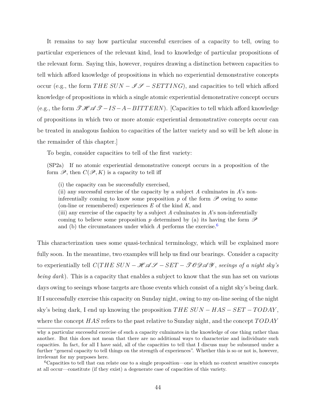It remains to say how particular successful exercises of a capacity to tell, owing to particular experiences of the relevant kind, lead to knowledge of particular propositions of the relevant form. Saying this, however, requires drawing a distinction between capacities to tell which afford knowledge of propositions in which no experiential demonstrative concepts occur (e.g., the form  $THE SUN - \mathscr{I} \mathscr{S} - SETTING$ ), and capacities to tell which afford knowledge of propositions in which a single atomic experiential demonstrative concept occurs (e.g., the form  $\mathscr{THA} \mathscr{F} - IS - A - BITTERN$ ). [Capacities to tell which afford knowledge of propositions in which two or more atomic experiential demonstrative concepts occur can be treated in analogous fashion to capacities of the latter variety and so will be left alone in the remainder of this chapter.]

To begin, consider capacities to tell of the first variety:

(SP2a) If no atomic experiential demonstrative concept occurs in a proposition of the form  $\mathscr{P}$ , then  $C(\mathscr{P}, K)$  is a capacity to tell iff

(i) the capacity can be successfully exercised,

(ii) any successful exercise of the capacity by a subject *A* culminates in *A*'s noninferentially coming to know some proposition  $p$  of the form  $\mathscr P$  owing to some (on-line or remembered) experiences *E* of the kind *K*, and (iii) any exercise of the capacity by a subject *A* culminates in *A*'s non-inferentially

coming to believe some proposition p determined by (a) its having the form  $\mathscr P$ and (b) the circumstances under which *A* performs the exercise.<sup>[6](#page-54-0)</sup>

This characterization uses some quasi-technical terminology, which will be explained more fully soon. In the meantime, two examples will help us find our bearings. Consider a capacity to experientially tell  $C(THE\ SUN - HAGS - SET - TOOAGS$ , *seeings of a night sky's being dark*). This is a capacity that enables a subject to know that the sun has set on various days owing to seeings whose targets are those events which consist of a night sky's being dark. If I successfully exercise this capacity on Sunday night, owing to my on-line seeing of the night sky's being dark, I end up knowing the proposition *T HE SUN* − *HAS* − *SET* − *T ODAY* , where the concept *HAS* refers to the past relative to Sunday night, and the concept *T ODAY*

why a particular successful exercise of such a capacity culminates in the knowledge of one thing rather than another. But this does not mean that there are no additional ways to characterize and individuate such capacities. In fact, for all I have said, all of the capacities to tell that I discuss may be subsumed under a further "general capacity to tell things on the strength of experiences". Whether this is so or not is, however, irrelevant for my purposes here.

<span id="page-54-0"></span><sup>6</sup>Capacities to tell that can relate one to a single proposition—one in which no context sensitive concepts at all occur—constitute (if they exist) a degenerate case of capacities of this variety.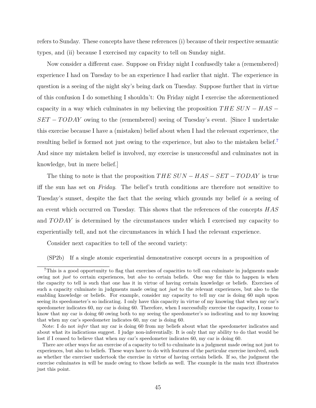refers to Sunday. These concepts have these references (i) because of their respective semantic types, and (ii) because I exercised my capacity to tell on Sunday night.

Now consider a different case. Suppose on Friday night I confusedly take a (remembered) experience I had on Tuesday to be an experience I had earlier that night. The experience in question is a seeing of the night sky's being dark on Tuesday. Suppose further that in virtue of this confusion I do something I shouldn't: On Friday night I exercise the aforementioned capacity in a way which culminates in my believing the proposition *T HE SUN* − *HAS* − *SET* − *TODAY* owing to the (remembered) seeing of Tuesday's event. [Since I undertake this exercise because I have a (mistaken) belief about when I had the relevant experience, the resulting belief is formed not just owing to the experience, but also to the mistaken belief.<sup>[7](#page-55-0)</sup> And since my mistaken belief is involved, my exercise is unsuccessful and culminates not in knowledge, but in mere belief.]

The thing to note is that the proposition *T HE SUN* − *HAS* − *SET* − *T ODAY* is true iff the sun has set on *Friday*. The belief's truth conditions are therefore not sensitive to Tuesday's sunset, despite the fact that the seeing which grounds my belief *is* a seeing of an event which occurred on Tuesday. This shows that the references of the concepts *HAS* and *T ODAY* is determined by the circumstances under which I exercised my capacity to experientially tell, and not the circumstances in which I had the relevant experience.

Consider next capacities to tell of the second variety:

(SP2b) If a single atomic experiential demonstrative concept occurs in a proposition of

<span id="page-55-0"></span><sup>7</sup>This is a good opportunity to flag that exercises of capacities to tell can culminate in judgments made owing not *just* to certain experiences, but *also* to certain beliefs. One way for this to happen is when the capacity to tell is such that one has it in virtue of having certain knowledge or beliefs. Exercises of such a capacity culminate in judgments made owing not *just* to the relevant experiences, but also to the enabling knowledge or beliefs. For example, consider my capacity to tell my car is doing 60 mph upon seeing its speedometer's so indicating. I only have this capacity in virtue of my knowing that when my car's speedometer indicates 60, my car is doing 60. Therefore, when I successfully exercise the capacity, I come to know that my car is doing 60 owing both to my seeing the speedometer's so indicating and to my knowing that when my car's speedometer indicates 60, my car is doing 60.

Note: I do not *infer* that my car is doing 60 from my beliefs about what the speedometer indicates and about what its indications suggest. I judge non-inferentially. It is only that my ability to do that would be lost if I ceased to believe that when my car's speedometer indicates 60, my car is doing 60.

There are other ways for an exercise of a capacity to tell to culminate in a judgment made owing not just to experiences, but also to beliefs. These ways have to do with features of the particular exercise involved, such as whether the exerciser undertook the exercise in virtue of having certain beliefs. If so, the judgment the exercise culminates in will be made owing to those beliefs as well. The example in the main text illustrates just this point.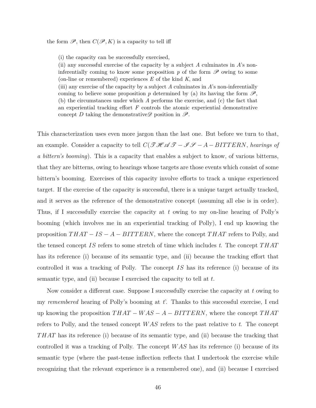the form  $\mathscr{P}$ , then  $C(\mathscr{P}, K)$  is a capacity to tell iff

(i) the capacity can be successfully exercised,

(ii) any successful exercise of the capacity by a subject *A* culminates in *A*'s noninferentially coming to know some proposition  $p$  of the form  $\mathscr P$  owing to some (on-line or remembered) experiences *E* of the kind *K*, and

(iii) any exercise of the capacity by a subject *A* culminates in *A*'s non-inferentially coming to believe some proposition p determined by (a) its having the form  $\mathscr{P}$ , (b) the circumstances under which *A* performs the exercise, and (c) the fact that an experiential tracking effort *F* controls the atomic experiential demonstrative concept *D* taking the demonstrative position in  $\mathscr{P}$ .

This characterization uses even more jargon than the last one. But before we turn to that, an example. Consider a capacity to tell  $C(\mathcal{THAT} - \mathcal{IF}-A-BITTERN$ , *hearings of a bittern's booming*). This is a capacity that enables a subject to know, of various bitterns, that they are bitterns, owing to hearings whose targets are those events which consist of some bittern's booming. Exercises of this capacity involve efforts to track a unique experienced target. If the exercise of the capacity is successful, there is a unique target actually tracked, and it serves as the reference of the demonstrative concept (assuming all else is in order). Thus, if I successfully exercise the capacity at *t* owing to my on-line hearing of Polly's booming (which involves me in an experiential tracking of Polly), I end up knowing the proposition *T HAT* − *IS* − *A* − *BIT T ERN*, where the concept *T HAT* refers to Polly, and the tensed concept *IS* refers to some stretch of time which includes *t*. The concept *T HAT* has its reference (i) because of its semantic type, and (ii) because the tracking effort that controlled it was a tracking of Polly. The concept *IS* has its reference (i) because of its semantic type, and (ii) because I exercised the capacity to tell at *t*.

Now consider a different case. Suppose I successfully exercise the capacity at *t* owing to my *remembered* hearing of Polly's booming at *t*'. Thanks to this successful exercise, I end up knowing the proposition *T HAT* − *W AS* − *A* − *BIT T ERN*, where the concept *T HAT* refers to Polly, and the tensed concept *W AS* refers to the past relative to *t*. The concept *T HAT* has its reference (i) because of its semantic type, and (ii) because the tracking that controlled it was a tracking of Polly. The concept *W AS* has its reference (i) because of its semantic type (where the past-tense inflection reflects that I undertook the exercise while recognizing that the relevant experience is a remembered one), and (ii) because I exercised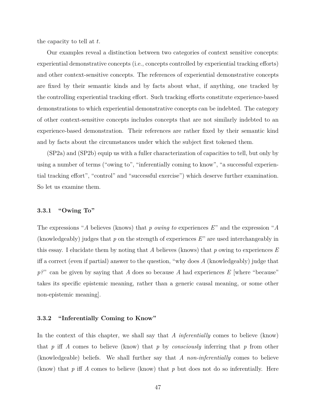the capacity to tell at *t*.

Our examples reveal a distinction between two categories of context sensitive concepts: experiential demonstrative concepts (i.e., concepts controlled by experiential tracking efforts) and other context-sensitive concepts. The references of experiential demonstrative concepts are fixed by their semantic kinds and by facts about what, if anything, one tracked by the controlling experiential tracking effort. Such tracking efforts constitute experience-based demonstrations to which experiential demonstrative concepts can be indebted. The category of other context-sensitive concepts includes concepts that are not similarly indebted to an experience-based demonstration. Their references are rather fixed by their semantic kind and by facts about the circumstances under which the subject first tokened them.

(SP2a) and (SP2b) equip us with a fuller characterization of capacities to tell, but only by using a number of terms ("owing to", "inferentially coming to know", "a successful experiential tracking effort", "control" and "successful exercise") which deserve further examination. So let us examine them.

#### **3.3.1 "Owing To"**

The expressions "*A* believes (knows) that *p owing to* experiences *E*" and the expression "*A* (knowledgeably) judges that *p* on the strength of experiences *E*" are used interchangeably in this essay. I elucidate them by noting that *A* believes (knows) that *p* owing to experiences *E* iff a correct (even if partial) answer to the question, "why does *A* (knowledgeably) judge that *p?*" can be given by saying that *A* does so because *A* had experiences *E* [where "because" takes its specific epistemic meaning, rather than a generic causal meaning, or some other non-epistemic meaning].

# **3.3.2 "Inferentially Coming to Know"**

In the context of this chapter, we shall say that *A inferentially* comes to believe (know) that *p* iff *A* comes to believe (know) that *p* by *consciously* inferring that *p* from other (knowledgeable) beliefs. We shall further say that *A non-inferentially* comes to believe (know) that *p* iff *A* comes to believe (know) that *p* but does not do so inferentially. Here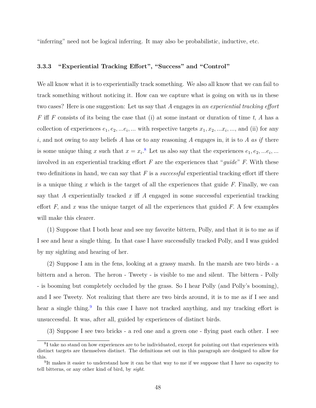"inferring" need not be logical inferring. It may also be probabilistic, inductive, etc.

# **3.3.3 "Experiential Tracking Effort", "Success" and "Control"**

We all know what it is to experientially track something. We also all know that we can fail to track something without noticing it. How can we capture what is going on with us in these two cases? Here is one suggestion: Let us say that *A* engages in *an experiential tracking effort F* iff *F* consists of its being the case that (i) at some instant or duration of time *t*, *A* has a collection of experiences  $e_1, e_2, \ldots e_i, \ldots$  with respective targets  $x_1, x_2, \ldots x_i, \ldots$ , and (ii) for any *i*, and not owing to any beliefs *A* has or to any reasoning *A* engages in, it is to *A as if* there is some unique thing *x* such that  $x = x_i$ <sup>[8](#page-58-0)</sup>. Let us also say that the experiences  $e_1, e_2, \dots e_i, \dots$ involved in an experiential tracking effort *F* are the experiences that "*guide*" *F*. With these two definitions in hand, we can say that *F* is a *successful* experiential tracking effort iff there is a unique thing *x* which is the target of all the experiences that guide *F*. Finally, we can say that *A* experientially tracked *x* iff *A* engaged in some successful experiential tracking effort  $F$ , and  $x$  was the unique target of all the experiences that guided  $F$ . A few examples will make this clearer.

(1) Suppose that I both hear and see my favorite bittern, Polly, and that it is to me as if I see and hear a single thing. In that case I have successfully tracked Polly, and I was guided by my sighting and hearing of her.

(2) Suppose I am in the fens, looking at a grassy marsh. In the marsh are two birds - a bittern and a heron. The heron - Tweety - is visible to me and silent. The bittern - Polly - is booming but completely occluded by the grass. So I hear Polly (and Polly's booming), and I see Tweety. Not realizing that there are two birds around, it is to me as if I see and hear a single thing.<sup>[9](#page-58-1)</sup> In this case I have not tracked anything, and my tracking effort is unsuccessful. It was, after all, guided by experiences of distinct birds.

(3) Suppose I see two bricks - a red one and a green one - flying past each other. I see

<span id="page-58-0"></span><sup>&</sup>lt;sup>8</sup>I take no stand on how experiences are to be individuated, except for pointing out that experiences with distinct targets are themselves distinct. The definitions set out in this paragraph are designed to allow for this.

<span id="page-58-1"></span><sup>&</sup>lt;sup>9</sup>It makes it easier to understand how it can be that way to me if we suppose that I have no capacity to tell bitterns, or any other kind of bird, by *sight*.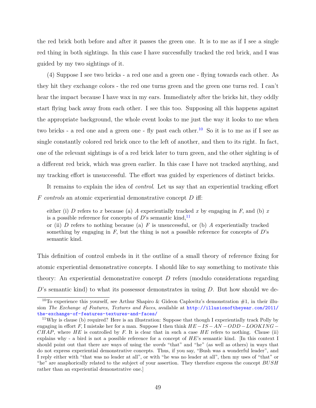the red brick both before and after it passes the green one. It is to me as if I see a single red thing in both sightings. In this case I have successfully tracked the red brick, and I was guided by my two sightings of it.

(4) Suppose I see two bricks - a red one and a green one - flying towards each other. As they hit they exchange colors - the red one turns green and the green one turns red. I can't hear the impact because I have wax in my ears. Immediately after the bricks hit, they oddly start flying back away from each other. I see this too. Supposing all this happens against the appropriate background, the whole event looks to me just the way it looks to me when two bricks - a red one and a green one - fly past each other.<sup>[10](#page-59-0)</sup> So it is to me as if I see as single constantly colored red brick once to the left of another, and then to its right. In fact, one of the relevant sightings is of a red brick later to turn green, and the other sighting is of a different red brick, which was green earlier. In this case I have not tracked anything, and my tracking effort is unsuccessful. The effort was guided by experiences of distinct bricks.

It remains to explain the idea of *control*. Let us say that an experiential tracking effort *F controls* an atomic experiential demonstrative concept *D* iff:

either (i) *D* refers to *x* because (a) *A* experientially tracked *x* by engaging in *F*, and (b) *x* is a possible reference for concepts of  $D$ 's semantic kind,  $\frac{11}{2}$  $\frac{11}{2}$  $\frac{11}{2}$ 

or (ii) *D* refers to nothing because (a) *F* is unsuccessful, or (b) *A* experientially tracked something by engaging in  $F$ , but the thing is not a possible reference for concepts of  $D$ 's semantic kind.

This definition of control embeds in it the outline of a small theory of reference fixing for atomic experiential demonstrative concepts. I should like to say something to motivate this theory: An experiential demonstrative concept *D* refers (modulo considerations regarding *D*'s semantic kind) to what its possessor demonstrates in using *D*. But how should we de-

<span id="page-59-0"></span><sup>&</sup>lt;sup>10</sup>To experience this yourself, see Arthur Shapiro & Gideon Caplovitz's demonstration  $#1$ , in their illusion *The Exchange of Features, Textures and Faces*, available at [http://illusionoftheyear.com/2011/](http://illusionoftheyear.com/2011/the-exchange-of-features-textures-and-faces/) [the-exchange-of-features-textures-and-faces/](http://illusionoftheyear.com/2011/the-exchange-of-features-textures-and-faces/)

<span id="page-59-1"></span><sup>11</sup>Why is clause (b) required? Here is an illustration: Suppose that though I experientially track Polly by engaging in effort *F*, I mistake her for a man. Suppose I then think *HE* −*IS* −*AN* −*ODD* −*LOOKING*− *CHAP*, where *HE* is controlled by *F*. It is clear that in such a case *HE* refers to nothing. Clause (ii) explains why - a bird is not a possible reference for a concept of *HE*'s semantic kind. [In this context I should point out that there are ways of using the *words* "that" and "he" (as well as others) in ways that do not express experiential demonstrative concepts. Thus, if you say, "Bush was a wonderful leader", and I reply either with "that was no leader at all", or with "he was no leader at all", then my uses of "that" or "he" are anaphorically related to the subject of your assertion. They therefore express the concept *BUSH* rather than an experiential demonstrative one.]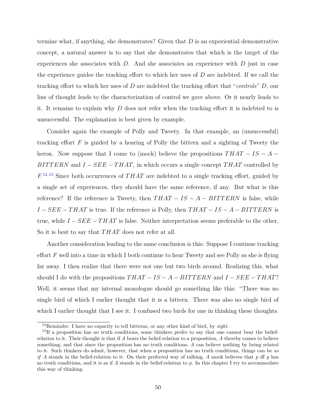termine what, if anything, she demonstrates? Given that *D* is an experiential demonstrative concept, a natural answer is to say that she demonstrates that which is the target of the experiences she associates with *D*. And she associates an experience with *D* just in case the experience guides the tracking effort to which her uses of *D* are indebted. If we call the tracking effort to which her uses of *D* are indebted the tracking effort that "*controls*" *D*, our line of thought leads to the characterization of control we gave above. Or it nearly leads to it. It remains to explain why *D* does not refer when the tracking effort it is indebted to is unsuccessful. The explanation is best given by example.

Consider again the example of Polly and Tweety. In that example, an (unsuccessful) tracking effort *F* is guided by a hearing of Polly the bittern and a sighting of Tweety the heron. Now suppose that I come to (mock) believe the propositions  $THAT - IS - A -$ *BITTERN* and *I* − *SEE* − *THAT*, in which occurs a single concept *THAT* controlled by *F*. [12](#page-60-0)*,*[13](#page-60-1) Since both occurrences of *T HAT* are indebted to a single tracking effort, guided by a single set of experiences, they should have the same reference, if any. But what is this reference? If the reference is Tweety, then *T HAT* − *IS* − *A* − *BIT T ERN* is false, while *I* − *SEE* − *THAT* is true. If the reference is Polly, then  $THAT - IS - A - BITTERN$  is true, while *I* − *SEE* − *T HAT* is false. Neither interpretation seems preferable to the other. So it is best to say that *T HAT* does not refer at all.

Another consideration leading to the same conclusion is this: Suppose I continue tracking effort *F* well into a time in which I both continue to hear Tweety and see Polly as she is flying far away. I then realize that there were not one but two birds around. Realizing this, what should I do with the propositions  $THAT - IS - A - BITTERN$  and  $I - SEE - THAT$ ? Well, it seems that my internal monologue should go something like this: "There was no single bird of which I earlier thought that it is a bittern. There was also no single bird of which I earlier thought that I see it. I confused two birds for one in thinking these thoughts.

<span id="page-60-1"></span><span id="page-60-0"></span><sup>12</sup>Reminder: I have no capacity to tell bitterns, or any other kind of bird, by *sight*.

<sup>&</sup>lt;sup>13</sup>If a proposition has no truth conditions, some thinkers prefer to say that one cannot bear the beliefrelation to it. Their thought is that if *A* bears the belief-relation to a proposition, *A* thereby comes to believe something; and that since the proposition has no truth conditions, *A* can believe nothing by being related to it. Such thinkers do admit, however, that when a proposition has no truth conditions, things can be *as if A* stands in the belief-relation to it. On their preferred way of talking, *A* mock believes that *p* iff *p* has no truth conditions, and it is as if *A* stands in the belief-relation to *p*. In this chapter I try to accommodate this way of thinking.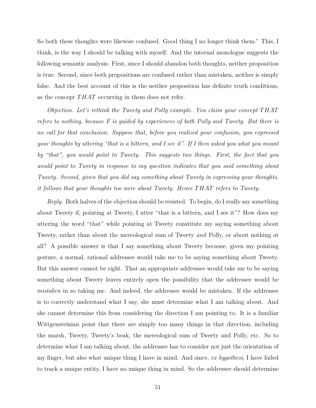So both these thoughts were likewise confused. Good thing I no longer think them." This, I think, is the way I should be talking with myself. And the internal monologue suggests the following semantic analysis: First, since I should abandon both thoughts, neither proposition is true. Second, since both propositions are confused rather than mistaken, neither is simply false. And the best account of this is the neither proposition has definite truth conditions, as the concept *T HAT* occurring in them does not refer.

*Objection. Let's rethink the Tweety and Polly example. You claim your concept T HAT refers to nothing, because F is guided by experiences of both Polly and Tweety. But there is no call for that conclusion. Suppose that, before you realized your confusion, you expressed your thoughts by uttering "that is a bittern, and I see it". If I then asked you what you meant by "that", you would point to Tweety. This suggests two things. First, the fact that you would point to Tweety in response to my question indicates that you said something about Tweety. Second, given that you did say something about Tweety in expressing your thoughts, it follows that your thoughts too were about Tweety. Hence T HAT refers to Tweety.*

*Reply.* Both halves of the objection should be resisted. To begin, do I really say something about Tweety if, pointing at Tweety, I utter "that is a bittern, and I see it"? How does my uttering the word "that" while pointing at Tweety constitute my saying something about Tweety, rather than about the mereological sum of Tweety *and* Polly, or about nothing at all? A possible answer is that I say something about Tweety because, given my pointing gesture, a normal, rational addressee would take me to be saying something about Tweety. But this answer cannot be right. That an appropriate addressee would take me to be saying something about Tweety leaves entirely open the possibility that the addressee would be *mistaken* in so taking me. And indeed, the addressee would be mistaken. If the addressee is to correctly understand what I say, she must determine what I am talking about. And she cannot determine this from considering the direction I am pointing to. It is a familiar Wittgensteinian point that there are simply too many things in that direction, including the marsh, Tweety, Tweety's beak, the mereological sum of Tweety and Polly, etc. So to determine what I am talking about, the addressee has to consider not just the orientation of my finger, but also what unique thing I have in mind. And since, *ex hypothesi*, I have failed to track a unique entity, I have no unique thing in mind. So the addressee should determine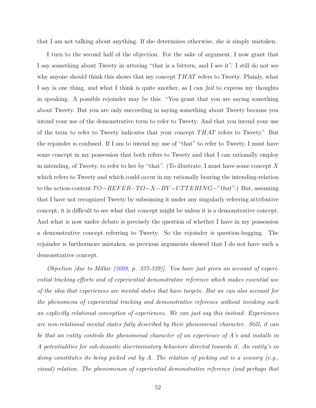that I am not talking about anything. If she determines otherwise, she is simply mistaken.

I turn to the second half of the objection. For the sake of argument, I now grant that I say something about Tweety in uttering "that is a bittern, and I see it". I still do not see why anyone should think this shows that my concept *T HAT* refers to Tweety. Plainly, what I say is one thing, and what I think is quite another, as I can *fail* to express my thoughts in speaking. A possible rejoinder may be this: "You grant that you are saying something about Tweety. But you are only succeeding in saying something about Tweety because you intend your use of the demonstrative term to refer to Tweety. And that you intend your use of the term to refer to Tweety indicates that your concept *T HAT* refers to Tweety." But the rejoinder is confused. If I am to intend my use of "that" to refer to Tweety, I must have some concept in my possession that both refers to Tweety and that I can rationally employ in intending, of Tweety, to refer to her by "that". (To illustrate, I must have some concept *X* which refers to Tweety and which could occur in my rationally bearing the intending-relation to the action-content  $TO-REFER-TO-X-BY-UTTERING-Fthat$ <sup>→</sup>.) But, assuming that I have not recognized Tweety by subsuming it under any singularly referring attributive concept, it is difficult to see what that concept might be unless it is a demonstrative concept. And what is now under debate is precisely the question of whether I have in my possession a demonstrative concept referring to Tweety. So the rejoinder is question-begging. The rejoinder is furthermore mistaken, as previous arguments showed that I do not have such a demonstrative concept.

*Objection [due to Millar [\(2008,](#page-151-0) p. 337-339)]. You have just given an account of experiential tracking efforts and of experiential demonstrative reference which makes essential use of the idea that experiences are mental states that have targets. But we can also account for the phenomena of experiential tracking and demonstrative reference without invoking such an explicitly relational conception of experiences. We can just say this instead: Experiences are non-relational mental states fully described by their phenomenal character. Still, it can be that an entity controls the phenomenal character of an experience of A's and installs in A potentialities for sub-doxastic discriminatory behaviors directed towards it. An entity's so doing constitutes its being picked out by A. The relation of picking out is a sensory (e.g., visual) relation. The phenomenon of experiential demonstrative reference (and perhaps that*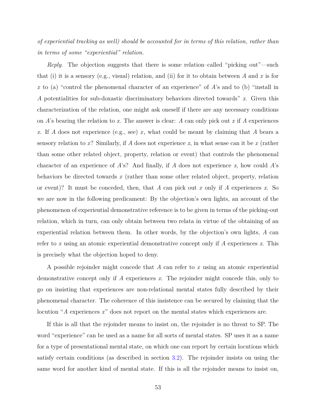*of experiential tracking as well) should be accounted for in terms of this relation, rather than in terms of some "experiential" relation.*

*Reply*. The objection suggests that there is some relation–called "picking out"—such that (i) it is a sensory (e.g., visual) relation, and (ii) for it to obtain between *A* and *x* is for *x* to (a) "control the phenomenal character of an experience" of *A*'s and to (b) "install in *A* potentialities for sub-doxastic discriminatory behaviors directed towards" *x*. Given this characterization of the relation, one might ask oneself if there are any necessary conditions on *A*'s bearing the relation to *x*. The answer is clear: *A* can only pick out *x* if *A* experiences *x*. If *A* does not experience (e.g., see) *x*, what could be meant by claiming that *A* bears a sensory relation to *x*? Similarly, if *A* does not experience *x*, in what sense can it be *x* (rather than some other related object, property, relation or event) that controls the phenomenal character of an experience of *A*'s? And finally, if *A* does not experience *x*, how could *A*'s behaviors be directed towards *x* (rather than some other related object, property, relation or event)? It must be conceded, then, that *A* can pick out *x* only if *A* experiences *x*. So we are now in the following predicament: By the objection's own lights, an account of the phenomenon of experiential demonstrative reference is to be given in terms of the picking-out relation, which in turn, can only obtain between two relata in virtue of the obtaining of an experiential relation between them. In other words, by the objection's own lights, *A* can refer to *x* using an atomic experiential demonstrative concept only if *A* experiences *x*. This is precisely what the objection hoped to deny.

A possible rejoinder might concede that *A* can refer to *x* using an atomic experiential demonstrative concept only if *A* experiences *x*. The rejoinder might concede this, only to go on insisting that experiences are non-relational mental states fully described by their phenomenal character. The coherence of this insistence can be secured by claiming that the locution "*A* experiences *x*" does not report on the mental states which experiences are.

If this is all that the rejoinder means to insist on, the rejoinder is no threat to SP. The word "experience" can be used as a name for all sorts of mental states. SP uses it as a name for a type of presentational mental state, on which one can report by certain locutions which satisfy certain conditions (as described in section [3.2\)](#page-48-0). The rejoinder insists on using the same word for another kind of mental state. If this is all the rejoinder means to insist on,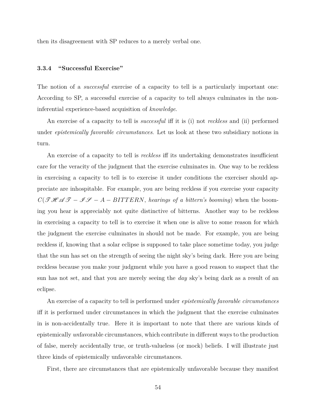then its disagreement with SP reduces to a merely verbal one.

# **3.3.4 "Successful Exercise"**

The notion of a *successful* exercise of a capacity to tell is a particularly important one: According to SP, a successful exercise of a capacity to tell always culminates in the noninferential experience-based acquisition of *knowledge*.

An exercise of a capacity to tell is *successful* iff it is (i) not *reckless* and (ii) performed under *epistemically favorable circumstances*. Let us look at these two subsidiary notions in turn.

An exercise of a capacity to tell is *reckless* iff its undertaking demonstrates insufficient care for the veracity of the judgment that the exercise culminates in. One way to be reckless in exercising a capacity to tell is to exercise it under conditions the exerciser should appreciate are inhospitable. For example, you are being reckless if you exercise your capacity  $C(\mathcal{THAG}-\mathcal{IF}-A-BITTERN,$  *hearings of a bittern's booming*) when the booming you hear is appreciably not quite distinctive of bitterns. Another way to be reckless in exercising a capacity to tell is to exercise it when one is alive to some reason for which the judgment the exercise culminates in should not be made. For example, you are being reckless if, knowing that a solar eclipse is supposed to take place sometime today, you judge that the sun has set on the strength of seeing the night sky's being dark. Here you are being reckless because you make your judgment while you have a good reason to suspect that the sun has not set, and that you are merely seeing the *day* sky's being dark as a result of an eclipse.

An exercise of a capacity to tell is performed under *epistemically favorable circumstances* iff it is performed under circumstances in which the judgment that the exercise culminates in is non-accidentally true. Here it is important to note that there are various kinds of epistemically *un*favorable circumstances, which contribute in different ways to the production of false, merely accidentally true, or truth-valueless (or mock) beliefs. I will illustrate just three kinds of epistemically unfavorable circumstances.

First, there are circumstances that are epistemically unfavorable because they manifest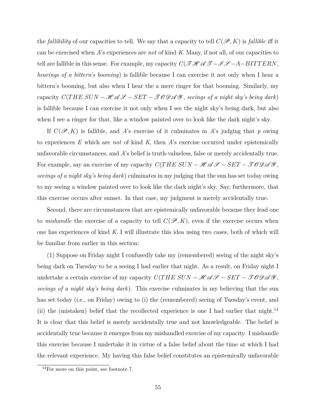the *fallibility* of our capacities to tell. We say that a capacity to tell  $C(\mathscr{P}, K)$  is *fallible* iff it can be exercised when *A*'s experiences are *not* of kind *K*. Many, if not all, of our capacities to tell are fallible in this sense. For example, my capacity  $C(\mathcal{THA} \mathcal{I}-\mathcal{I}\mathcal{I}-A-BITTERN,$ *hearings of a bittern's booming*) is fallible because I can exercise it not only when I hear a bittern's booming, but also when I hear the a mere ringer for that booming. Similarly, my capacity  $C(THE\ SUN - HAGS - SET - TODAG$ , seeings of a night sky's being dark) is fallible because I can exercise it not only when I see the night sky's being dark, but also when I see a ringer for that, like a window painted over to look like the dark night's sky.

If  $C(\mathscr{P}, K)$  is fallible, and A's exercise of it culminates in A's judging that p owing to experiences *E* which are *not* of kind *K*, then *A*'s exercise occurred under epistemically unfavorable circumstances, and *A*'s belief is truth-valueless, false or merely accidentally true. For example, say an exercise of my capacity  $C(THE\ SUN - HAGS - SET - TODAGS$ , *seeings of a night sky's being dark*) culminates in my judging that the sun has set today owing to my seeing a window painted over to look like the dark night's sky. Say, furthermore, that this exercise occurs after sunset. In that case, my judgment is merely accidentally true.

Second, there are circumstances that are epistemically unfavorable because they lead one to *mishandle* the exercise of a capacity to tell  $C(\mathcal{P}, K)$ , even if the exercise occurs when one has experiences of kind *K*. I will illustrate this idea using two cases, both of which will be familiar from earlier in this section:

(1) Suppose on Friday night I confusedly take my (remembered) seeing of the night sky's being dark on Tuesday to be a seeing I had earlier that night. As a result, on Friday night I undertake a certain exercise of my capacity  $C(THE\ SUN - HAGS - SET - JODAG)$ , *seeings of a night sky's being dark*). This exercise culminates in my believing that the sun has set today (i.e., on Friday) owing to (i) the (remembered) seeing of Tuesday's event, and (ii) the (mistaken) belief that the recollected experience is one I had earlier that night.<sup>[14](#page-65-0)</sup> It is clear that this belief is merely accidentally true and not knowledgeable. The belief is accidentally true because it emerges from my mishandled exercise of my capacity. I mishandle this exercise because I undertake it in virtue of a false belief about the time at which I had the relevant experience. My having this false belief constitutes an epistemically unfavorable

<span id="page-65-0"></span> $14$ For more on this point, see footnote [7.](#page-55-0)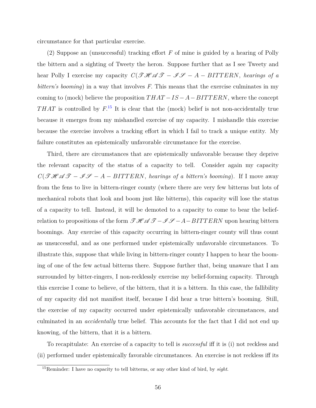circumstance for that particular exercise.

(2) Suppose an (unsuccessful) tracking effort *F* of mine is guided by a hearing of Polly the bittern and a sighting of Tweety the heron. Suppose further that as I see Tweety and hear Polly I exercise my capacity  $C(\mathcal{THAT} - \mathcal{IF} - \mathcal{IF} - \mathcal{IF} - \mathcal{IF} - \mathcal{IF} - \mathcal{IF} - \mathcal{IF} - \mathcal{IF} - \mathcal{IF} - \mathcal{IF} - \mathcal{IF} - \mathcal{IF} - \mathcal{IF} - \mathcal{IF} - \mathcal{IF} - \mathcal{IF} - \mathcal{IF} - \mathcal{IF} - \mathcal{IF} - \mathcal{IF} - \mathcal{IF} - \mathcal{IF} - \mathcal{IF} - \mathcal{IF} - \mathcal{IF} - \math$ *bittern's booming*) in a way that involves *F*. This means that the exercise culminates in my coming to (mock) believe the proposition  $THAT - IS - A - BITTERN$ , where the concept *T HAT* is controlled by *F*. [15](#page-66-0) It is clear that the (mock) belief is not non-accidentally true because it emerges from my mishandled exercise of my capacity. I mishandle this exercise because the exercise involves a tracking effort in which I fail to track a unique entity. My failure constitutes an epistemically unfavorable circumstance for the exercise.

Third, there are circumstances that are epistemically unfavorable because they deprive the relevant capacity of the status of a capacity to tell. Consider again my capacity  $C(\mathcal{THM} \mathcal{F} - \mathcal{IF} - A - BITTERN$ , *hearings of a bittern's booming*). If I move away from the fens to live in bittern-ringer county (where there are very few bitterns but lots of mechanical robots that look and boom just like bitterns), this capacity will lose the status of a capacity to tell. Instead, it will be demoted to a capacity to come to bear the beliefrelation to propositions of the form  $\mathcal{THI} \mathcal{ATI}-\mathcal{IFI}-A-BITTERN$  upon hearing bittern boomings. Any exercise of this capacity occurring in bittern-ringer county will thus count as unsuccessful, and as one performed under epistemically unfavorable circumstances. To illustrate this, suppose that while living in bittern-ringer county I happen to hear the booming of one of the few actual bitterns there. Suppose further that, being unaware that I am surrounded by bitter-ringers, I non-recklessly exercise my belief-forming capacity. Through this exercise I come to believe, of the bittern, that it is a bittern. In this case, the fallibility of my capacity did not manifest itself, because I did hear a true bittern's booming. Still, the exercise of my capacity occurred under epistemically unfavorable circumstances, and culminated in an *accidentally* true belief. This accounts for the fact that I did not end up knowing, of the bittern, that it is a bittern.

To recapitulate: An exercise of a capacity to tell is *successful* iff it is (i) not reckless and (ii) performed under epistemically favorable circumstances. An exercise is not reckless iff its

<span id="page-66-0"></span><sup>15</sup>Reminder: I have no capacity to tell bitterns, or any other kind of bird, by *sight*.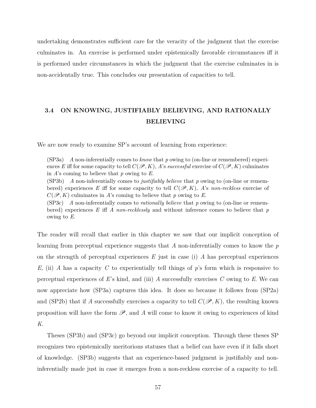undertaking demonstrates sufficient care for the veracity of the judgment that the exercise culminates in. An exercise is performed under epistemically favorable circumstances iff it is performed under circumstances in which the judgment that the exercise culminates in is non-accidentally true. This concludes our presentation of capacities to tell.

# <span id="page-67-0"></span>**3.4 ON KNOWING, JUSTIFIABLY BELIEVING, AND RATIONALLY BELIEVING**

We are now ready to examine SP's account of learning from experience:

(SP3a) *A* non-inferentially comes to *know* that *p* owing to (on-line or remembered) experiences *E* iff for some capacity to tell  $C(\mathcal{P}, K)$ , *A*'s *successful* exercise of  $C(\mathcal{P}, K)$  culminates in *A*'s coming to believe that *p* owing to *E*. (SP3b) *A* non-inferentially comes to *justifiably believe* that *p* owing to (on-line or remembered) experiences E iff for some capacity to tell  $C(\mathscr{P}, K)$ , *A*'s *non-reckless* exercise of  $C(\mathscr{P}, K)$  culminates in *A*'s coming to believe that *p* owing to *E*. (SP3c) *A* non-inferentially comes to *rationally believe* that *p* owing to (on-line or remem-

bered) experiences *E* iff *A non-recklessly* and without inference comes to believe that *p* owing to *E*.

The reader will recall that earlier in this chapter we saw that our implicit conception of learning from perceptual experience suggests that *A* non-inferentially comes to know the *p* on the strength of perceptual experiences *E* just in case (i) *A* has perceptual experiences *E,* (ii) *A* has a capacity *C* to experientially tell things of *p*'s form which is responsive to perceptual experiences of *E*'s kind, and (iii) *A* successfully exercises *C* owing to *E*. We can now appreciate how (SP3a) captures this idea. It does so because it follows from (SP2a) and (SP2b) that if *A* successfully exercises a capacity to tell  $C(\mathcal{P}, K)$ , the resulting known proposition will have the form  $\mathscr{P}$ , and A will come to know it owing to experiences of kind *K*.

Theses (SP3b) and (SP3c) go beyond our implicit conception. Through these theses SP recognizes two epistemically meritorious statuses that a belief can have even if it falls short of knowledge. (SP3b) suggests that an experience-based judgment is justifiably and noninferentially made just in case it emerges from a non-reckless exercise of a capacity to tell.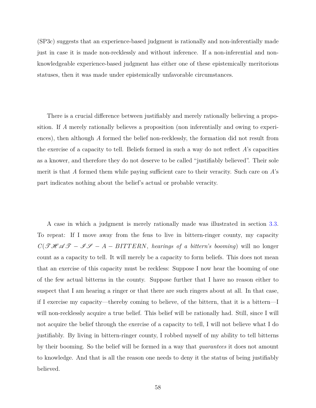(SP3c) suggests that an experience-based judgment is rationally and non-inferentially made just in case it is made non-recklessly and without inference. If a non-inferential and nonknowledgeable experience-based judgment has either one of these epistemically meritorious statuses, then it was made under epistemically unfavorable circumstances.

There is a crucial difference between justifiably and merely rationally believing a proposition. If *A* merely rationally believes a proposition (non inferentially and owing to experiences), then although *A* formed the belief non-recklessly, the formation did not result from the exercise of a capacity to tell. Beliefs formed in such a way do not reflect *A*'s capacities as a knower, and therefore they do not deserve to be called "justifiably believed". Their sole merit is that *A* formed them while paying sufficient care to their veracity. Such care on *A*'s part indicates nothing about the belief's actual or probable veracity.

A case in which a judgment is merely rationally made was illustrated in section [3.3.](#page-51-0) To repeat: If I move away from the fens to live in bittern-ringer county, my capacity  $C(\mathcal{THAT} - \mathcal{IF} - \mathcal{IF} - \mathcal{IF} - \mathcal{IF} - \mathcal{IF} - \mathcal{IF} - \mathcal{IF} - \mathcal{IF} - \mathcal{IF} - \mathcal{IF} - \mathcal{IF} - \mathcal{IF} - \mathcal{IF} - \mathcal{IF} - \mathcal{IF} - \mathcal{IF} - \mathcal{IF} - \mathcal{IF} - \mathcal{IF} - \mathcal{IF} - \mathcal{IF} - \mathcal{IF} - \mathcal{IF} - \mathcal{IF} - \mathcal{IF} - \mathcal{IF} - \mathcal{IF} - \mathcal{IF} - \mathcal{IF} - \mathcal{IF} - \$ count as a capacity to tell. It will merely be a capacity to form beliefs. This does not mean that an exercise of this capacity must be reckless: Suppose I now hear the booming of one of the few actual bitterns in the county. Suppose further that I have no reason either to suspect that I am hearing a ringer or that there are such ringers about at all. In that case, if I exercise my capacity—thereby coming to believe, of the bittern, that it is a bittern—I will non-recklessly acquire a true belief. This belief will be rationally had. Still, since I will not acquire the belief through the exercise of a capacity to tell, I will not believe what I do justifiably. By living in bittern-ringer county, I robbed myself of my ability to tell bitterns by their booming. So the belief will be formed in a way that *guarantees* it does not amount to knowledge. And that is all the reason one needs to deny it the status of being justifiably believed.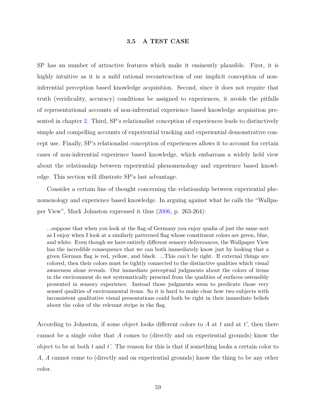#### **3.5 A TEST CASE**

<span id="page-69-0"></span>SP has an number of attractive features which make it eminently plausible. First, it is highly intuitive as it is a mild rational reconstruction of our implicit conception of noninferential perception based knowledge acquisition. Second, since it does not require that truth (veridicality, accuracy) conditions be assigned to experiences, it avoids the pitfalls of representational accounts of non-inferential experience based knowledge acquisition presented in chapter [2.](#page-14-0) Third, SP's relationalist conception of experiences leads to distinctively simple and compelling accounts of experiential tracking and experiential demonstrative concept use. Finally, SP's relationalist conception of experiences allows it to account for certain cases of non-inferential experience based knowledge, which embarrass a widely held view about the relationship between experiential phenomenology and experience based knowledge. This section will illustrate SP's last advantage.

Consider a certain line of thought concerning the relationship between experiential phenomenology and experience based knowledge. In arguing against what he calls the "Wallpaper View", Mark Johnston expressed it thus [\(2006,](#page-150-0) p. 263-264):

...suppose that when you look at the flag of Germany you enjoy qualia of just the same sort as I enjoy when I look at a similarly patterned flag whose constituent colors are green, blue, and white. Even though we have entirely different sensory deliverances, the Wallpaper View has the incredible consequence that we can both immediately know just by looking that a given German flag is red, yellow, and black. ...This can't be right. If external things are colored, then their colors must be tightly connected to the distinctive qualities which visual awareness alone reveals. Our immediate perceptual judgments about the colors of items in the environment do not systematically prescind from the qualities of surfaces ostensibly presented in sensory experience. Instead those judgments seem to predicate those very sensed qualities of environmental items. So it is hard to make clear how two subjects with inconsistent qualitative visual presentations could both be right in their immediate beliefs about the color of the relevant stripe in the flag.

According to Johnston, if some object looks different colors to  $A$  at  $t$  and at  $t'$ , then there cannot be a single color that *A* comes to (directly and on experiential grounds) know the object to be at both *t* and *t'*. The reason for this is that if something looks a certain color to *A*, *A* cannot come to (directly and on experiential grounds) know the thing to be any other color.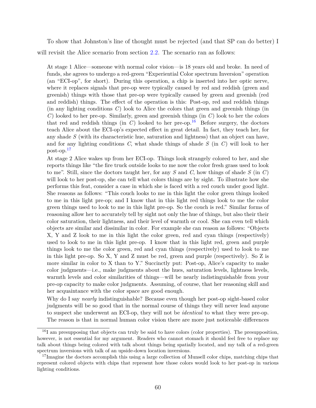To show that Johnston's line of thought must be rejected (and that SP can do better) I will revisit the Alice scenario from section [2.2.](#page-17-0) The scenario ran as follows:

At stage 1 Alice—someone with normal color vision—is 18 years old and broke. In need of funds, she agrees to undergo a red-green "Experiential Color spectrum Inversion" operation (an "ECI-op", for short). During this operation, a chip is inserted into her optic nerve, where it replaces signals that pre-op were typically caused by red and reddish (green and greenish) things with those that pre-op were typically caused by green and greenish (red and reddish) things. The effect of the operation is this: Post-op, red and reddish things (in any lighting conditions *C*) look to Alice the colors that green and greenish things (in *C*) looked to her pre-op. Similarly, green and greenish things (in *C*) look to her the colors that red and reddish things (in  $C$ ) looked to her pre-op.<sup>[16](#page-70-0)</sup> Before surgery, the doctors teach Alice about the ECI-op's expected effect in great detail. In fact, they teach her, for any shade *S* (with its characteristic hue, saturation and lightness) that an object can have, and for any lighting conditions *C*, what shade things of shade *S* (in *C*) will look to her post-op.[17](#page-70-1)

At stage 2 Alice wakes up from her ECI-op. Things look strangely colored to her, and she reports things like "the fire truck outside looks to me now the color fresh grass used to look to me". Still, since the doctors taught her, for any *S* and *C*, how things of shade *S* (in *C*) will look to her post-op, she can tell what colors things are by sight. To illustrate how she performs this feat, consider a case in which she is faced with a red couch under good light. She reasons as follows: "This couch looks to me in this light the color green things looked to me in this light pre-op; and I know that in this light red things look to me the color green things used to look to me in this light pre-op. So the couch is red." Similar forms of reasoning allow her to accurately tell by sight not only the hue of things, but also their their color saturation, their lightness, and their level of warmth or cool. She can even tell which objects are similar and dissimilar in color. For example she can reason as follows: "Objects X, Y and Z look to me in this light the color green, red and cyan things (respectively) used to look to me in this light pre-op. I know that in this light red, green and purple things look to me the color green, red and cyan things (respectively) used to look to me in this light pre-op. So X, Y and Z must be red, green and purple (respectively). So Z is more similar in color to X than to Y." Succinctly put: Post-op, Alice's capacity to make color judgments—i.e., make judgments about the hues, saturation levels, lightness levels, warmth levels and color similarities of things—will be nearly indistinguishable from your pre-op capacity to make color judgments. Assuming, of course, that her reasoning skill and her acquaintance with the color space are good enough.

Why do I say *nearly* indistinguishable? Because even though her post-op sight-based color judgments will be so good that in the normal course of things they will never lead anyone to suspect she underwent an ECI-op, they will not be *identical* to what they were pre-op. The reason is that in normal human color vision there are more just noticeable differences

<span id="page-70-0"></span> $^{16}$ I am presupposing that objects can truly be said to have colors (color properties). The presupposition, however, is not essential for my argument. Readers who cannot stomach it should feel free to replace my talk about things being colored with talk about things being spatially located, and my talk of a red-green spectrum inversions with talk of an upside-down location inversions.

<span id="page-70-1"></span><sup>&</sup>lt;sup>17</sup>Imagine the doctors accomplish this using a large collection of Munsell color chips, matching chips that represent colored objects with chips that represent how those colors would look to her post-op in various lighting conditions.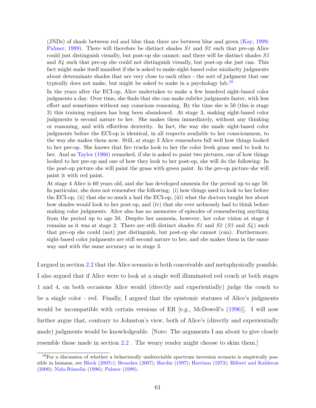(JNDs) of shade between red and blue than there are between blue and green [\(Kay,](#page-150-1) [1999;](#page-150-1) [Palmer,](#page-151-1) [1999\)](#page-151-1). There will therefore be distinct shades *S1* and *S2* such that pre-op Alice could just distinguish visually, but post-op she cannot; and there will be distinct shades *S3* and *S4* such that pre-op she could not distinguish visually, but post-op she just can. This fact might make itself manifest if she is asked to make sight-based color similarity judgments about determinate shades that are very close to each other - the sort of judgment that one typically does not make, but might be asked to make in a psychology lab.<sup>[18](#page-71-0)</sup>

In the years after the ECI-op, Alice undertakes to make a few hundred sight-based color judgments a day. Over time, she finds that she can make subtler judgments faster, with less effort and sometimes without any conscious reasoning. By the time she is 50 (this is stage 3) this training regimen has long been abandoned. At stage 3, making sight-based color judgments is second nature to her. She makes them immediately, without any thinking or reasoning, and with effortless dexterity. In fact, the way she made sight-based color judgments before the ECI-op is identical, in all respects available to her consciousness, to the way she makes them now. Still, at stage 3 Alice remembers full well how things looked to her pre-op. She knows that fire trucks look to her the color fresh grass used to look to her. And as [Taylor](#page-153-1) [\(1966\)](#page-153-1) remarked, if she is asked to paint two pictures, one of how things looked to her pre-op and one of how they look to her post-op, she will do the following: In the post-op picture she will paint the grass with green paint. In the pre-op picture she will paint it with red paint.

At stage 4 Alice is 60 years old, and she has developed amnesia for the period up to age 50. In particular, she does not remember the following: (i) how things used to look to her before the ECI-op, (ii) that she so much a had the ECI-op, (iii) what the doctors taught her about how shades would look to her post-op, and (iv) that she ever arduously had to think before making color judgments. Alice also has no memories of episodes of remembering anything from the period up to age 50. Despite her amnesia, however, her color vision at stage 4 remains as it was at stage 2. There are still distinct shades *S1* and *S2* (*S3* and *S4* ) such that pre-op she could (not) just distinguish, but post-op she cannot (can). Furthermore, sight-based color judgments are still second nature to her, and she makes them in the same way and with the same accuracy as in stage 3.

I argued in section [2.2](#page-17-0) that the Alice scenario is both conceivable and metaphysically possible. I also argued that if Alice were to look at a single well illuminated red couch at both stages 1 and 4, on both occasions Alice would (directly and experientially) judge the couch to be a single color - red. Finally, I argued that the epistemic statuses of Alice's judgments would be incompatible with certain versions of ER [e.g., McDowell's  $(1996)$ ]. I will now further argue that, contrary to Johnston's view, both of Alice's (directly and experientially made) judgments would be knowledgeable. [Note: The arguments I am about to give closely resemble those made in section [2.2](#page-17-0). The weary reader might choose to skim them.

<span id="page-71-0"></span><sup>&</sup>lt;sup>18</sup>For a discussion of whether a behaviorally undetectable spectrum inversion scenario is empirically pos-sible in humans, see [Block](#page-146-2) [\(2007c\)](#page-146-2); [Broackes](#page-147-1) [\(2007\)](#page-147-1); [Hardin](#page-149-1) [\(1997\)](#page-149-1); [Harrison](#page-149-2) [\(1973\)](#page-149-2); [Hilbert and Kalderon](#page-149-3) [\(2000\)](#page-149-3); [Nida-Rümelin](#page-151-2) [\(1996\)](#page-151-2); [Palmer](#page-151-1) [\(1999\)](#page-151-1).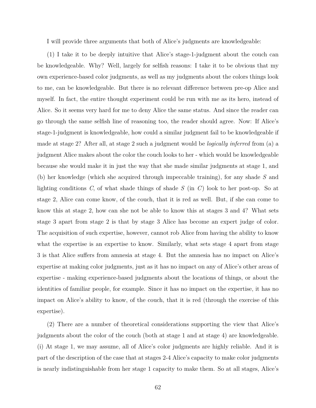I will provide three arguments that both of Alice's judgments are knowledgeable:

(1) I take it to be deeply intuitive that Alice's stage-1-judgment about the couch can be knowledgeable. Why? Well, largely for selfish reasons: I take it to be obvious that my own experience-based color judgments, as well as my judgments about the colors things look to me, can be knowledgeable. But there is no relevant difference between pre-op Alice and myself. In fact, the entire thought experiment could be run with me as its hero, instead of Alice. So it seems very hard for me to deny Alice the same status. And since the reader can go through the same selfish line of reasoning too, the reader should agree. Now: If Alice's stage-1-judgment is knowledgeable, how could a similar judgment fail to be knowledgeable if made at stage 2? After all, at stage 2 such a judgment would be *logically inferred* from (a) a judgment Alice makes about the color the couch looks to her - which would be knowledgeable because she would make it in just the way that she made similar judgments at stage 1, and (b) her knowledge (which she acquired through impeccable training), for any shade *S* and lighting conditions *C*, of what shade things of shade *S* (in *C*) look to her post-op. So at stage 2, Alice can come know, of the couch, that it is red as well. But, if she can come to know this at stage 2, how can she not be able to know this at stages 3 and 4? What sets stage 3 apart from stage 2 is that by stage 3 Alice has become an expert judge of color. The acquisition of such expertise, however, cannot rob Alice from having the ability to know what the expertise is an expertise to know. Similarly, what sets stage 4 apart from stage 3 is that Alice suffers from amnesia at stage 4. But the amnesia has no impact on Alice's expertise at making color judgments, just as it has no impact on any of Alice's other areas of expertise - making experience-based judgments about the locations of things, or about the identities of familiar people, for example. Since it has no impact on the expertise, it has no impact on Alice's ability to know, of the couch, that it is red (through the exercise of this expertise).

(2) There are a number of theoretical considerations supporting the view that Alice's judgments about the color of the couch (both at stage 1 and at stage 4) are knowledgeable. (i) At stage 1, we may assume, all of Alice's color judgments are highly reliable. And it is part of the description of the case that at stages 2-4 Alice's capacity to make color judgments is nearly indistinguishable from her stage 1 capacity to make them. So at all stages, Alice's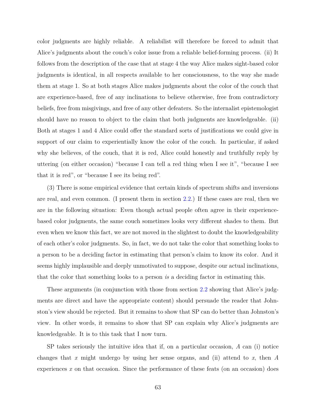color judgments are highly reliable. A reliabilist will therefore be forced to admit that Alice's judgments about the couch's color issue from a reliable belief-forming process. (ii) It follows from the description of the case that at stage 4 the way Alice makes sight-based color judgments is identical, in all respects available to her consciousness, to the way she made them at stage 1. So at both stages Alice makes judgments about the color of the couch that are experience-based, free of any inclinations to believe otherwise, free from contradictory beliefs, free from misgivings, and free of any other defeaters. So the internalist epistemologist should have no reason to object to the claim that both judgments are knowledgeable. (ii) Both at stages 1 and 4 Alice could offer the standard sorts of justifications we could give in support of our claim to experientially know the color of the couch. In particular, if asked why she believes, of the couch, that it is red, Alice could honestly and truthfully reply by uttering (on either occasion) "because I can tell a red thing when I see it", "because I see that it is red", or "because I see its being red".

(3) There is some empirical evidence that certain kinds of spectrum shifts and inversions are real, and even common. (I present them in section [2.2.](#page-17-0)) If these cases are real, then we are in the following situation: Even though actual people often agree in their experiencebased color judgments, the same couch sometimes looks very different shades to them. But even when we know this fact, we are not moved in the slightest to doubt the knowledgeability of each other's color judgments. So, in fact, we do not take the color that something looks to a person to be a deciding factor in estimating that person's claim to know its color. And it seems highly implausible and deeply unmotivated to suppose, despite our actual inclinations, that the color that something looks to a person *is* a deciding factor in estimating this.

These arguments (in conjunction with those from section [2.2](#page-17-0) showing that Alice's judgments are direct and have the appropriate content) should persuade the reader that Johnston's view should be rejected. But it remains to show that SP can do better than Johnston's view. In other words, it remains to show that SP can explain why Alice's judgments are knowledgeable. It is to this task that I now turn.

SP takes seriously the intuitive idea that if, on a particular occasion, *A* can (i) notice changes that *x* might undergo by using her sense organs, and (ii) attend to *x*, then *A* experiences *x* on that occasion. Since the performance of these feats (on an occasion) does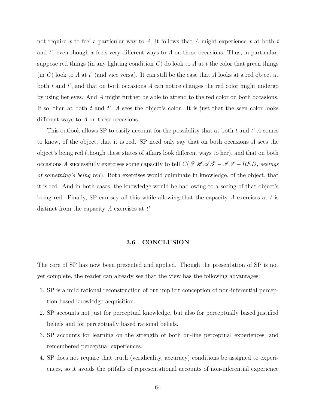not require *x* to feel a particular way to *A*, it follows that *A* might experience *x* at both *t* and *t*', even though *x* feels very different ways to *A* on these occasions. Thus, in particular, suppose red things (in any lighting condition *C*) do look to *A* at *t* the color that green things (in *C*) look to *A* at *t*' (and vice versa). It can still be the case that *A* looks at a red object at both *t* and *t*', and that on both occasions *A* can notice changes the red color might undergo by using her eyes. And *A* might further be able to attend to the red color on both occasions. If so, then at both *t* and *t*', *A* sees the object's color. It is just that the seen color looks different ways to *A* on these occasions.

This outlook allows SP to easily account for the possibility that at both *t* and *t*' *A* comes to know, of the object, that it is red. SP need only say that on both occasions *A* sees the object's being red (though these states of affairs look different ways to her), and that on both occasions *A* successfully exercises some capacity to tell  $C(\mathcal{THAT-HED})$ , seeings *of something's being red*). Both exercises would culminate in knowledge, of the object, that it is red. And in both cases, the knowledge would be had owing to a seeing of that object's being red. Finally, SP can say all this while allowing that the capacity *A* exercises at *t* is distinct from the capacity *A* exercises at *t*'.

## **3.6 CONCLUSION**

The core of SP has now been presented and applied. Though the presentation of SP is not yet complete, the reader can already see that the view has the following advantages:

- 1. SP is a mild rational reconstruction of our implicit conception of non-inferential perception based knowledge acquisition.
- 2. SP accounts not just for perceptual knowledge, but also for perceptually based justified beliefs and for perceptually based rational beliefs.
- 3. SP accounts for learning on the strength of both on-line perceptual experiences, and remembered perceptual experiences.
- 4. SP does not require that truth (veridicality, accuracy) conditions be assigned to experiences, so it avoids the pitfalls of representational accounts of non-inferential experience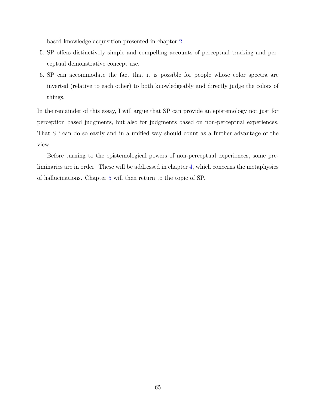based knowledge acquisition presented in chapter [2.](#page-14-0)

- 5. SP offers distinctively simple and compelling accounts of perceptual tracking and perceptual demonstrative concept use.
- 6. SP can accommodate the fact that it is possible for people whose color spectra are inverted (relative to each other) to both knowledgeably and directly judge the colors of things.

In the remainder of this essay, I will argue that SP can provide an epistemology not just for perception based judgments, but also for judgments based on non-perceptual experiences. That SP can do so easily and in a unified way should count as a further advantage of the view.

Before turning to the epistemological powers of non-perceptual experiences, some preliminaries are in order. These will be addressed in chapter [4,](#page-76-0) which concerns the metaphysics of hallucinations. Chapter [5](#page-129-0) will then return to the topic of SP.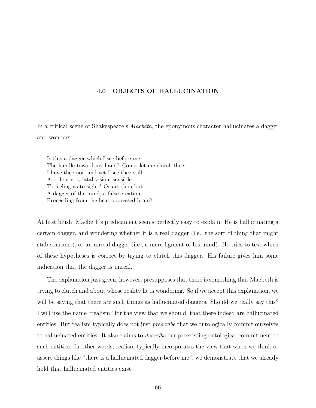# <span id="page-76-0"></span>**4.0 OBJECTS OF HALLUCINATION**

In a critical scene of Shakespeare's *Macbeth*, the eponymous character hallucinates a dagger and wonders:

Is this a dagger which I see before me, The handle toward my hand? Come, let me clutch thee: I have thee not, and yet I see thee still. Art thou not, fatal vision, sensible To feeling as to sight? Or art thou but A dagger of the mind, a false creation, Proceeding from the heat-oppressed brain?

At first blush, Macbeth's predicament seems perfectly easy to explain: He is hallucinating a certain dagger, and wondering whether it is a real dagger (i.e., the sort of thing that might stab someone), or an unreal dagger (i.e., a mere figment of his mind). He tries to test which of these hypotheses is correct by trying to clutch this dagger. His failure gives him some indication that the dagger is unreal.

The explanation just given, however, presupposes that there is something that Macbeth is trying to clutch and about whose reality he is wondering. So if we accept this explanation, we will be saying that there are such things as hallucinated daggers. Should we really say this? I will use the name "realism" for the view that we should; that there indeed are hallucinated entities. But realism typically does not just *prescribe* that we ontologically commit ourselves to hallucinated entities. It also claims to *describe* our preexisting ontological commitment to such entities. In other words, realism typically incorporates the view that when we think or assert things like "there is a hallucinated dagger before me", we demonstrate that we already hold that hallucinated entities exist.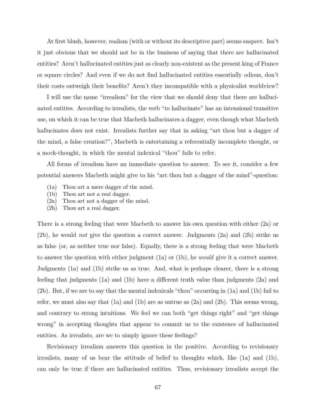At first blush, however, realism (with or without its descriptive part) seems suspect. Isn't it just obvious that we should not be in the business of saying that there are hallucinated entities? Aren't hallucinated entities just as clearly non-existent as the present king of France or square circles? And even if we do not find hallucinated entities essentially odious, don't their costs outweigh their benefits? Aren't they incompatible with a physicalist worldview?

I will use the name "irrealism" for the view that we should deny that there are hallucinated entities. According to irrealists, the verb "to hallucinate" has an intensional transitive use, on which it can be true that Macbeth hallucinates a dagger, even though what Macbeth hallucinates does not exist. Irrealists further say that in asking "art thou but a dagger of the mind, a false creation?", Macbeth is entertaining a referentially incomplete thought, or a mock-thought, in which the mental indexical "thou" fails to refer.

All forms of irrealism have an immediate question to answer. To see it, consider a few potential answers Macbeth might give to his "art thou but a dagger of the mind"-question:

- (1a) Thou art a mere dagger of the mind.
- (1b) Thou art not a real dagger.
- (2a) Thou art not a dagger of the mind.
- (2b) Thou art a real dagger.

There is a strong feeling that were Macbeth to answer his own question with either (2a) or (2b), he would *not* give the question a correct answer. Judgments (2a) and (2b) strike us as false (or, as neither true nor false). Equally, there is a strong feeling that were Macbeth to answer the question with either judgment (1a) or (1b), he *would* give it a correct answer. Judgments (1a) and (1b) strike us as true. And, what is perhaps clearer, there is a strong feeling that judgments (1a) and (1b) have a different truth value than judgments (2a) and (2b). But, if we are to say that the mental indexicals "thou" occurring in (1a) and (1b) fail to refer, we must also say that  $(1a)$  and  $(1b)$  are as untrue as  $(2a)$  and  $(2b)$ . This seems wrong, and contrary to strong intuitions. We feel we can both "get things right" and "get things wrong" in accepting thoughts that appear to commit us to the existence of hallucinated entities. As irrealists, are we to simply ignore these feelings?

Revisionary irrealism answers this question in the positive. According to revisionary irrealists, many of us bear the attitude of belief to thoughts which, like (1a) and (1b), can only be true if there are hallucinated entities. Thus, revisionary irrealists accept the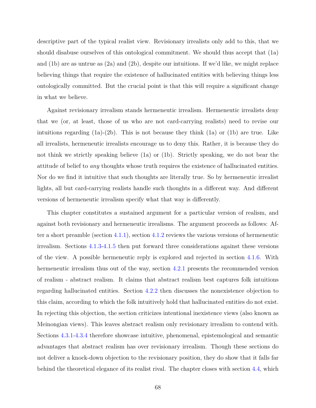descriptive part of the typical realist view. Revisionary irrealists only add to this, that we should disabuse ourselves of this ontological commitment. We should thus accept that (1a) and (1b) are as untrue as (2a) and (2b), despite our intuitions. If we'd like, we might replace believing things that require the existence of hallucinated entities with believing things less ontologically committed. But the crucial point is that this will require a significant change in what we believe.

Against revisionary irrealism stands hermeneutic irrealism. Hermeneutic irrealists deny that we (or, at least, those of us who are not card-carrying realists) need to revise our intuitions regarding  $(1a)-(2b)$ . This is not because they think  $(1a)$  or  $(1b)$  are true. Like all irrealists, hermeneutic irrealists encourage us to deny this. Rather, it is because they do not think we strictly speaking believe (1a) or (1b). Strictly speaking, we do not bear the attitude of belief to *any* thoughts whose truth requires the existence of hallucinated entities. Nor do we find it intuitive that such thoughts are literally true. So by hermeneutic irrealist lights, all but card-carrying realists handle such thoughts in a different way. And different versions of hermeneutic irrealism specify what that way is differently.

This chapter constitutes a sustained argument for a particular version of realism, and against both revisionary and hermeneutic irrealisms. The argument proceeds as follows: After a short preamble (section [4.1.1\)](#page-79-0), section [4.1.2](#page-82-0) reviews the various versions of hermeneutic irrealism. Sections [4.1.3](#page-84-0)[-4.1.5](#page-89-0) then put forward three considerations against these versions of the view. A possible hermeneutic reply is explored and rejected in section [4.1.6.](#page-92-0) With hermeneutic irrealism thus out of the way, section [4.2.1](#page-97-0) presents the recommended version of realism - abstract realism. It claims that abstract realism best captures folk intuitions regarding hallucinated entities. Section [4.2.2](#page-104-0) then discusses the nonexistence objection to this claim, according to which the folk intuitively hold that hallucinated entities do not exist. In rejecting this objection, the section criticizes intentional inexistence views (also known as Meinongian views). This leaves abstract realism only revisionary irrealism to contend with. Sections [4.3.1-](#page-107-0)[4.3.4](#page-116-0) therefore showcase intuitive, phenomenal, epistemological and semantic advantages that abstract realism has over revisionary irrealism. Though these sections do not deliver a knock-down objection to the revisionary position, they do show that it falls far behind the theoretical elegance of its realist rival. The chapter closes with section [4.4,](#page-120-0) which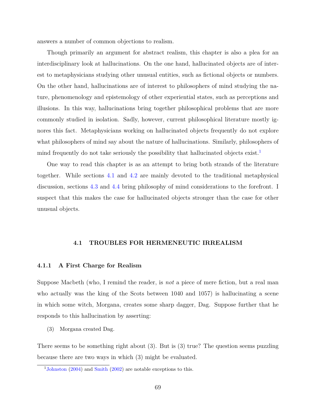answers a number of common objections to realism.

Though primarily an argument for abstract realism, this chapter is also a plea for an interdisciplinary look at hallucinations. On the one hand, hallucinated objects are of interest to metaphysicians studying other unusual entities, such as fictional objects or numbers. On the other hand, hallucinations are of interest to philosophers of mind studying the nature, phenomenology and epistemology of other experiential states, such as perceptions and illusions. In this way, hallucinations bring together philosophical problems that are more commonly studied in isolation. Sadly, however, current philosophical literature mostly ignores this fact. Metaphysicians working on hallucinated objects frequently do not explore what philosophers of mind say about the nature of hallucinations. Similarly, philosophers of mind frequently do not take seriously the possibility that hallucinated objects exist.<sup>[1](#page-79-1)</sup>

One way to read this chapter is as an attempt to bring both strands of the literature together. While sections [4.1](#page-79-2) and [4.2](#page-97-1) are mainly devoted to the traditional metaphysical discussion, sections [4.3](#page-107-1) and [4.4](#page-120-0) bring philosophy of mind considerations to the forefront. I suspect that this makes the case for hallucinated objects stronger than the case for other unusual objects.

#### **4.1 TROUBLES FOR HERMENEUTIC IRREALISM**

## <span id="page-79-2"></span><span id="page-79-0"></span>**4.1.1 A First Charge for Realism**

Suppose Macbeth (who, I remind the reader, is *not* a piece of mere fiction, but a real man who actually was the king of the Scots between 1040 and 1057) is hallucinating a scene in which some witch, Morgana, creates some sharp dagger, Dag. Suppose further that he responds to this hallucination by asserting:

(3) Morgana created Dag.

There seems to be something right about (3). But is (3) true? The question seems puzzling because there are two ways in which (3) might be evaluated.

<span id="page-79-1"></span><sup>&</sup>lt;sup>1</sup>[Johnston](#page-149-0) [\(2004\)](#page-149-0) and [Smith](#page-153-0) [\(2002\)](#page-153-0) are notable exceptions to this.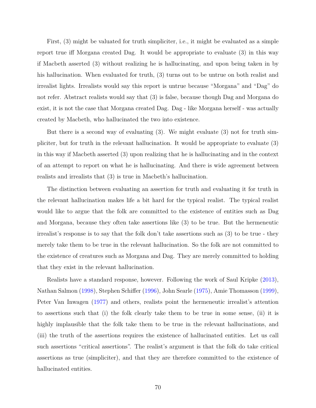First, (3) might be valuated for truth simpliciter, i.e., it might be evaluated as a simple report true iff Morgana created Dag. It would be appropriate to evaluate (3) in this way if Macbeth asserted (3) without realizing he is hallucinating, and upon being taken in by his hallucination. When evaluated for truth, (3) turns out to be untrue on both realist and irrealist lights. Irrealists would say this report is untrue because "Morgana" and "Dag" do not refer. Abstract realists would say that (3) is false, because though Dag and Morgana do exist, it is not the case that Morgana created Dag. Dag - like Morgana herself - was actually created by Macbeth, who hallucinated the two into existence.

But there is a second way of evaluating (3). We might evaluate (3) not for truth simpliciter, but for truth in the relevant hallucination. It would be appropriate to evaluate (3) in this way if Macbeth asserted (3) upon realizing that he is hallucinating and in the context of an attempt to report on what he is hallucinating. And there is wide agreement between realists and irrealists that (3) is true in Macbeth's hallucination.

The distinction between evaluating an assertion for truth and evaluating it for truth in the relevant hallucination makes life a bit hard for the typical realist. The typical realist would like to argue that the folk are committed to the existence of entities such as Dag and Morgana, because they often take assertions like (3) to be true. But the hermeneutic irrealist's response is to say that the folk don't take assertions such as (3) to be true - they merely take them to be true in the relevant hallucination. So the folk are not committed to the existence of creatures such as Morgana and Dag. They are merely committed to holding that they exist in the relevant hallucination.

Realists have a standard response, however. Following the work of Saul Kripke [\(2013\)](#page-150-0), Nathan Salmon [\(1998\)](#page-152-0), Stephen Schiffer [\(1996\)](#page-152-1), John Searle [\(1975\)](#page-152-2), Amie Thomasson [\(1999\)](#page-153-1), Peter Van Inwagen [\(1977\)](#page-149-1) and others, realists point the hermeneutic irrealist's attention to assertions such that (i) the folk clearly take them to be true in some sense, (ii) it is highly implausible that the folk take them to be true in the relevant hallucinations, and (iii) the truth of the assertions requires the existence of hallucinated entities. Let us call such assertions "critical assertions". The realist's argument is that the folk do take critical assertions as true (simpliciter), and that they are therefore committed to the existence of hallucinated entities.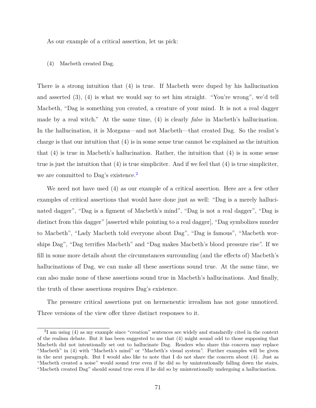As our example of a critical assertion, let us pick:

#### (4) Macbeth created Dag.

There is a strong intuition that (4) is true. If Macbeth were duped by his hallucination and asserted (3), (4) is what we would say to set him straight. "You're wrong", we'd tell Macbeth, "Dag is something you created, a creature of your mind. It is not a real dagger made by a real witch." At the same time, (4) is clearly *false* in Macbeth's hallucination. In the hallucination, it is Morgana—and not Macbeth—that created Dag. So the realist's charge is that our intuition that (4) is in some sense true cannot be explained as the intuition that (4) is true in Macbeth's hallucination. Rather, the intuition that (4) is in some sense true is just the intuition that (4) is true simpliciter. And if we feel that (4) is true simpliciter, we are committed to Dag's existence.<sup>[2](#page-81-0)</sup>

We need not have used (4) as our example of a critical assertion. Here are a few other examples of critical assertions that would have done just as well: "Dag is a merely hallucinated dagger", "Dag is a figment of Macbeth's mind", "Dag is not a real dagger", "Dag is distinct from this dagger" [asserted while pointing to a real dagger], "Dag symbolizes murder to Macbeth", "Lady Macbeth told everyone about Dag", "Dag is famous", "Macbeth worships Dag", "Dag terrifies Macbeth" and "Dag makes Macbeth's blood pressure rise". If we fill in some more details about the circumstances surrounding (and the effects of) Macbeth's hallucinations of Dag, we can make all these assertions sound true. At the same time, we can also make none of these assertions sound true in Macbeth's hallucinations. And finally, the truth of these assertions requires Dag's existence.

The pressure critical assertions put on hermeneutic irrealism has not gone unnoticed. Three versions of the view offer three distinct responses to it.

<span id="page-81-0"></span><sup>&</sup>lt;sup>2</sup>I am using (4) as my example since "creation" sentences are widely and standardly cited in the context of the realism debate. But it has been suggested to me that (4) might sound odd to those supposing that Macbeth did not intentionally set out to hallucinate Dag. Readers who share this concern may replace "Macbeth" in (4) with "Macbeth's mind" or "Macbeth's visual system". Further examples will be given in the next paragraph. But I would also like to note that I do not share the concern about (4). Just as "Macbeth created a noise" would sound true even if he did so by unintentionally falling down the stairs, "Macbeth created Dag" should sound true even if he did so by unintentionally undergoing a hallucination.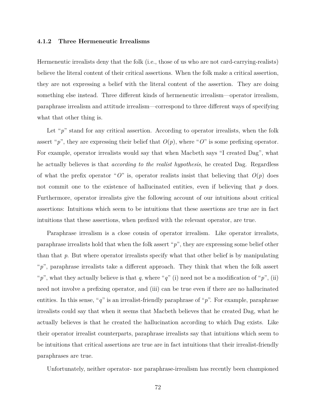#### <span id="page-82-0"></span>**4.1.2 Three Hermeneutic Irrealisms**

Hermeneutic irrealists deny that the folk (i.e., those of us who are not card-carrying-realists) believe the literal content of their critical assertions. When the folk make a critical assertion, they are not expressing a belief with the literal content of the assertion. They are doing something else instead. Three different kinds of hermeneutic irrealism—operator irrealism, paraphrase irrealism and attitude irrealism—correspond to three different ways of specifying what that other thing is.

Let "p" stand for any critical assertion. According to operator irrealists, when the folk assert "p", they are expressing their belief that  $O(p)$ , where "O" is some prefixing operator. For example, operator irrealists would say that when Macbeth says "I created Dag", what he actually believes is that *according to the realist hypothesis*, he created Dag. Regardless of what the prefix operator "O" is, operator realists insist that believing that  $O(p)$  does not commit one to the existence of hallucinated entities, even if believing that *p* does. Furthermore, operator irrealists give the following account of our intuitions about critical assertions: Intuitions which seem to be intuitions that these assertions are true are in fact intuitions that these assertions, when prefixed with the relevant operator, are true.

Paraphrase irrealism is a close cousin of operator irrealism. Like operator irrealists, paraphrase irrealists hold that when the folk assert "*p*", they are expressing some belief other than that *p*. But where operator irrealists specify what that other belief is by manipulating "*p*", paraphrase irrealists take a different approach. They think that when the folk assert "*p*", what they actually believe is that *q*, where "*q*" (i) need not be a modification of "*p*", (ii) need not involve a prefixing operator, and (iii) can be true even if there are no hallucinated entities. In this sense, "*q*" is an irrealist-friendly paraphrase of "*p*". For example, paraphrase irrealists could say that when it seems that Macbeth believes that he created Dag, what he actually believes is that he created the hallucination according to which Dag exists. Like their operator irrealist counterparts, paraphrase irrealists say that intuitions which seem to be intuitions that critical assertions are true are in fact intuitions that their irrealist-friendly paraphrases are true.

Unfortunately, neither operator- nor paraphrase-irrealism has recently been championed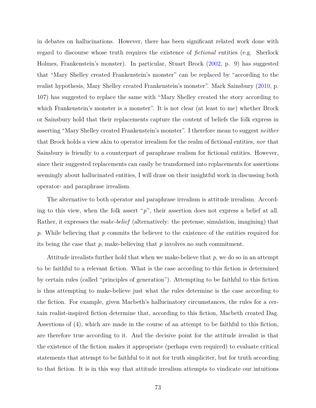in debates on hallucinations. However, there has been significant related work done with regard to discourse whose truth requires the existence of *fictional* entities (e.g. Sherlock Holmes, Frankenstein's monster). In particular, Stuart Brock [\(2002,](#page-147-0) p. 9) has suggested that "Mary Shelley created Frankenstein's monster" can be replaced by "according to the realist hypothesis, Mary Shelley created Frankenstein's monster". Mark Sainsbury [\(2010,](#page-152-3) p. 107) has suggested to replace the same with "Mary Shelley created the story according to which Frankenstein's monster is a monster". It is not clear (at least to me) whether Brock or Sainsbury hold that their replacements capture the content of beliefs the folk express in asserting "Mary Shelley created Frankenstein's monster". I therefore mean to suggest *neither* that Brock holds a view akin to operator irrealism for the realm of fictional entities, *nor* that Sainsbury is friendly to a counterpart of paraphrase realism for fictional entities. However, since their suggested replacements can easily be transformed into replacements for assertions seemingly about hallucinated entities, I will draw on their insightful work in discussing both operator- and paraphrase irrealism.

The alternative to both operator and paraphrase irrealism is attitude irrealism. According to this view, when the folk assert "*p*", their assertion does not express a belief at all. Rather, it expresses the *make-belief* (alternatively: the pretense, simulation, imagining) that *p*. While believing that *p* commits the believer to the existence of the entities required for its being the case that *p*, make-believing that *p* involves no such commitment.

Attitude irrealists further hold that when we make-believe that *p*, we do so in an attempt to be faithful to a relevant fiction. What is the case according to this fiction is determined by certain rules (called "principles of generation"). Attempting to be faithful to this fiction is thus attempting to make-believe just what the rules determine is the case according to the fiction. For example, given Macbeth's hallucinatory circumstances, the rules for a certain realist-inspired fiction determine that, according to this fiction, Macbeth created Dag. Assertions of (4), which are made in the course of an attempt to be faithful to this fiction, are therefore true according to it. And the decisive point for the attitude irrealist is that the existence of the fiction makes it appropriate (perhaps even required) to evaluate critical statements that attempt to be faithful to it not for truth simpliciter, but for truth according to that fiction. It is in this way that attitude irrealism attempts to vindicate our intuitions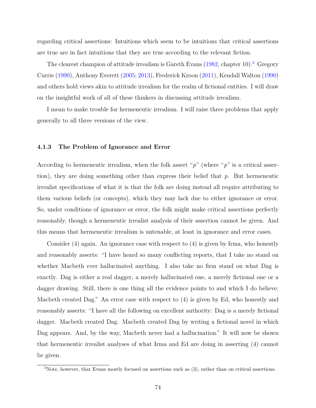regarding critical assertions: Intuitions which seem to be intuitions that critical assertions are true are in fact intuitions that they are true according to the relevant fiction.

The clearest champion of attitude irrealism is Gareth Evans  $(1982,$  chapter 10).<sup>[3](#page-84-1)</sup> Gregory Currie [\(1990\)](#page-148-1), Anthony Everett [\(2005;](#page-148-2) [2013\)](#page-148-3), Frederick Kroon [\(2011\)](#page-150-1), Kendall Walton [\(1990\)](#page-153-2) and others hold views akin to attitude irrealism for the realm of fictional entities. I will draw on the insightful work of all of these thinkers in discussing attitude irrealism.

I mean to make trouble for hermeneutic irrealism. I will raise three problems that apply generally to all three versions of the view.

### <span id="page-84-0"></span>**4.1.3 The Problem of Ignorance and Error**

According to hermeneutic irrealism, when the folk assert "*p*" (where "*p*" is a critical assertion), they are doing something other than express their belief that *p*. But hermeneutic irrealist specifications of what it is that the folk are doing instead all require attributing to them various beliefs (or concepts), which they may lack due to either ignorance or error. So, under conditions of ignorance or error, the folk might make critical assertions perfectly reasonably, though a hermeneutic irrealist analysis of their assertion cannot be given. And this means that hermeneutic irrealism is untenable, at least in ignorance and error cases.

Consider (4) again. An ignorance case with respect to (4) is given by Irma, who honestly and reasonably asserts: "I have heard so many conflicting reports, that I take no stand on whether Macbeth ever hallucinated anything. I also take no firm stand on what Dag is exactly. Dag is either a real dagger, a merely hallucinated one, a merely fictional one or a dagger drawing. Still, there is one thing all the evidence points to and which I do believe: Macbeth created Dag." An error case with respect to (4) is given by Ed, who honestly and reasonably asserts: "I have all the following on excellent authority: Dag is a merely fictional dagger. Macbeth created Dag. Macbeth created Dag by writing a fictional novel in which Dag appears. And, by the way, Macbeth never had a hallucination." It will now be shown that hermeneutic irrealist analyses of what Irma and Ed are doing in asserting (4) cannot be given.

<span id="page-84-1"></span><sup>3</sup>Note, however, that Evans mostly focused on assertions such as (3), rather than on critical assertions.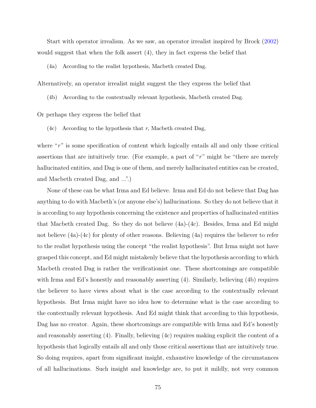Start with operator irrealism. As we saw, an operator irrealist inspired by Brock [\(2002\)](#page-147-0) would suggest that when the folk assert (4), they in fact express the belief that

(4a) According to the realist hypothesis, Macbeth created Dag.

Alternatively, an operator irrealist might suggest the they express the belief that

(4b) According to the contextually relevant hypothesis, Macbeth created Dag.

Or perhaps they express the belief that

(4c) According to the hypothesis that *r*, Macbeth created Dag,

where "r" is some specification of content which logically entails all and only those critical assertions that are intuitively true. (For example, a part of "*r*" might be "there are merely hallucinated entities, and Dag is one of them, and merely hallucinated entities can be created, and Macbeth created Dag, and ...".)

None of these can be what Irma and Ed believe. Irma and Ed do not believe that Dag has anything to do with Macbeth's (or anyone else's) hallucinations. So they do not believe that it is according to any hypothesis concerning the existence and properties of hallucinated entities that Macbeth created Dag. So they do not believe (4a)-(4c). Besides, Irma and Ed might not believe (4a)-(4c) for plenty of other reasons. Believing (4a) requires the believer to refer to the realist hypothesis using the concept "the realist hypothesis". But Irma might not have grasped this concept, and Ed might mistakenly believe that the hypothesis according to which Macbeth created Dag is rather the verificationist one. These shortcomings are compatible with Irma and Ed's honestly and reasonably asserting (4). Similarly, believing (4b) requires the believer to have views about what is the case according to the contextually relevant hypothesis. But Irma might have no idea how to determine what is the case according to the contextually relevant hypothesis. And Ed might think that according to this hypothesis, Dag has no creator. Again, these shortcomings are compatible with Irma and Ed's honestly and reasonably asserting (4). Finally, believing (4c) requires making explicit the content of a hypothesis that logically entails all and only those critical assertions that are intuitively true. So doing requires, apart from significant insight, exhaustive knowledge of the circumstances of all hallucinations. Such insight and knowledge are, to put it mildly, not very common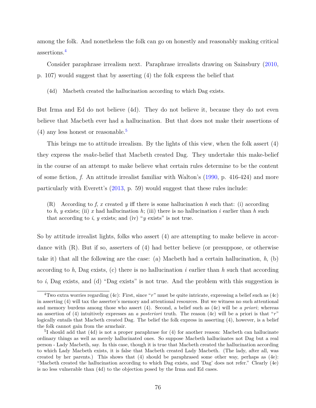among the folk. And nonetheless the folk can go on honestly and reasonably making critical assertions.[4](#page-86-0)

Consider paraphrase irrealism next. Paraphrase irrealists drawing on Sainsbury [\(2010,](#page-152-3) p. 107) would suggest that by asserting (4) the folk express the belief that

(4d) Macbeth created the hallucination according to which Dag exists.

But Irma and Ed do not believe (4d). They do not believe it, because they do not even believe that Macbeth ever had a hallucination. But that does not make their assertions of  $(4)$  any less honest or reasonable.<sup>[5](#page-86-1)</sup>

This brings me to attitude irrealism. By the lights of this view, when the folk assert (4) they express the *make*-belief that Macbeth created Dag. They undertake this make-belief in the course of an attempt to make believe what certain rules determine to be the content of some fiction, *f*. An attitude irrealist familiar with Walton's [\(1990,](#page-153-2) p. 416-424) and more particularly with Everett's [\(2013,](#page-148-3) p. 59) would suggest that these rules include:

(R) According to *f*, *x* created *y* iff there is some hallucination *h* such that: (i) according to *h*, *y* exists; (ii) *x* had hallucination *h*; (iii) there is no hallucination *i* earlier than *h* such that according to  $i$ ,  $y$  exists; and (iv) " $y$  exists" is not true.

So by attitude irrealist lights, folks who assert (4) are attempting to make believe in accordance with (R). But if so, asserters of (4) had better believe (or presuppose, or otherwise take it) that all the following are the case: (a) Macbeth had a certain hallucination, *h*, (b) according to  $h$ , Dag exists, (c) there is no hallucination  $i$  earlier than  $h$  such that according to *i*, Dag exists, and (d) "Dag exists" is not true. And the problem with this suggestion is

<span id="page-86-0"></span><sup>4</sup>Two extra worries regarding (4c): First, since "*r*" must be quite intricate, expressing a belief such as (4c) in asserting (4) will tax the asserter's memory and attentional resources. But we witness no such attentional and memory burdens among those who assert (4). Second, a belief such as (4c) will be *a priori*; whereas an assertion of (4) intuitively expresses an *a posteriori* truth. The reason (4c) will be a priori is that "*r*" logically entails that Macbeth created Dag. The belief the folk express in asserting (4), however, is a belief the folk cannot gain from the armchair.

<span id="page-86-1"></span><sup>&</sup>lt;sup>5</sup>I should add that (4d) is not a proper paraphrase for (4) for another reason: Macbeth can hallucinate ordinary things as well as merely hallucinated ones. So suppose Macbeth hallucinates not Dag but a real person - Lady Macbeth, say. In this case, though it is true that Macbeth created the hallucination according to which Lady Macbeth exists, it is false that Macbeth created Lady Macbeth. (The lady, after all, was created by her parents.) This shows that (4) should be paraphrased some other way, perhaps as (4e): "Macbeth created the hallucination according to which Dag exists, and 'Dag' does not refer." Clearly (4e) is no less vulnerable than (4d) to the objection posed by the Irma and Ed cases.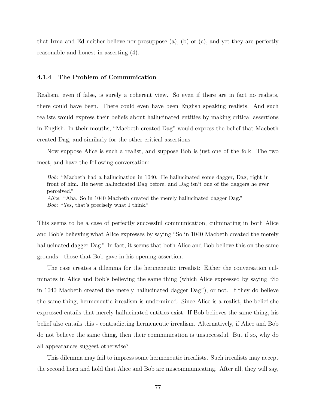that Irma and Ed neither believe nor presuppose (a), (b) or (c), and yet they are perfectly reasonable and honest in asserting (4).

### **4.1.4 The Problem of Communication**

Realism, even if false, is surely a coherent view. So even if there are in fact no realists, there could have been. There could even have been English speaking realists. And such realists would express their beliefs about hallucinated entities by making critical assertions in English. In their mouths, "Macbeth created Dag" would express the belief that Macbeth created Dag, and similarly for the other critical assertions.

Now suppose Alice is such a realist, and suppose Bob is just one of the folk. The two meet, and have the following conversation:

*Bob*: "Macbeth had a hallucination in 1040. He hallucinated some dagger, Dag, right in front of him. He never hallucinated Dag before, and Dag isn't one of the daggers he ever perceived." *Alice*: "Aha. So in 1040 Macbeth created the merely hallucinated dagger Dag." *Bob*: "Yes, that's precisely what I think."

This seems to be a case of perfectly successful communication, culminating in both Alice and Bob's believing what Alice expresses by saying "So in 1040 Macbeth created the merely hallucinated dagger Dag." In fact, it seems that both Alice and Bob believe this on the same grounds - those that Bob gave in his opening assertion.

The case creates a dilemma for the hermeneutic irrealist: Either the conversation culminates in Alice and Bob's believing the same thing (which Alice expressed by saying "So in 1040 Macbeth created the merely hallucinated dagger Dag"), or not. If they do believe the same thing, hermeneutic irrealism is undermined. Since Alice is a realist, the belief she expressed entails that merely hallucinated entities exist. If Bob believes the same thing, his belief also entails this - contradicting hermeneutic irrealism. Alternatively, if Alice and Bob do not believe the same thing, then their communication is unsuccessful. But if so, why do all appearances suggest otherwise?

This dilemma may fail to impress some hermeneutic irrealists. Such irrealists may accept the second horn and hold that Alice and Bob are miscommunicating. After all, they will say,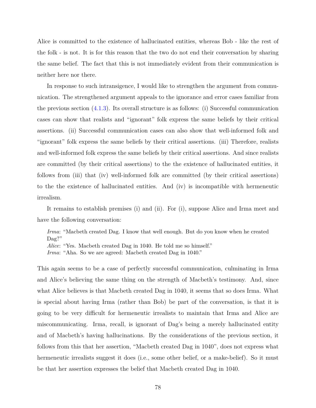Alice is committed to the existence of hallucinated entities, whereas Bob - like the rest of the folk - is not. It is for this reason that the two do not end their conversation by sharing the same belief. The fact that this is not immediately evident from their communication is neither here nor there.

In response to such intransigence, I would like to strengthen the argument from communication. The strengthened argument appeals to the ignorance and error cases familiar from the previous section  $(4.1.3)$ . Its overall structure is as follows: (i) Successful communication cases can show that realists and "ignorant" folk express the same beliefs by their critical assertions. (ii) Successful communication cases can also show that well-informed folk and "ignorant" folk express the same beliefs by their critical assertions. (iii) Therefore, realists and well-informed folk express the same beliefs by their critical assertions. And since realists are committed (by their critical assertions) to the the existence of hallucinated entities, it follows from (iii) that (iv) well-informed folk are committed (by their critical assertions) to the the existence of hallucinated entities. And (iv) is incompatible with hermeneutic irrealism.

It remains to establish premises (i) and (ii). For (i), suppose Alice and Irma meet and have the following conversation:

*Irma*: "Macbeth created Dag. I know that well enough. But do you know when he created Dag?"

*Alice*: "Yes. Macbeth created Dag in 1040. He told me so himself."

*Irma*: "Aha. So we are agreed: Macbeth created Dag in 1040."

This again seems to be a case of perfectly successful communication, culminating in Irma and Alice's believing the same thing on the strength of Macbeth's testimony. And, since what Alice believes is that Macbeth created Dag in 1040, it seems that so does Irma. What is special about having Irma (rather than Bob) be part of the conversation, is that it is going to be very difficult for hermeneutic irrealists to maintain that Irma and Alice are miscommunicating. Irma, recall, is ignorant of Dag's being a merely hallucinated entity and of Macbeth's having hallucinations. By the considerations of the previous section, it follows from this that her assertion, "Macbeth created Dag in 1040", does not express what hermeneutic irrealists suggest it does (i.e., some other belief, or a make-belief). So it must be that her assertion expresses the belief that Macbeth created Dag in 1040.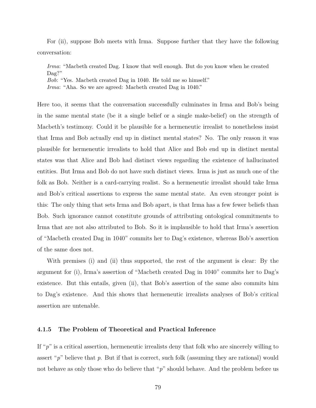For (ii), suppose Bob meets with Irma. Suppose further that they have the following conversation:

*Irma*: "Macbeth created Dag. I know that well enough. But do you know when he created Dag?"

*Bob*: "Yes. Macbeth created Dag in 1040. He told me so himself."

*Irma*: "Aha. So we are agreed: Macbeth created Dag in 1040."

Here too, it seems that the conversation successfully culminates in Irma and Bob's being in the same mental state (be it a single belief or a single make-belief) on the strength of Macbeth's testimony. Could it be plausible for a hermeneutic irrealist to nonetheless insist that Irma and Bob actually end up in distinct mental states? No. The only reason it was plausible for hermeneutic irrealists to hold that Alice and Bob end up in distinct mental states was that Alice and Bob had distinct views regarding the existence of hallucinated entities. But Irma and Bob do not have such distinct views. Irma is just as much one of the folk as Bob. Neither is a card-carrying realist. So a hermeneutic irrealist should take Irma and Bob's critical assertions to express the same mental state. An even stronger point is this: The only thing that sets Irma and Bob apart, is that Irma has a few fewer beliefs than Bob. Such ignorance cannot constitute grounds of attributing ontological commitments to Irma that are not also attributed to Bob. So it is implausible to hold that Irma's assertion of "Macbeth created Dag in 1040" commits her to Dag's existence, whereas Bob's assertion of the same does not.

With premises (i) and (ii) thus supported, the rest of the argument is clear: By the argument for (i), Irma's assertion of "Macbeth created Dag in 1040" commits her to Dag's existence. But this entails, given (ii), that Bob's assertion of the same also commits him to Dag's existence. And this shows that hermeneutic irrealists analyses of Bob's critical assertion are untenable.

#### <span id="page-89-0"></span>**4.1.5 The Problem of Theoretical and Practical Inference**

If " $p$ " is a critical assertion, hermeneutic irrealists deny that folk who are sincerely willing to assert "*p*" believe that *p*. But if that is correct, such folk (assuming they are rational) would not behave as only those who do believe that "p" should behave. And the problem before us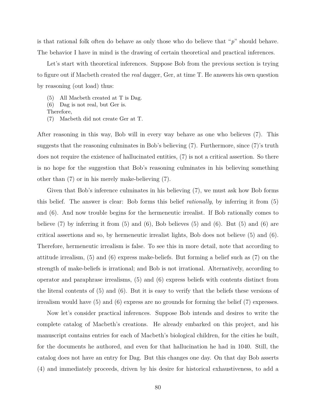is that rational folk often do behave as only those who do believe that "*p*" should behave. The behavior I have in mind is the drawing of certain theoretical and practical inferences.

Let's start with theoretical inferences. Suppose Bob from the previous section is trying to figure out if Macbeth created the *real* dagger, Ger, at time T. He answers his own question by reasoning (out load) thus:

(5) All Macbeth created at T is Dag.

- (6) Dag is not real, but Ger is.
- Therefore,
- (7) Macbeth did not create Ger at T.

After reasoning in this way, Bob will in every way behave as one who believes (7). This suggests that the reasoning culminates in Bob's believing (7). Furthermore, since (7)'s truth does not require the existence of hallucinated entities, (7) is not a critical assertion. So there is no hope for the suggestion that Bob's reasoning culminates in his believing something other than (7) or in his merely make-believing (7).

Given that Bob's inference culminates in his believing (7), we must ask how Bob forms this belief. The answer is clear: Bob forms this belief *rationally*, by inferring it from (5) and (6). And now trouble begins for the hermeneutic irrealist. If Bob rationally comes to believe  $(7)$  by inferring it from  $(5)$  and  $(6)$ , Bob believes  $(5)$  and  $(6)$ . But  $(5)$  and  $(6)$  are critical assertions and so, by hermeneutic irrealist lights, Bob does not believe (5) and (6). Therefore, hermeneutic irrealism is false. To see this in more detail, note that according to attitude irrealism, (5) and (6) express make-beliefs. But forming a belief such as (7) on the strength of make-beliefs is irrational; and Bob is not irrational. Alternatively, according to operator and paraphrase irrealisms, (5) and (6) express beliefs with contents distinct from the literal contents of (5) and (6). But it is easy to verify that the beliefs these versions of irrealism would have (5) and (6) express are no grounds for forming the belief (7) expresses.

Now let's consider practical inferences. Suppose Bob intends and desires to write the complete catalog of Macbeth's creations. He already embarked on this project, and his manuscript contains entries for each of Macbeth's biological children, for the cities he built, for the documents he authored, and even for that hallucination he had in 1040. Still, the catalog does not have an entry for Dag. But this changes one day. On that day Bob asserts (4) and immediately proceeds, driven by his desire for historical exhaustiveness, to add a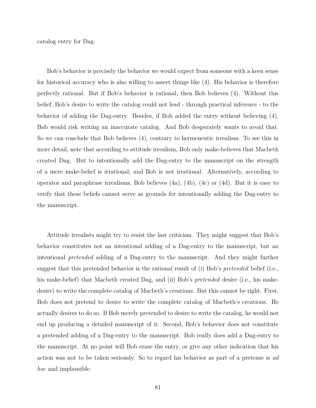catalog entry for Dag.

Bob's behavior is precisely the behavior we would expect from someone with a keen sense for historical accuracy who is also willing to assert things like (4). His behavior is therefore perfectly rational. But if Bob's behavior is rational, then Bob believes (4). Without this belief, Bob's desire to write the catalog could not lead - through practical inference - to the behavior of adding the Dag-entry. Besides, if Bob added the entry without believing (4), Bob would risk writing an inaccurate catalog. And Bob desperately wants to avoid that. So we can conclude that Bob believes (4), contrary to hermeneutic irrealism. To see this in more detail, note that according to attitude irrealism, Bob only make-believes that Macbeth created Dag. But to intentionally add the Dag-entry to the manuscript on the strength of a mere make-belief is irrational; and Bob is not irrational. Alternatively, according to operator and paraphrase irrealisms, Bob believes (4a), (4b), (4c) or (4d). But it is easy to verify that these beliefs cannot serve as grounds for intentionally adding the Dag-entry to the manuscript.

Attitude irrealists might try to resist the last criticism. They might suggest that Bob's behavior constitutes not an intentional adding of a Dag-entry to the manuscript, but an intentional *pretended* adding of a Dag-entry to the manuscript. And they might further suggest that this pretended behavior is the rational result of (i) Bob's *pretended* belief (i.e., his make-belief) that Macbeth created Dag, and (ii) Bob's *pretended* desire (i.e., his makedesire) to write the complete catalog of Macbeth's creations. But this cannot be right. First, Bob does not pretend to desire to write the complete catalog of Macbeth's creations. He actually desires to do so. If Bob merely pretended to desire to write the catalog, he would not end up producing a detailed manuscript of it. Second, Bob's behavior does not constitute a pretended adding of a Dag-entry to the manuscript. Bob really does add a Dag-entry to the manuscript. At no point will Bob erase the entry, or give any other indication that his action was not to be taken seriously. So to regard his behavior as part of a pretense is *ad hoc* and implausible.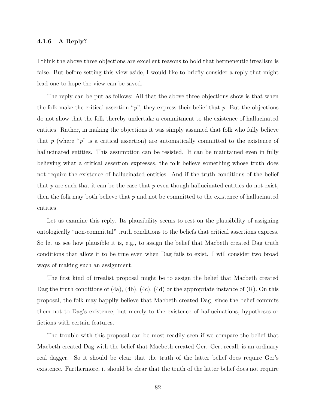### <span id="page-92-0"></span>**4.1.6 A Reply?**

I think the above three objections are excellent reasons to hold that hermeneutic irrealism is false. But before setting this view aside, I would like to briefly consider a reply that might lead one to hope the view can be saved.

The reply can be put as follows: All that the above three objections show is that when the folk make the critical assertion "*p*", they express their belief that *p*. But the objections do not show that the folk thereby undertake a commitment to the existence of hallucinated entities. Rather, in making the objections it was simply assumed that folk who fully believe that  $p$  (where " $p$ " is a critical assertion) are automatically committed to the existence of hallucinated entities. This assumption can be resisted. It can be maintained even in fully believing what a critical assertion expresses, the folk believe something whose truth does not require the existence of hallucinated entities. And if the truth conditions of the belief that *p* are such that it can be the case that *p* even though hallucinated entities do not exist, then the folk may both believe that *p* and not be committed to the existence of hallucinated entities.

Let us examine this reply. Its plausibility seems to rest on the plausibility of assigning ontologically "non-committal" truth conditions to the beliefs that critical assertions express. So let us see how plausible it is, e.g., to assign the belief that Macbeth created Dag truth conditions that allow it to be true even when Dag fails to exist. I will consider two broad ways of making such an assignment.

The first kind of irrealist proposal might be to assign the belief that Macbeth created Dag the truth conditions of  $(4a)$ ,  $(4b)$ ,  $(4c)$ ,  $(4d)$  or the appropriate instance of  $(R)$ . On this proposal, the folk may happily believe that Macbeth created Dag, since the belief commits them not to Dag's existence, but merely to the existence of hallucinations, hypotheses or fictions with certain features.

The trouble with this proposal can be most readily seen if we compare the belief that Macbeth created Dag with the belief that Macbeth created Ger. Ger, recall, is an ordinary real dagger. So it should be clear that the truth of the latter belief does require Ger's existence. Furthermore, it should be clear that the truth of the latter belief does not require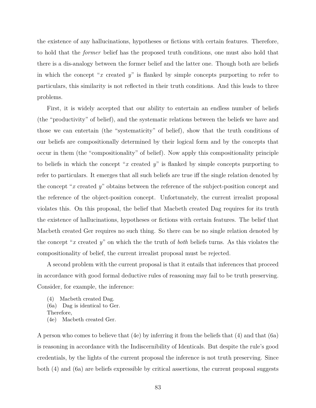the existence of any hallucinations, hypotheses or fictions with certain features. Therefore, to hold that the *former* belief has the proposed truth conditions, one must also hold that there is a dis-analogy between the former belief and the latter one. Though both are beliefs in which the concept "*x* created *y*" is flanked by simple concepts purporting to refer to particulars, this similarity is not reflected in their truth conditions. And this leads to three problems.

First, it is widely accepted that our ability to entertain an endless number of beliefs (the "productivity" of belief), and the systematic relations between the beliefs we have and those we can entertain (the "systematicity" of belief), show that the truth conditions of our beliefs are compositionally determined by their logical form and by the concepts that occur in them (the "compositionality" of belief). Now apply this compositionality principle to beliefs in which the concept "*x* created *y*" is flanked by simple concepts purporting to refer to particulars. It emerges that all such beliefs are true iff the single relation denoted by the concept "*x* created *y*" obtains between the reference of the subject-position concept and the reference of the object-position concept. Unfortunately, the current irrealist proposal violates this. On this proposal, the belief that Macbeth created Dag requires for its truth the existence of hallucinations, hypotheses or fictions with certain features. The belief that Macbeth created Ger requires no such thing. So there can be no single relation denoted by the concept "*x* created *y*" on which the the truth of *both* beliefs turns. As this violates the compositionality of belief, the current irrealist proposal must be rejected.

A second problem with the current proposal is that it entails that inferences that proceed in accordance with good formal deductive rules of reasoning may fail to be truth preserving. Consider, for example, the inference:

- (4) Macbeth created Dag.
- (6a) Dag is identical to Ger.
- Therefore,
- (4e) Macbeth created Ger.

A person who comes to believe that (4e) by inferring it from the beliefs that (4) and that (6a) is reasoning in accordance with the Indiscernibility of Identicals. But despite the rule's good credentials, by the lights of the current proposal the inference is not truth preserving. Since both (4) and (6a) are beliefs expressible by critical assertions, the current proposal suggests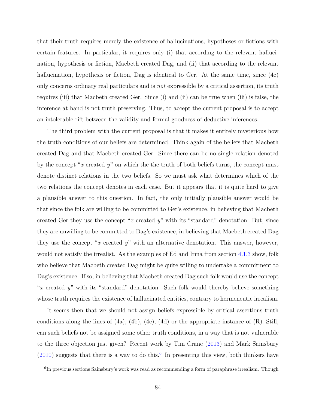that their truth requires merely the existence of hallucinations, hypotheses or fictions with certain features. In particular, it requires only (i) that according to the relevant hallucination, hypothesis or fiction, Macbeth created Dag, and (ii) that according to the relevant hallucination, hypothesis or fiction, Dag is identical to Ger. At the same time, since  $(4e)$ only concerns ordinary real particulars and is *not* expressible by a critical assertion, its truth requires (iii) that Macbeth created Ger. Since (i) and (ii) can be true when (iii) is false, the inference at hand is not truth preserving. Thus, to accept the current proposal is to accept an intolerable rift between the validity and formal goodness of deductive inferences.

The third problem with the current proposal is that it makes it entirely mysterious how the truth conditions of our beliefs are determined. Think again of the beliefs that Macbeth created Dag and that Macbeth created Ger. Since there can be no single relation denoted by the concept "*x* created *y*" on which the the truth of both beliefs turns, the concept must denote distinct relations in the two beliefs. So we must ask what determines which of the two relations the concept denotes in each case. But it appears that it is quite hard to give a plausible answer to this question. In fact, the only initially plausible answer would be that since the folk are willing to be committed to Ger's existence, in believing that Macbeth created Ger they use the concept "*x* created *y*" with its "standard" denotation. But, since they are unwilling to be committed to Dag's existence, in believing that Macbeth created Dag they use the concept "*x* created *y*" with an alternative denotation. This answer, however, would not satisfy the irrealist. As the examples of Ed and Irma from section [4.1.3](#page-84-0) show, folk who believe that Macbeth created Dag might be quite willing to undertake a commitment to Dag's existence. If so, in believing that Macbeth created Dag such folk would use the concept "*x* created *y*" with its "standard" denotation. Such folk would thereby believe something whose truth requires the existence of hallucinated entities, contrary to hermeneutic irrealism.

It seems then that we should not assign beliefs expressible by critical assertions truth conditions along the lines of  $(4a)$ ,  $(4b)$ ,  $(4c)$ ,  $(4d)$  or the appropriate instance of  $(R)$ . Still, can such beliefs not be assigned some other truth conditions, in a way that is not vulnerable to the three objection just given? Recent work by Tim Crane [\(2013\)](#page-148-4) and Mark Sainsbury  $(2010)$  suggests that there is a way to do this.<sup>[6](#page-94-0)</sup> In presenting this view, both thinkers have

<span id="page-94-0"></span><sup>&</sup>lt;sup>6</sup>In previous sections Sainsbury's work was read as recommending a form of paraphrase irrealism. Though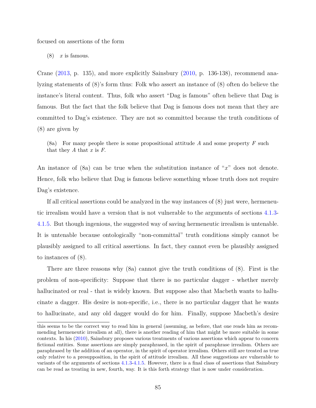focused on assertions of the form

(8) *x* is famous.

Crane [\(2013,](#page-148-4) p. 135), and more explicitly Sainsbury [\(2010,](#page-152-3) p. 136-138), recommend analyzing statements of (8)'s form thus: Folk who assert an instance of (8) often do believe the instance's literal content. Thus, folk who assert "Dag is famous" often believe that Dag is famous. But the fact that the folk believe that Dag is famous does not mean that they are committed to Dag's existence. They are not so committed because the truth conditions of (8) are given by

(8a) For many people there is some propositional attitude *A* and some property *F* such that they *A* that *x* is *F*.

An instance of (8a) can be true when the substitution instance of "*x*" does not denote. Hence, folk who believe that Dag is famous believe something whose truth does not require Dag's existence.

If all critical assertions could be analyzed in the way instances of (8) just were, hermeneutic irrealism would have a version that is not vulnerable to the arguments of sections [4.1.3-](#page-84-0) [4.1.5.](#page-89-0) But though ingenious, the suggested way of saving hermeneutic irrealism is untenable. It is untenable because ontologically "non-committal" truth conditions simply cannot be plausibly assigned to all critical assertions. In fact, they cannot even be plausibly assigned to instances of (8).

There are three reasons why (8a) cannot give the truth conditions of (8). First is the problem of non-specificity: Suppose that there is no particular dagger - whether merely hallucinated or real - that is widely known. But suppose also that Macbeth wants to hallucinate a dagger. His desire is non-specific, i.e., there is no particular dagger that he wants to hallucinate, and any old dagger would do for him. Finally, suppose Macbeth's desire

this seems to be the correct way to read him in general (assuming, as before, that one reads him as recommending hermeneutic irrealism at all), there is another reading of him that might be more suitable in some contexts. In his [\(2010\)](#page-152-3), Sainsbury proposes various treatments of various assertions which appear to concern fictional entities. Some assertions are simply paraphrased, in the spirit of paraphrase irrealism. Others are paraphrased by the addition of an operator, in the spirit of operator irrealism. Others still are treated as true only relative to a presupposition, in the spirit of attitude irrealism. All these suggestions are vulnerable to variants of the arguments of sections [4.1.3-](#page-84-0)[4.1.5.](#page-89-0) However, there is a final class of assertions that Sainsbury can be read as treating in new, fourth, way. It is this forth strategy that is now under consideration.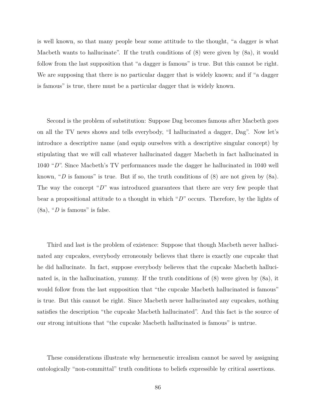is well known, so that many people bear some attitude to the thought, "a dagger is what Macbeth wants to hallucinate". If the truth conditions of (8) were given by (8a), it would follow from the last supposition that "a dagger is famous" is true. But this cannot be right. We are supposing that there is no particular dagger that is widely known; and if "a dagger is famous" is true, there must be a particular dagger that is widely known.

Second is the problem of substitution: Suppose Dag becomes famous after Macbeth goes on all the TV news shows and tells everybody, "I hallucinated a dagger, Dag". Now let's introduce a descriptive name (and equip ourselves with a descriptive singular concept) by stipulating that we will call whatever hallucinated dagger Macbeth in fact hallucinated in 1040 "*D*". Since Macbeth's TV performances made the dagger he hallucinated in 1040 well known, "*D* is famous" is true. But if so, the truth conditions of (8) are not given by (8a). The way the concept "D" was introduced guarantees that there are very few people that bear a propositional attitude to a thought in which "*D*" occurs. Therefore, by the lights of  $(8a)$ , "*D* is famous" is false.

Third and last is the problem of existence: Suppose that though Macbeth never hallucinated any cupcakes, everybody erroneously believes that there is exactly one cupcake that he did hallucinate. In fact, suppose everybody believes that the cupcake Macbeth hallucinated is, in the hallucination, yummy. If the truth conditions of (8) were given by (8a), it would follow from the last supposition that "the cupcake Macbeth hallucinated is famous" is true. But this cannot be right. Since Macbeth never hallucinated any cupcakes, nothing satisfies the description "the cupcake Macbeth hallucinated". And this fact is the source of our strong intuitions that "the cupcake Macbeth hallucinated is famous" is untrue.

These considerations illustrate why hermeneutic irrealism cannot be saved by assigning ontologically "non-committal" truth conditions to beliefs expressible by critical assertions.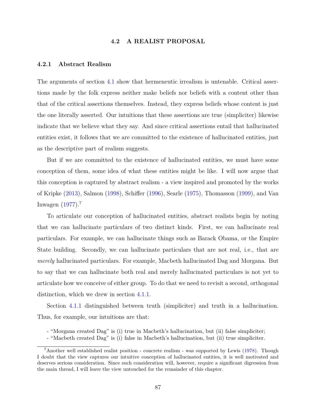# **4.2 A REALIST PROPOSAL**

#### <span id="page-97-1"></span><span id="page-97-0"></span>**4.2.1 Abstract Realism**

The arguments of section [4.1](#page-79-2) show that hermeneutic irrealism is untenable. Critical assertions made by the folk express neither make beliefs nor beliefs with a content other than that of the critical assertions themselves. Instead, they express beliefs whose content is just the one literally asserted. Our intuitions that these assertions are true (simpliciter) likewise indicate that we believe what they say. And since critical assertions entail that hallucinated entities exist, it follows that we are committed to the existence of hallucinated entities, just as the descriptive part of realism suggests.

But if we are committed to the existence of hallucinated entities, we must have some conception of them, some idea of what these entities might be like. I will now argue that this conception is captured by abstract realism - a view inspired and promoted by the works of Kripke [\(2013\)](#page-150-0), Salmon [\(1998\)](#page-152-0), Schiffer [\(1996\)](#page-152-1), Searle [\(1975\)](#page-152-2), Thomasson [\(1999\)](#page-153-1), and Van Inwagen  $(1977).$  $(1977).$ <sup>[7](#page-97-2)</sup>

To articulate our conception of hallucinated entities, abstract realists begin by noting that we can hallucinate particulars of two distinct kinds. First, we can hallucinate real particulars. For example, we can hallucinate things such as Barack Obama, or the Empire State building. Secondly, we can hallucinate particulars that are not real, i.e., that are *merely* hallucinated particulars. For example, Macbeth hallucinated Dag and Morgana. But to say that we can hallucinate both real and merely hallucinated particulars is not yet to articulate how we conceive of either group. To do that we need to revisit a second, orthogonal distinction, which we drew in section [4.1.1.](#page-79-0)

Section [4.1.1](#page-79-0) distinguished between truth (simpliciter) and truth in a hallucination. Thus, for example, our intuitions are that:

- "Macbeth created Dag" is (i) false in Macbeth's hallucination, but (ii) true simpliciter.

<sup>- &</sup>quot;Morgana created Dag" is (i) true in Macbeth's hallucination, but (ii) false simpliciter;

<span id="page-97-2"></span><sup>7</sup>Another well established realist position - concrete realism - was supported by Lewis [\(1978\)](#page-150-2). Though I doubt that the view captures our intuitive conception of hallucinated entities, it is well motivated and deserves serious consideration. Since such consideration will, however, require a significant digression from the main thread, I will leave the view untouched for the remainder of this chapter.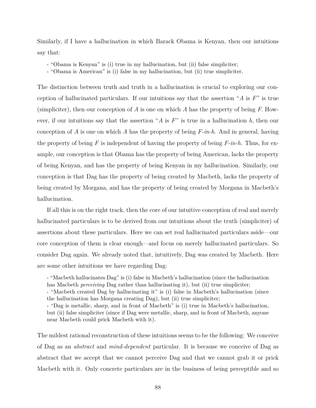Similarly, if I have a hallucination in which Barack Obama is Kenyan, then our intuitions say that:

- "Obama is Kenyan" is (i) true in my hallucination, but (ii) false simpliciter;
- "Obama is American" is (i) false in my hallucination, but (ii) true simpliciter.

The distinction between truth and truth in a hallucination is crucial to exploring our conception of hallucinated particulars. If our intuitions say that the assertion "*A* is *F*" is true (simpliciter), then our conception of *A* is one on which *A* has the property of being *F*. However, if our intuitions say that the assertion "*A* is *F*" is true in a hallucination *h*, then our conception of *A* is one on which *A* has the property of being *F-in-h*. And in general, having the property of being *F* is independent of having the property of being *F-in-h*. Thus, for example, our conception is that Obama has the property of being American, lacks the property of being Kenyan, and has the property of being Kenyan in my hallucination. Similarly, our conception is that Dag has the property of being created by Macbeth, lacks the property of being created by Morgana, and has the property of being created by Morgana in Macbeth's hallucination.

If all this is on the right track, then the core of our intuitive conception of real and merely hallucinated particulars is to be derived from our intuitions about the truth (simpliciter) of assertions about these particulars. Here we can set real hallucinated particulars aside—our core conception of them is clear enough—and focus on merely hallucinated particulars. So consider Dag again. We already noted that, intuitively, Dag was created by Macbeth. Here are some other intuitions we have regarding Dag:

- "Macbeth hallucinates Dag" is (i) false in Macbeth's hallucination (since the hallucination has Macbeth *perceiving* Dag rather than hallucinating it), but (ii) true simpliciter;

- "Macbeth created Dag by hallucinating it" is (i) false in Macbeth's hallucination (since the hallucination has Morgana creating Dag), but (ii) true simpliciter;

- "Dag is metallic, sharp, and in front of Macbeth" is (i) true in Macbeth's hallucination, but (ii) false simpliciter (since if Dag were metallic, sharp, and in front of Macbeth, anyone near Macbeth could prick Macbeth with it).

The mildest rational reconstruction of these intuitions seems to be the following: We conceive of Dag as an *abstract* and *mind-dependent* particular. It is because we conceive of Dag as abstract that we accept that we cannot perceive Dag and that we cannot grab it or prick Macbeth with it. Only concrete particulars are in the business of being perceptible and so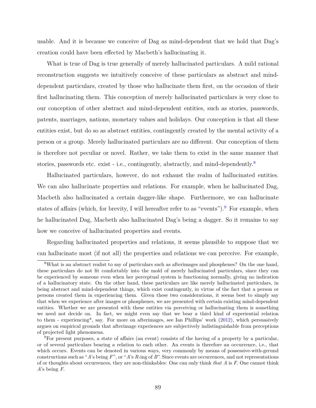usable. And it is because we conceive of Dag as mind-dependent that we hold that Dag's creation could have been effected by Macbeth's hallucinating it.

What is true of Dag is true generally of merely hallucinated particulars. A mild rational reconstruction suggests we intuitively conceive of these particulars as abstract and minddependent particulars, created by those who hallucinate them first, on the occasion of their first hallucinating them. This conception of merely hallucinated particulars is very close to our conception of other abstract and mind-dependent entities, such as stories, passwords, patents, marriages, nations, monetary values and holidays. Our conception is that all these entities exist, but do so as abstract entities, contingently created by the mental activity of a person or a group. Merely hallucinated particulars are no different. Our conception of them is therefore not peculiar or novel. Rather, we take them to exist in the same manner that stories, passwords etc. exist - i.e., contingently, abstractly, and mind-dependently.<sup>[8](#page-99-0)</sup>

Hallucinated particulars, however, do not exhaust the realm of hallucinated entities. We can also hallucinate properties and relations. For example, when he hallucinated Dag, Macbeth also hallucinated a certain dagger-like shape. Furthermore, we can hallucinate states of affairs (which, for brevity, I will hereafter refer to as "events"). <sup>[9](#page-99-1)</sup> For example, when he hallucinated Dag, Macbeth also hallucinated Dag's being a dagger. So it remains to say how we conceive of hallucinated properties and events.

Regarding hallucinated properties and relations, it seems plausible to suppose that we can hallucinate most (if not all) the properties and relations we can perceive. For example,

<span id="page-99-0"></span><sup>8</sup>What is an abstract realist to say of particulars such as afterimages and phosphenes? On the one hand, these particulars do not fit comfortably into the mold of merely hallucinated particulars, since they can be experienced by someone even when her perceptual system is functioning normally, giving no indication of a hallucinatory state. On the other hand, these particulars are like merely hallucinated particulars, in being abstract and mind-dependent things, which exist contingently, in virtue of the fact that a person or persons created them in experiencing them. Given these two considerations, it seems best to simply say that when we experience after images or phosphenes, we are presented with certain existing mind-dependent entities. Whether we are presented with these entities via perceiving or hallucinating them is something we need not decide on. In fact, we might even say that we bear a third kind of experiential relation to them - experiencing\*, say. For more on afterimages, see Ian Phillips' work [\(2012\)](#page-152-4), which persuasively argues on empirical grounds that afterimage experiences are subjectively indistinguishable from perceptions of projected light phenomena.

<span id="page-99-1"></span><sup>9</sup>For present purposes, a state of affairs (an event) consists of the having of a property by a particular, or of several particulars bearing a relation to each other. An events is therefore an occurrence, i.e., that which occurs. Events can be denoted in various ways, very commonly by means of possessive-with-gerund constructions such as "*A*'s being *F*", or "*A*'s *R*-ing of *B*". Since events are occurrences, and not representations of or thoughts about occurrences, they are non-thinkables: One can only think *that A* is *F*. One cannot think *A*'s being *F*.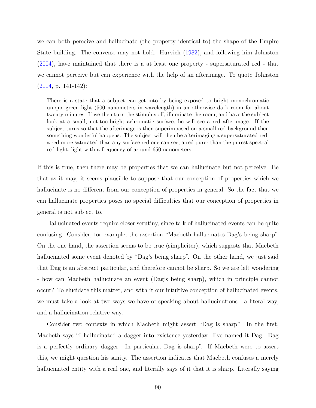we can both perceive and hallucinate (the property identical to) the shape of the Empire State building. The converse may not hold. Hurvich [\(1982\)](#page-149-2), and following him Johnston [\(2004\)](#page-149-0), have maintained that there is a at least one property - supersaturated red - that we cannot perceive but can experience with the help of an afterimage. To quote Johnston [\(2004,](#page-149-0) p. 141-142):

There is a state that a subject can get into by being exposed to bright monochromatic unique green light (500 nanometers in wavelength) in an otherwise dark room for about twenty minutes. If we then turn the stimulus off, illuminate the room, and have the subject look at a small, not-too-bright achromatic surface, he will see a red afterimage. If the subject turns so that the afterimage is then superimposed on a small red background then something wonderful happens. The subject will then be afterimaging a supersaturated red, a red more saturated than any surface red one can see, a red purer than the purest spectral red light, light with a frequency of around 650 nanometers.

If this is true, then there may be properties that we can hallucinate but not perceive. Be that as it may, it seems plausible to suppose that our conception of properties which we hallucinate is no different from our conception of properties in general. So the fact that we can hallucinate properties poses no special difficulties that our conception of properties in general is not subject to.

Hallucinated events require closer scrutiny, since talk of hallucinated events can be quite confusing. Consider, for example, the assertion "Macbeth hallucinates Dag's being sharp". On the one hand, the assertion seems to be true (simpliciter), which suggests that Macbeth hallucinated some event denoted by "Dag's being sharp". On the other hand, we just said that Dag is an abstract particular, and therefore cannot be sharp. So we are left wondering - how can Macbeth hallucinate an event (Dag's being sharp), which in principle cannot occur? To elucidate this matter, and with it our intuitive conception of hallucinated events, we must take a look at two ways we have of speaking about hallucinations - a literal way, and a hallucination-relative way.

Consider two contexts in which Macbeth might assert "Dag is sharp". In the first, Macbeth says "I hallucinated a dagger into existence yesterday. I've named it Dag. Dag is a perfectly ordinary dagger. In particular, Dag is sharp". If Macbeth were to assert this, we might question his sanity. The assertion indicates that Macbeth confuses a merely hallucinated entity with a real one, and literally says of it that it is sharp. Literally saying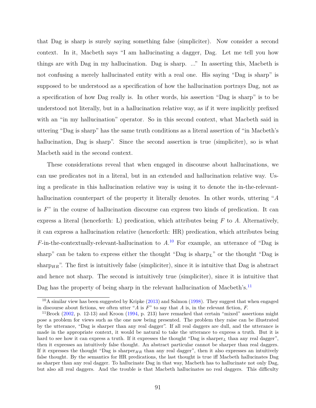that Dag is sharp is surely saying something false (simpliciter). Now consider a second context. In it, Macbeth says "I am hallucinating a dagger, Dag. Let me tell you how things are with Dag in my hallucination. Dag is sharp. ..." In asserting this, Macbeth is not confusing a merely hallucinated entity with a real one. His saying "Dag is sharp" is supposed to be understood as a specification of how the hallucination portrays Dag, not as a specification of how Dag really is. In other words, his assertion "Dag is sharp" is to be understood not literally, but in a hallucination relative way, as if it were implicitly prefixed with an "in my hallucination" operator. So in this second context, what Macbeth said in uttering "Dag is sharp" has the same truth conditions as a literal assertion of "in Macbeth's hallucination, Dag is sharp". Since the second assertion is true (simpliciter), so is what Macbeth said in the second context.

These considerations reveal that when engaged in discourse about hallucinations, we can use predicates not in a literal, but in an extended and hallucination relative way. Using a predicate in this hallucination relative way is using it to denote the in-the-relevanthallucination counterpart of the property it literally denotes. In other words, uttering "*A* is *F*" in the course of hallucination discourse can express two kinds of predication. It can express a literal (henceforth: L) predication, which attributes being *F* to *A*. Alternatively, it can express a hallucination relative (henceforth: HR) predication, which attributes being *F*-in-the-contextually-relevant-hallucination to *A*. [10](#page-101-0) For example, an utterance of "Dag is sharp" can be taken to express either the thought "Dag is sharp*L*" or the thought "Dag is sharp<sub>HR</sub>". The first is intuitively false (simpliciter), since it is intuitive that Dag is abstract and hence not sharp. The second is intuitively true (simpliciter), since it is intuitive that Dag has the property of being sharp in the relevant hallucination of Macbeth's.<sup>[11](#page-101-1)</sup>

<span id="page-101-0"></span> $10A$  similar view has been suggested by Kripke  $(2013)$  and Salmon  $(1998)$ . They suggest that when engaged in discourse about fictions, we often utter "*A* is *F*" to say that *A* is, in the relevant fiction, *F*.

<span id="page-101-1"></span><sup>&</sup>lt;sup>11</sup>Brock [\(2002,](#page-147-0) p. 12-13) and Kroon [\(1994,](#page-150-3) p. 213) have remarked that certain "mixed" assertions might pose a problem for views such as the one now being presented. The problem they raise can be illustrated by the utterance, "Dag is sharper than any real dagger". If all real daggers are dull, and the utterance is made in the appropriate context, it would be natural to take the utterance to express a truth. But it is hard to see how it can express a truth. If it expresses the thought "Dag is sharper<sub>L</sub> than any real dagger", then it expresses an intuitively false thought. An abstract particular cannot be sharper than real daggers. If it expresses the thought "Dag is sharper<sub>HR</sub> than any real dagger", then it also expresses an intuitively false thought. By the semantics for HR predications, the last thought is true iff Macbeth hallucinates Dag as sharper than any real dagger. To hallucinate Dag in that way, Macbeth has to hallucinate not only Dag, but also all real daggers. And the trouble is that Macbeth hallucinates no real daggers. This difficulty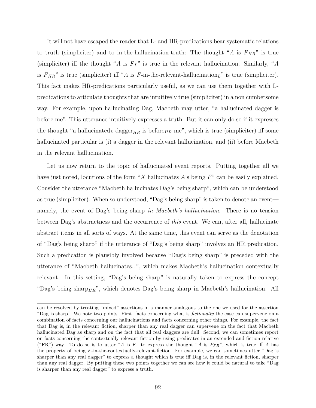It will not have escaped the reader that L- and HR-predications bear systematic relations to truth (simpliciter) and to in-the-hallucination-truth: The thought "*A* is  $F_{HR}$ " is true (simpliciter) iff the thought "*A* is  $F_L$ " is true in the relevant hallucination. Similarly, "*A* is  $F_{HR}$ " is true (simpliciter) iff "*A* is *F*-in-the-relevant-hallucination<sub>L</sub>" is true (simpliciter). This fact makes HR-predications particularly useful, as we can use them together with Lpredications to articulate thoughts that are intuitively true (simpliciter) in a non cumbersome way. For example, upon hallucinating Dag, Macbeth may utter, "a hallucinated dagger is before me". This utterance intuitively expresses a truth. But it can only do so if it expresses the thought "a hallucinated<sub>L</sub> dagger<sub>HR</sub> is before<sub>HR</sub> me", which is true (simpliciter) iff some hallucinated particular is (i) a dagger in the relevant hallucination, and (ii) before Macbeth in the relevant hallucination.

Let us now return to the topic of hallucinated event reports. Putting together all we have just noted, locutions of the form "*X* hallucinates *A*'s being *F*" can be easily explained. Consider the utterance "Macbeth hallucinates Dag's being sharp", which can be understood as true (simpliciter). When so understood, "Dag's being sharp" is taken to denote an event namely, the event of Dag's being sharp *in Macbeth's hallucination*. There is no tension between Dag's abstractness and the occurrence of *this* event. We can, after all, hallucinate abstract items in all sorts of ways. At the same time, this event can serve as the denotation of "Dag's being sharp" if the utterance of "Dag's being sharp" involves an HR predication. Such a predication is plausibly involved because "Dag's being sharp" is preceded with the utterance of "Macbeth hallucinates...", which makes Macbeth's hallucination contextually relevant. In this setting, "Dag's being sharp" is naturally taken to express the concept "Dag's being sharp<sub>HR</sub>", which denotes Dag's being sharp in Macbeth's hallucination. All

can be resolved by treating "mixed" assertions in a manner analogous to the one we used for the assertion "Dag is sharp". We note two points. First, facts concerning what is *fictionally* the case can supervene on a combination of facts concerning our hallucinations and facts concerning other things. For example, the fact that Dag is, in the relevant fiction, sharper than any real dagger can supervene on the fact that Macbeth hallucinated Dag as sharp and on the fact that all real daggers are dull. Second, we can sometimes report on facts concerning the contextually relevant fiction by using predicates in an extended and fiction relative ("FR") way. To do so is to utter "*A* is  $F$ " to express the thought "*A* is  $F_{FR}$ ", which is true iff *A* has the property of being *F*-in-the-contextually-relevant-fiction. For example, we can sometimes utter "Dag is sharper than any real dagger" to express a thought which is true iff Dag is, in the relevant fiction, sharper than any real dagger. By putting these two points together we can see how it could be natural to take "Dag is sharper than any real dagger" to express a truth.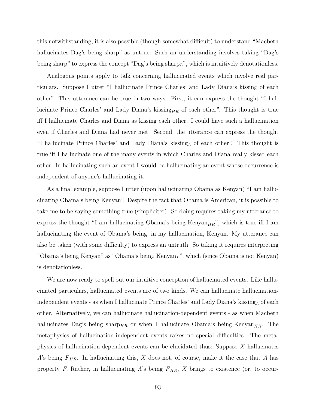this notwithstanding, it is also possible (though somewhat difficult) to understand "Macbeth hallucinates Dag's being sharp" as untrue. Such an understanding involves taking "Dag's being sharp" to express the concept "Dag's being sharp*L*", which is intuitively denotationless.

Analogous points apply to talk concerning hallucinated events which involve real particulars. Suppose I utter "I hallucinate Prince Charles' and Lady Diana's kissing of each other". This utterance can be true in two ways. First, it can express the thought "I hallucinate Prince Charles' and Lady Diana's kissing<sub>HR</sub> of each other". This thought is true iff I hallucinate Charles and Diana as kissing each other. I could have such a hallucination even if Charles and Diana had never met. Second, the utterance can express the thought "I hallucinate Prince Charles' and Lady Diana's kissing*<sup>L</sup>* of each other". This thought is true iff I hallucinate one of the many events in which Charles and Diana really kissed each other. In hallucinating such an event I would be hallucinating an event whose occurrence is independent of anyone's hallucinating it.

As a final example, suppose I utter (upon hallucinating Obama as Kenyan) "I am hallucinating Obama's being Kenyan". Despite the fact that Obama is American, it is possible to take me to be saying something true (simpliciter). So doing requires taking my utterance to express the thought "I am hallucinating Obama's being Kenyan $_{HR}$ ", which is true iff I am hallucinating the event of Obama's being, in my hallucination, Kenyan. My utterance can also be taken (with some difficulty) to express an untruth. So taking it requires interpreting "Obama's being Kenyan" as "Obama's being Kenyan*L*", which (since Obama is not Kenyan) is denotationless.

We are now ready to spell out our intuitive conception of hallucinated events. Like hallucinated particulars, hallucinated events are of two kinds. We can hallucinate hallucinationindependent events - as when I hallucinate Prince Charles' and Lady Diana's kissing*<sup>L</sup>* of each other. Alternatively, we can hallucinate hallucination-dependent events - as when Macbeth hallucinates Dag's being sharp<sub>HR</sub> or when I hallucinate Obama's being Kenyan<sub>HR</sub>. The metaphysics of hallucination-independent events raises no special difficulties. The metaphysics of hallucination-dependent events can be elucidated thus: Suppose *X* hallucinates *A*'s being  $F_{HR}$ . In hallucinating this, *X* does not, of course, make it the case that *A* has property *F*. Rather, in hallucinating *A*'s being  $F_{HR}$ , *X* brings to existence (or, to occur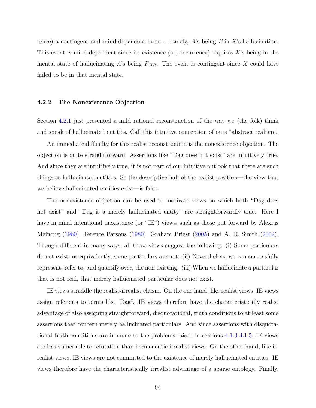rence) a contingent and mind-dependent event - namely, *A*'s being *F-*in-*X*'s-hallucination. This event is mind-dependent since its existence (or, occurrence) requires *X*'s being in the mental state of hallucinating  $A$ 's being  $F_{HR}$ . The event is contingent since  $X$  could have failed to be in that mental state.

### <span id="page-104-0"></span>**4.2.2 The Nonexistence Objection**

Section [4.2.1](#page-97-0) just presented a mild rational reconstruction of the way we (the folk) think and speak of hallucinated entities. Call this intuitive conception of ours "abstract realism".

An immediate difficulty for this realist reconstruction is the nonexistence objection. The objection is quite straightforward: Assertions like "Dag does not exist" are intuitively true. And since they are intuitively true, it is not part of our intuitive outlook that there are such things as hallucinated entities. So the descriptive half of the realist position—the view that we believe hallucinated entities exist—is false.

The nonexistence objection can be used to motivate views on which both "Dag does not exist" and "Dag is a merely hallucinated entity" are straightforwardly true. Here I have in mind intentional inexistence (or "IE") views, such as those put forward by Alexius Meinong [\(1960\)](#page-151-0), Terence Parsons [\(1980\)](#page-151-1), Graham Priest [\(2005\)](#page-152-5) and A. D. Smith [\(2002\)](#page-153-0). Though different in many ways, all these views suggest the following: (i) Some particulars do not exist; or equivalently, some particulars are not. (ii) Nevertheless, we can successfully represent, refer to, and quantify over, the non-existing. (iii) When we hallucinate a particular that is not real, that merely hallucinated particular does not exist.

IE views straddle the realist-irrealist chasm. On the one hand, like realist views, IE views assign referents to terms like "Dag". IE views therefore have the characteristically realist advantage of also assigning straightforward, disquotational, truth conditions to at least some assertions that concern merely hallucinated particulars. And since assertions with disquotational truth conditions are immune to the problems raised in sections [4.1.3-](#page-84-0)[4.1.5,](#page-89-0) IE views are less vulnerable to refutation than hermeneutic irrealist views. On the other hand, like irrealist views, IE views are not committed to the existence of merely hallucinated entities. IE views therefore have the characteristically irrealist advantage of a sparse ontology. Finally,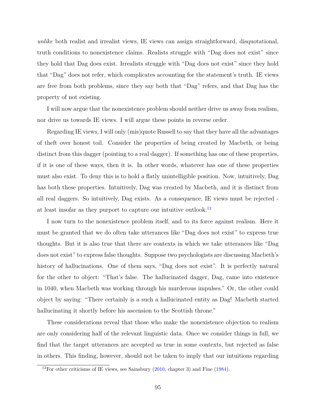*unlike* both realist and irrealist views, IE views can assign straightforward, disquotational, truth conditions to nonexistence claims. Realists struggle with "Dag does not exist" since they hold that Dag does exist. Irrealists struggle with "Dag does not exist" since they hold that "Dag" does not refer, which complicates accounting for the statement's truth. IE views are free from both problems, since they say both that "Dag" refers, and that Dag has the property of not existing.

I will now argue that the nonexistence problem should neither drive us away from realism, nor drive us towards IE views. I will argue these points in reverse order.

Regarding IE views, I will only (mis)quote Russell to say that they have all the advantages of theft over honest toil. Consider the properties of being created by Macbeth, or being distinct from this dagger (pointing to a real dagger). If something has one of these properties, if it is one of these ways, then it is. In other words, whatever has one of these properties must also exist. To deny this is to hold a flatly unintelligible position. Now, intuitively, Dag has both these properties. Intuitively, Dag was created by Macbeth, and it is distinct from all real daggers. So intuitively, Dag exists. As a consequence, IE views must be rejected at least insofar as they purport to capture our intuitive outlook.[12](#page-105-0)

I now turn to the nonexistence problem itself, and to its force against realism. Here it must be granted that we do often take utterances like "Dag does not exist" to express true thoughts. But it is also true that there are contexts in which we take utterances like "Dag does not exist" to express false thoughts. Suppose two psychologists are discussing Macbeth's history of hallucinations. One of them says, "Dag does not exist". It is perfectly natural for the other to object: "That's false. The hallucinated dagger, Dag, came into existence in 1040, when Macbeth was working through his murderous impulses." Or, the other could object by saying: "There certainly is a such a hallucinated entity as Dag! Macbeth started hallucinating it shortly before his ascension to the Scottish throne."

These considerations reveal that those who make the nonexistence objection to realism are only considering half of the relevant linguistic data. Once we consider things in full, we find that the target utterances are accepted as true in some contexts, but rejected as false in others. This finding, however, should not be taken to imply that our intuitions regarding

<span id="page-105-0"></span> $12$ For other criticisms of IE views, see Sainsbury [\(2010,](#page-152-3) chapter 3) and Fine [\(1984\)](#page-148-5).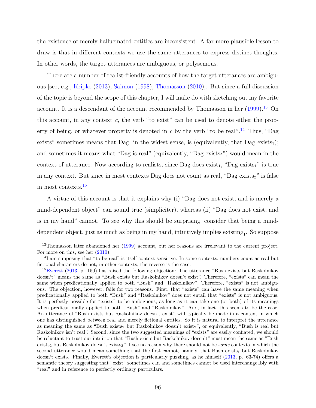the existence of merely hallucinated entities are inconsistent. A far more plausible lesson to draw is that in different contexts we use the same utterances to express distinct thoughts. In other words, the target utterances are ambiguous, or polysemous.

There are a number of realist-friendly accounts of how the target utterances are ambiguous [see, e.g., [Kripke](#page-150-0) [\(2013\)](#page-150-0), [Salmon](#page-152-0) [\(1998\)](#page-152-0), [Thomasson](#page-153-3) [\(2010\)](#page-153-3)]. But since a full discussion of the topic is beyond the scope of this chapter, I will make do with sketching out my favorite account. It is a descendant of the account recommended by Thomasson in her  $(1999)$ <sup>[13](#page-106-0)</sup> On this account, in any context *c*, the verb "to exist" can be used to denote either the property of being, or whatever property is denoted in *c* by the verb "to be real"*.* [14](#page-106-1) Thus, "Dag exists" sometimes means that Dag, in the widest sense, is (equivalently, that Dag exists<sub>1</sub>); and sometimes it means what "Dag is real" (equivalently, "Dag exists<sub>2</sub>") would mean in the context of utterance. Now according to realists, since Dag does  $\text{exist}_1$ , "Dag  $\text{exists}_1$ " is true in any context. But since in most contexts Dag does not count as real, "Dag exists $_2$ " is false in most contexts.[15](#page-106-2)

A virtue of this account is that it explains why (i) "Dag does not exist, and is merely a mind-dependent object" can sound true (simpliciter), whereas (ii) "Dag does not exist, and is in my hand" cannot. To see why this should be surprising, consider that being a minddependent object, just as much as being in my hand, intuitively implies  $\text{existing}_1$ . So suppose

<span id="page-106-0"></span><sup>13</sup>Thomasson later abandoned her [\(1999\)](#page-153-1) account, but her reasons are irrelevant to the current project. For more on this, see her [\(2010\)](#page-153-3).

<span id="page-106-1"></span> $14$ I am supposing that "to be real" is itself context sensitive. In some contexts, numbers count as real but fictional characters do not; in other contexts, the reverse is the case.

<span id="page-106-2"></span><sup>&</sup>lt;sup>15</sup>[Everett](#page-148-3) [\(2013,](#page-148-3) p. 150) has raised the following objection: The utterance "Bush exists but Raskolnikov doesn't" means the same as "Bush exists but Raskolnikov doesn't exist". Therefore, "exists" can mean the same when predicationally applied to both "Bush" and "Raskolnikov". Therefore, "exists" is not ambiguous. The objection, however, fails for two reasons. First, that "exists" can have the same meaning when predicationally applied to both "Bush" and "Raskolnikov" does not entail that "exists" is not ambiguous. It is perfectly possible for "exists" to be ambiguous, as long as it can take one (or both) of its meanings when predicationally applied to both "Bush" and "Raskolnikov". And, in fact, this seems to be the case. An utterance of "Bush exists but Raskolnikov doesn't exist" will typically be made in a context in which one has distinguished between real and merely fictional entities. So it is natural to interpret the utterance as meaning the same as "Bush exists<sub>2</sub> but Raskolnikov doesn't exist<sub>2</sub>", or equivalently, "Bush is real but Raskolnikov isn't real". Second, since the two suggested meanings of "exists" are easily conflated, we should be reluctant to trust our intuition that "Bush exists but Raskolnikov doesn't" must mean the same as "Bush exists<sub>2</sub> but Raskolnikov doesn't exists<sub>2</sub>". I see no reason why there should not be *some* contexts in which the second utterance would mean something that the first cannot, namely, that Bush exists<sub>1</sub> but Raskolnikov doesn't exist<sub>2</sub>. Finally, Everett's objection is particularly puzzling, as he himself [\(2013,](#page-148-3) p. 63-74) offers a semantic theory suggesting that "exist" sometimes can and sometimes cannot be used interchangeably with "real" and in reference to perfectly ordinary particulars.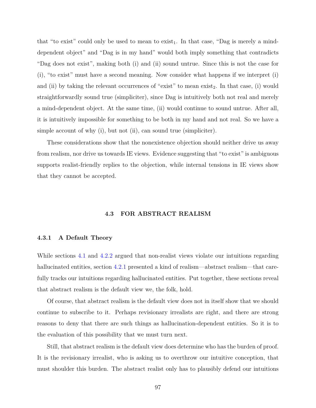that "to exist" could only be used to mean to exist<sub>1</sub>. In that case, "Dag is merely a minddependent object" and "Dag is in my hand" would both imply something that contradicts "Dag does not exist", making both (i) and (ii) sound untrue. Since this is not the case for (i), "to exist" must have a second meaning. Now consider what happens if we interpret (i) and (ii) by taking the relevant occurrences of "exist" to mean exist<sub>2</sub>. In that case, (i) would straightforwardly sound true (simpliciter), since Dag is intuitively both not real and merely a mind-dependent object. At the same time, (ii) would continue to sound untrue. After all, it is intuitively impossible for something to be both in my hand and not real. So we have a simple account of why (i), but not (ii), can sound true (simpliciter).

These considerations show that the nonexistence objection should neither drive us away from realism, nor drive us towards IE views. Evidence suggesting that "to exist" is ambiguous supports realist-friendly replies to the objection, while internal tensions in IE views show that they cannot be accepted.

# **4.3 FOR ABSTRACT REALISM**

### <span id="page-107-1"></span><span id="page-107-0"></span>**4.3.1 A Default Theory**

While sections [4.1](#page-79-2) and [4.2.2](#page-104-0) argued that non-realist views violate our intuitions regarding hallucinated entities, section [4.2.1](#page-97-0) presented a kind of realism—abstract realism—that carefully tracks our intuitions regarding hallucinated entities. Put together, these sections reveal that abstract realism is the default view we, the folk, hold.

Of course, that abstract realism is the default view does not in itself show that we should continue to subscribe to it. Perhaps revisionary irrealists are right, and there are strong reasons to deny that there are such things as hallucination-dependent entities. So it is to the evaluation of this possibility that we must turn next.

Still, that abstract realism is the default view does determine who has the burden of proof. It is the revisionary irrealist, who is asking us to overthrow our intuitive conception, that must shoulder this burden. The abstract realist only has to plausibly defend our intuitions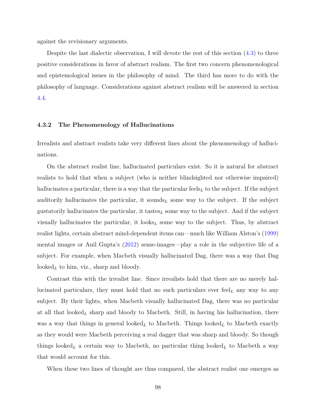against the revisionary arguments.

Despite the last dialectic observation, I will devote the rest of this section [\(4.3\)](#page-107-0) to three positive considerations in favor of abstract realism. The first two concern phenomenological and epistemological issues in the philosophy of mind. The third has more to do with the philosophy of language. Considerations against abstract realism will be answered in section [4.4.](#page-120-0)

### **4.3.2 The Phenomenology of Hallucinations**

Irrealists and abstract realists take very different lines about the phenomenology of hallucinations.

On the abstract realist line, hallucinated particulars exist. So it is natural for abstract realists to hold that when a subject (who is neither blindsighted nor otherwise impaired) hallucinates a particular, there is a way that the particular feels<sub>L</sub> to the subject. If the subject auditorily hallucinates the particular, it sounds<sub>L</sub> some way to the subject. If the subject gustatorily hallucinates the particular, it tastes*<sup>L</sup>* some way to the subject. And if the subject visually hallucinates the particular, it looks*<sup>L</sup>* some way to the subject. Thus, by abstract realist lights, certain abstract mind-dependent items can—much like William Alston's [\(1999\)](#page-146-0) mental images or Anil Gupta's [\(2012\)](#page-149-0) sense-images—play a role in the subjective life of a subject. For example, when Macbeth visually hallucinated Dag, there was a way that Dag looked<sub>L</sub> to him, viz., sharp and bloody.

Contrast this with the irrealist line. Since irrealists hold that there are no merely hallucinated particulars, they must hold that no such particulars ever  $\text{feel}_L$  any way to any subject. By their lights, when Macbeth visually hallucinated Dag, there was no particular at all that looked*<sup>L</sup>* sharp and bloody to Macbeth. Still, in having his hallucination, there was a way that things in general looked<sub>L</sub> to Macbeth. Things looked<sub>L</sub> to Macbeth exactly as they would were Macbeth perceiving a real dagger that was sharp and bloody. So though things looked<sub>L</sub> a certain way to Macbeth, no particular thing looked<sub>L</sub> to Macbeth a way that would account for this.

When these two lines of thought are thus compared, the abstract realist one emerges as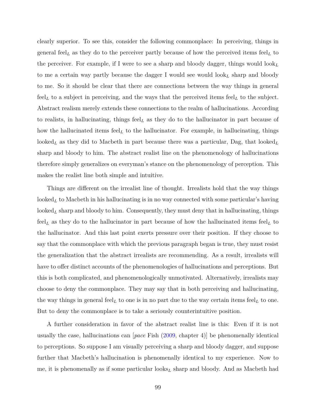clearly superior. To see this, consider the following commonplace: In perceiving, things in general feel*<sup>L</sup>* as they do to the perceiver partly because of how the perceived items feel*<sup>L</sup>* to the perceiver. For example, if I were to see a sharp and bloody dagger, things would look*<sup>L</sup>* to me a certain way partly because the dagger I would see would look*<sup>L</sup>* sharp and bloody to me. So it should be clear that there are connections between the way things in general  $\mathrm{feel}_L$  to a subject in perceiving, and the ways that the perceived items  $\mathrm{feel}_L$  to the subject. Abstract realism merely extends these connections to the realm of hallucinations. According to realists, in hallucinating, things feel*<sup>L</sup>* as they do to the hallucinator in part because of how the hallucinated items feel<sub>L</sub> to the hallucinator. For example, in hallucinating, things looked<sub>L</sub> as they did to Macbeth in part because there was a particular, Dag, that  $\text{looked}_{L}$ sharp and bloody to him. The abstract realist line on the phenomenology of hallucinations therefore simply generalizes on everyman's stance on the phenomenology of perception. This makes the realist line both simple and intuitive.

Things are different on the irrealist line of thought. Irrealists hold that the way things looked<sub>L</sub> to Macbeth in his hallucinating is in no way connected with some particular's having  $\text{looked}_L$  sharp and bloody to him. Consequently, they must deny that in hallucinating, things feel*<sup>L</sup>* as they do to the hallucinator in part because of how the hallucinated items feel*<sup>L</sup>* to the hallucinator. And this last point exerts pressure over their position. If they choose to say that the commonplace with which the previous paragraph began is true, they must resist the generalization that the abstract irrealists are recommending. As a result, irrealists will have to offer distinct accounts of the phenomenologies of hallucinations and perceptions. But this is both complicated, and phenomenologically unmotivated. Alternatively, irrealists may choose to deny the commonplace. They may say that in both perceiving and hallucinating, the way things in general feel<sub>L</sub> to one is in no part due to the way certain items feel<sub>L</sub> to one. But to deny the commonplace is to take a seriously counterintuitive position.

A further consideration in favor of the abstract realist line is this: Even if it is not usually the case, hallucinations can [*pace* Fish [\(2009,](#page-148-0) chapter 4)] be phenomenally identical to perceptions. So suppose I am visually perceiving a sharp and bloody dagger, and suppose further that Macbeth's hallucination is phenomenally identical to my experience. Now to me, it is phenomenally as if some particular looks*<sup>L</sup>* sharp and bloody. And as Macbeth had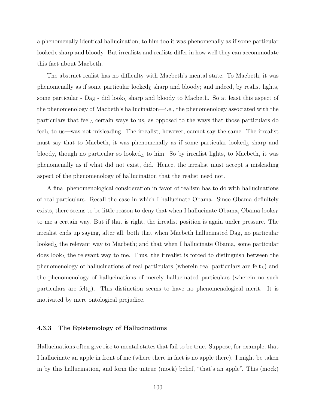a phenomenally identical hallucination, to him too it was phenomenally as if some particular looked<sub>L</sub> sharp and bloody. But irrealists and realists differ in how well they can accommodate this fact about Macbeth.

The abstract realist has no difficulty with Macbeth's mental state. To Macbeth, it was phenomenally as if some particular looked*<sup>L</sup>* sharp and bloody; and indeed, by realist lights, some particular - Dag - did look*<sup>L</sup>* sharp and bloody to Macbeth. So at least this aspect of the phenomenology of Macbeth's hallucination—i.e., the phenomenology associated with the particulars that feel*<sup>L</sup>* certain ways to us, as opposed to the ways that those particulars do feel<sub>L</sub> to us—was not misleading. The irrealist, however, cannot say the same. The irrealist must say that to Macbeth, it was phenomenally as if some particular looked*<sup>L</sup>* sharp and bloody, though no particular so looked<sub>L</sub> to him. So by irrealist lights, to Macbeth, it was phenomenally as if what did not exist, did. Hence, the irrealist must accept a misleading aspect of the phenomenology of hallucination that the realist need not.

A final phenomenological consideration in favor of realism has to do with hallucinations of real particulars. Recall the case in which I hallucinate Obama. Since Obama definitely exists, there seems to be little reason to deny that when I hallucinate Obama, Obama looks*<sup>L</sup>* to me a certain way. But if that is right, the irrealist position is again under pressure. The irrealist ends up saying, after all, both that when Macbeth hallucinated Dag, no particular looked*<sup>L</sup>* the relevant way to Macbeth; and that when I hallucinate Obama, some particular does look*<sup>L</sup>* the relevant way to me. Thus, the irrealist is forced to distinguish between the phenomenology of hallucinations of real particulars (wherein real particulars are felt*L*) and the phenomenology of hallucinations of merely hallucinated particulars (wherein no such particulars are felt*L*). This distinction seems to have no phenomenological merit. It is motivated by mere ontological prejudice.

### <span id="page-110-0"></span>**4.3.3 The Epistemology of Hallucinations**

Hallucinations often give rise to mental states that fail to be true. Suppose, for example, that I hallucinate an apple in front of me (where there in fact is no apple there). I might be taken in by this hallucination, and form the untrue (mock) belief, "that's an apple". This (mock)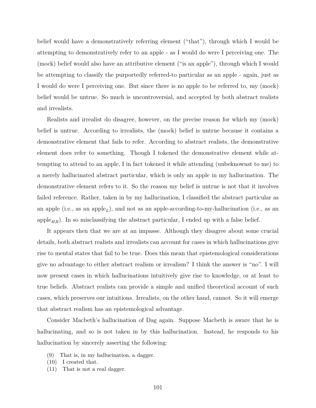belief would have a demonstratively referring element ("that"), through which I would be attempting to demonstratively refer to an apple - as I would do were I perceiving one. The (mock) belief would also have an attributive element ("is an apple"), through which I would be attempting to classify the purportedly referred-to particular as an apple - again, just as I would do were I perceiving one. But since there is no apple to be referred to, my (mock) belief would be untrue. So much is uncontroversial, and accepted by both abstract realists and irrealists.

Realists and irrealist do disagree, however, on the precise reason for which my (mock) belief is untrue. According to irrealists, the (mock) belief is untrue because it contains a demonstrative element that fails to refer. According to abstract realists, the demonstrative element does refer to something. Though I tokened the demonstrative element while attempting to attend to an apple, I in fact tokened it while attending (unbeknownst to me) to a merely hallucinated abstract particular, which is only an apple in my hallucination. The demonstrative element refers to it. So the reason my belief is untrue is not that it involves failed reference. Rather, taken in by my hallucination, I classified the abstract particular as an apple (i.e., as an apple*L*), and not as an apple-according-to-my-hallucination (i.e., as an apple<sub>HR</sub>). In so misclassifying the abstract particular, I ended up with a false belief.

It appears then that we are at an impasse. Although they disagree about some crucial details, both abstract realists and irrealists can account for cases in which hallucinations give rise to mental states that fail to be true. Does this mean that epistemological considerations give no advantage to either abstract realism or irrealism? I think the answer is "no". I will now present cases in which hallucinations intuitively give rise to knowledge, or at least to true beliefs. Abstract realists can provide a simple and unified theoretical account of such cases, which preserves our intuitions. Irrealists, on the other hand, cannot. So it will emerge that abstract realism has an epistemological advantage.

Consider Macbeth's hallucination of Dag again. Suppose Macbeth is aware that he is hallucinating, and so is not taken in by this hallucination. Instead, he responds to his hallucination by sincerely asserting the following:

- (9) That is, in my hallucination, a dagger.
- (10) I created that.
- (11) That is not a real dagger.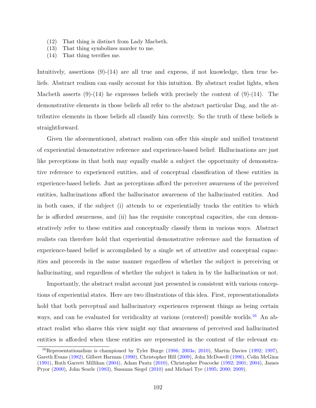- (12) That thing is distinct from Lady Macbeth.
- (13) That thing symbolizes murder to me.
- (14) That thing terrifies me.

Intuitively, assertions  $(9)-(14)$  are all true and express, if not knowledge, then true beliefs. Abstract realism can easily account for this intuition. By abstract realist lights, when Macbeth asserts  $(9)-(14)$  he expresses beliefs with precisely the content of  $(9)-(14)$ . The demonstrative elements in those beliefs all refer to the abstract particular Dag, and the attributive elements in those beliefs all classify him correctly. So the truth of these beliefs is straightforward.

Given the aforementioned, abstract realism can offer this simple and unified treatment of experiential demonstrative reference and experience-based belief: Hallucinations are just like perceptions in that both may equally enable a subject the opportunity of demonstrative reference to experienced entities, and of conceptual classification of these entities in experience-based beliefs. Just as perceptions afford the perceiver awareness of the perceived entities, hallucinations afford the hallucinator awareness of the hallucinated entities. And in both cases, if the subject (i) attends to or experientially tracks the entities to which he is afforded awareness, and (ii) has the requisite conceptual capacities, she can demonstratively refer to these entities and conceptually classify them in various ways. Abstract realists can therefore hold that experiential demonstrative reference and the formation of experience-based belief is accomplished by a single set of attentive and conceptual capacities and proceeds in the same manner regardless of whether the subject is perceiving or hallucinating, and regardless of whether the subject is taken in by the hallucination or not.

Importantly, the abstract realist account just presented is consistent with various conceptions of experiential states. Here are two illustrations of this idea. First, representationalists hold that both perceptual and hallucinatory experiences represent things as being certain ways, and can be evaluated for veridicality at various (centered) possible worlds.<sup>[16](#page-112-0)</sup> An abstract realist who shares this view might say that awareness of perceived and hallucinated entities is afforded when these entities are represented in the content of the relevant ex-

<span id="page-112-0"></span><sup>16</sup>Representationalism is championed by Tyler Burge [\(1986;](#page-147-0) [2003a;](#page-147-1) [2010\)](#page-147-2), Martin Davies [\(1992;](#page-148-1) [1997\)](#page-148-2), Gareth Evans [\(1982\)](#page-148-3), Gilbert Harman [\(1990\)](#page-149-1), Christopher Hill [\(2009\)](#page-149-2), John McDowell [\(1996\)](#page-150-0), Colin McGinn [\(1991\)](#page-151-0), Ruth Garrett Millikan [\(2004\)](#page-151-1), Adam Pautz [\(2010\)](#page-151-2), Christopher Peacocke [\(1992;](#page-151-3) [2001;](#page-151-4) [2004\)](#page-151-5), James Pryor [\(2000\)](#page-152-0), John Searle [\(1983\)](#page-152-1), Susanna Siegel [\(2010\)](#page-153-0) and Michael Tye [\(1995;](#page-153-1) [2000;](#page-153-2) [2009\)](#page-153-3).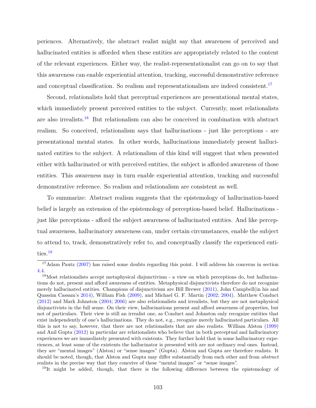periences. Alternatively, the abstract realist might say that awareness of perceived and hallucinated entities is afforded when these entities are appropriately related to the content of the relevant experiences. Either way, the realist-representationalist can go on to say that this awareness can enable experiential attention, tracking, successful demonstrative reference and conceptual classification. So realism and representationalism are indeed consistent.<sup>[17](#page-113-0)</sup>

Second, relationalists hold that perceptual experiences are presentational mental states, which immediately present perceived entities to the subject. Currently, most relationalists are also irrealists.[18](#page-113-1) But relationalism can also be conceived in combination with abstract realism. So conceived, relationalism says that hallucinations - just like perceptions - are presentational mental states. In other words, hallucinations immediately present hallucinated entities to the subject. A relationalism of this kind will suggest that when presented either with hallucinated or with perceived entities, the subject is afforded awareness of those entities. This awareness may in turn enable experiential attention, tracking and successful demonstrative reference. So realism and relationalism are consistent as well.

To summarize: Abstract realism suggests that the epistemology of hallucination-based belief is largely an extension of the epistemology of perception-based belief. Hallucinations just like perceptions - afford the subject awareness of hallucinated entities. And like perceptual awareness, hallucinatory awareness can, under certain circumstances, enable the subject to attend to, track, demonstratively refer to, and conceptually classify the experienced enti-ties.<sup>[19](#page-113-2)</sup>

<span id="page-113-0"></span><sup>&</sup>lt;sup>17</sup>Adam Pautz [\(2007\)](#page-151-6) has raised some doubts regarding this point. I will address his concerns in section [4.4.](#page-120-0)

<span id="page-113-1"></span><sup>18</sup>Most relationalists accept metaphysical disjunctivism - a view on which perceptions do, but hallucinations do not, present and afford awareness of entities. Metaphysical disjunctivists therefore do not recognize merely hallucinated entities. Champions of disjunctivism are Bill Brewer [\(2011\)](#page-146-1), John Campbell(in his and Quassim Cassam's [2014\)](#page-147-3), William Fish [\(2009\)](#page-148-0), and Michael G. F. Martin [\(2002;](#page-150-1) [2004\)](#page-150-2). Matthew Conduct [\(2012\)](#page-148-4) and Mark Johnston [\(2004;](#page-149-3) [2006\)](#page-150-3) are also relationalists and irrealists, but they are not metaphysical disjunctivists in the full sense. On their view, hallucinations present and afford awareness of properties, but not of particulars. Their view is still an irrealist one, as Conduct and Johnston only recognize entities that exist independently of one's hallucinations. They do not, e.g., recognize merely hallucinated particulars. All this is not to say, however, that there are not relationalists that are also realists. William Alston [\(1999\)](#page-146-0) and Anil Gupta [\(2012\)](#page-149-0) in particular are relationalists who believe that in both perceptual and hallucinatory experiences we are immediately presented with existents. They further hold that in some hallucinatory experiences, at least some of the existents the hallucinator is presented with are not ordinary real ones. Instead, they are "mental images" (Alston) or "sense images" (Gupta). Alston and Gupta are therefore realists. It should be noted, though, that Alston and Gupta may differ substantially from each other and from *abstract* realists in the precise way that they conceive of these "mental images" or "sense images".

<span id="page-113-2"></span> $19$ It might be added, though, that there is the following difference between the epistemology of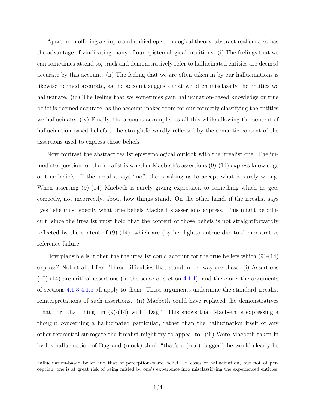Apart from offering a simple and unified epistemological theory, abstract realism also has the advantage of vindicating many of our epistemological intuitions: (i) The feelings that we can sometimes attend to, track and demonstratively refer to hallucinated entities are deemed accurate by this account. (ii) The feeling that we are often taken in by our hallucinations is likewise deemed accurate, as the account suggests that we often misclassify the entities we hallucinate. (iii) The feeling that we sometimes gain hallucination-based knowledge or true belief is deemed accurate, as the account makes room for our correctly classifying the entities we hallucinate. (iv) Finally, the account accomplishes all this while allowing the content of hallucination-based beliefs to be straightforwardly reflected by the semantic content of the assertions used to express those beliefs.

Now contrast the abstract realist epistemological outlook with the irrealist one. The immediate question for the irrealist is whether Macbeth's assertions (9)-(14) express knowledge or true beliefs. If the irrealist says "no", she is asking us to accept what is surely wrong. When asserting  $(9)-(14)$  Macbeth is surely giving expression to something which he gets correctly, not incorrectly, about how things stand. On the other hand, if the irrealist says "yes" she must specify what true beliefs Macbeth's assertions express. This might be difficult, since the irrealist must hold that the content of those beliefs is not straightforwardly reflected by the content of  $(9)-(14)$ , which are (by her lights) untrue due to demonstrative reference failure.

How plausible is it then the the irrealist could account for the true beliefs which  $(9)-(14)$ express? Not at all, I feel. Three difficulties that stand in her way are these: (i) Assertions  $(10)-(14)$  are critical assertions (in the sense of section [4.1.1\)](#page-79-0), and therefore, the arguments of sections [4.1.3](#page-84-0)[-4.1.5](#page-89-0) all apply to them. These arguments undermine the standard irrealist reinterpretations of such assertions. (ii) Macbeth could have replaced the demonstratives "that" or "that thing" in (9)-(14) with "Dag". This shows that Macbeth is expressing a thought concerning a hallucinated particular, rather than the hallucination itself or any other referential surrogate the irrealist might try to appeal to. (iii) Were Macbeth taken in by his hallucination of Dag and (mock) think "that's a (real) dagger", he would clearly be

hallucination-based belief and that of perception-based belief: In cases of hallucination, but not of perception, one is at great risk of being misled by one's experience into misclassifying the experienced entities.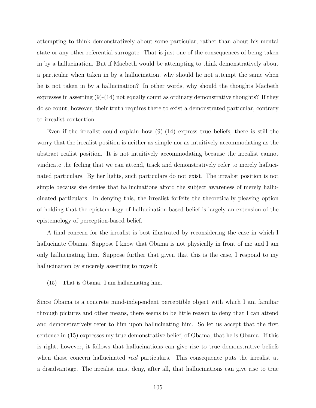attempting to think demonstratively about some particular, rather than about his mental state or any other referential surrogate. That is just one of the consequences of being taken in by a hallucination. But if Macbeth would be attempting to think demonstratively about a particular when taken in by a hallucination, why should he not attempt the same when he is not taken in by a hallucination? In other words, why should the thoughts Macbeth expresses in asserting  $(9)-(14)$  not equally count as ordinary demonstrative thoughts? If they do so count, however, their truth requires there to exist a demonstrated particular, contrary to irrealist contention.

Even if the irrealist could explain how  $(9)-(14)$  express true beliefs, there is still the worry that the irrealist position is neither as simple nor as intuitively accommodating as the abstract realist position. It is not intuitively accommodating because the irrealist cannot vindicate the feeling that we can attend, track and demonstratively refer to merely hallucinated particulars. By her lights, such particulars do not exist. The irrealist position is not simple because she denies that hallucinations afford the subject awareness of merely hallucinated particulars. In denying this, the irrealist forfeits the theoretically pleasing option of holding that the epistemology of hallucination-based belief is largely an extension of the epistemology of perception-based belief.

A final concern for the irrealist is best illustrated by reconsidering the case in which I hallucinate Obama. Suppose I know that Obama is not physically in front of me and I am only hallucinating him. Suppose further that given that this is the case, I respond to my hallucination by sincerely asserting to myself:

(15) That is Obama. I am hallucinating him.

Since Obama is a concrete mind-independent perceptible object with which I am familiar through pictures and other means, there seems to be little reason to deny that I can attend and demonstratively refer to him upon hallucinating him. So let us accept that the first sentence in (15) expresses my true demonstrative belief, of Obama, that he is Obama. If this is right, however, it follows that hallucinations can give rise to true demonstrative beliefs when those concern hallucinated *real* particulars. This consequence puts the irrealist at a disadvantage. The irrealist must deny, after all, that hallucinations can give rise to true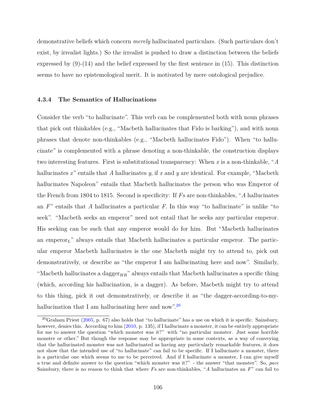demonstrative beliefs which concern *merely* hallucinated particulars. (Such particulars don't exist, by irrealist lights.) So the irrealist is pushed to draw a distinction between the beliefs expressed by  $(9)-(14)$  and the belief expressed by the first sentence in  $(15)$ . This distinction seems to have no epistemological merit. It is motivated by mere ontological prejudice.

### <span id="page-116-1"></span>**4.3.4 The Semantics of Hallucinations**

Consider the verb "to hallucinate". This verb can be complemented both with noun phrases that pick out thinkables (e.g., "Macbeth hallucinates that Fido is barking"), and with noun phrases that denote non-thinkables (e.g., "Macbeth hallucinates Fido"). When "to hallucinate" is complemented with a phrase denoting a non-thinkable, the construction displays two interesting features. First is substitutional transparency: When *x* is a non-thinkable, "*A* hallucinates *x*" entails that *A* hallucinates *y*, if *x* and *y* are identical. For example, "Macbeth hallucinates Napoleon" entails that Macbeth hallucinates the person who was Emperor of the French from 1804 to 1815. Second is specificity: If *F*s are non-thinkables, "*A* hallucinates an *F*" entails that *A* hallucinates a particular *F*. In this way "to hallucinate" is unlike "to seek". "Macbeth seeks an emperor" need not entail that he seeks any particular emperor. His seeking can be such that any emperor would do for him. But "Macbeth hallucinates an emperor*L*" always entails that Macbeth hallucinates a particular emperor. The particular emperor Macbeth hallucinates is the one Macbeth might try to attend to, pick out demonstratively, or describe as "the emperor I am hallucinating here and now". Similarly, "Macbeth hallucinates a dagger<sub>HR</sub>" always entails that Macbeth hallucinates a specific thing (which, according his hallucination, is a dagger). As before, Macbeth might try to attend to this thing, pick it out demonstratively, or describe it as "the dagger-according-to-my-hallucination that I am hallucinating here and now".<sup>[20](#page-116-0)</sup>

<span id="page-116-0"></span> $^{20}$ Graham Priest [\(2005,](#page-152-2) p. 67) also holds that "to hallucinate" has a use on which it is specific. Sainsbury, however, denies this. According to him [\(2010,](#page-152-3) p. 135), if I hallucinate a monster, it can be entirely appropriate for me to answer the question "which monster was it?" with "no particular monster. Just some horrible monster or other." But though the response may be appropriate in some contexts, as a way of conveying that the hallucinated monster was not hallucinated as having any particularly remarkable features, it does not show that the intended use of "to hallucinate" can fail to be specific. If I hallucinate a monster, there is a particular one which seems to me to be perceived. And if I hallucinate a monster, I can give myself a true and definite answer to the question "which monster was it?" - the answer "that monster". So, *pace* Sainsbury, there is no reason to think that where *F*s are non-thinkables, "*A* hallucinates an *F*" can fail to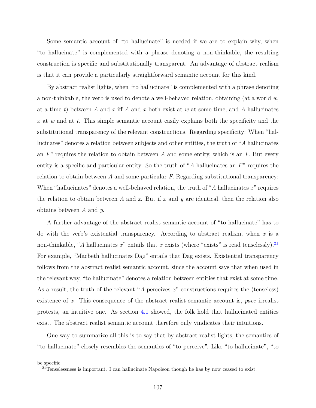Some semantic account of "to hallucinate" is needed if we are to explain why, when "to hallucinate" is complemented with a phrase denoting a non-thinkable, the resulting construction is specific and substitutionally transparent. An advantage of abstract realism is that it can provide a particularly straightforward semantic account for this kind.

By abstract realist lights, when "to hallucinate" is complemented with a phrase denoting a non-thinkable, the verb is used to denote a well-behaved relation, obtaining (at a world *w*, at a time *t*) between *A* and *x* iff *A* and *x* both exist at *w* at some time, and *A* hallucinates *x* at *w* and at *t*. This simple semantic account easily explains both the specificity and the substitutional transparency of the relevant constructions. Regarding specificity: When "hallucinates" denotes a relation between subjects and other entities, the truth of "*A* hallucinates an *F*" requires the relation to obtain between *A* and some entity, which is an *F*. But every entity is a specific and particular entity. So the truth of "*A* hallucinates an *F*" requires the relation to obtain between *A* and some particular *F*. Regarding substitutional transparency: When "hallucinates" denotes a well-behaved relation, the truth of "*A* hallucinates *x*" requires the relation to obtain between *A* and *x*. But if *x* and *y* are identical, then the relation also obtains between *A* and *y*.

A further advantage of the abstract realist semantic account of "to hallucinate" has to do with the verb's existential transparency. According to abstract realism, when *x* is a non-thinkable, "*A* hallucinates  $x$ " entails that  $x$  exists (where "exists" is read tenselessly).<sup>[21](#page-117-0)</sup> For example, "Macbeth hallucinates Dag" entails that Dag exists. Existential transparency follows from the abstract realist semantic account, since the account says that when used in the relevant way, "to hallucinate" denotes a relation between entities that exist at some time. As a result, the truth of the relevant "*A* perceives *x*" constructions requires the (tenseless) existence of *x*. This consequence of the abstract realist semantic account is, *pace* irrealist protests, an intuitive one. As section [4.1](#page-79-1) showed, the folk hold that hallucinated entities exist. The abstract realist semantic account therefore only vindicates their intuitions.

One way to summarize all this is to say that by abstract realist lights, the semantics of "to hallucinate" closely resembles the semantics of "to perceive". Like "to hallucinate", "to

be specific.

<span id="page-117-0"></span> $21$ Tenselessness is important. I can hallucinate Napoleon though he has by now ceased to exist.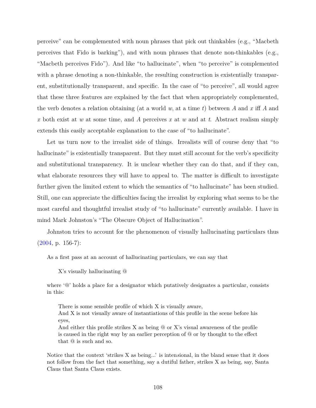perceive" can be complemented with noun phrases that pick out thinkables (e.g., "Macbeth perceives that Fido is barking"), and with noun phrases that denote non-thinkables (e.g., "Macbeth perceives Fido"). And like "to hallucinate", when "to perceive" is complemented with a phrase denoting a non-thinkable, the resulting construction is existentially transparent, substitutionally transparent, and specific. In the case of "to perceive", all would agree that these three features are explained by the fact that when appropriately complemented, the verb denotes a relation obtaining (at a world *w*, at a time *t*) between *A* and *x* iff *A* and *x* both exist at *w* at some time, and *A* perceives *x* at *w* and at *t*. Abstract realism simply extends this easily acceptable explanation to the case of "to hallucinate".

Let us turn now to the irrealist side of things. Irrealists will of course deny that "to hallucinate" is existentially transparent. But they must still account for the verb's specificity and substitutional transparency. It is unclear whether they can do that, and if they can, what elaborate resources they will have to appeal to. The matter is difficult to investigate further given the limited extent to which the semantics of "to hallucinate" has been studied. Still, one can appreciate the difficulties facing the irrealist by exploring what seems to be the most careful and thoughtful irrealist study of "to hallucinate" currently available. I have in mind Mark Johnston's "The Obscure Object of Hallucination".

Johnston tries to account for the phenomenon of visually hallucinating particulars thus  $(2004, p. 156-7)$  $(2004, p. 156-7)$ :

As a first pass at an account of hallucinating particulars, we can say that

X's visually hallucinating @

where '@' holds a place for a designator which putatively designates a particular, consists in this:

There is some sensible profile of which X is visually aware,

And X is not visually aware of instantiations of this profile in the scene before his eyes,

And either this profile strikes X as being  $\mathcal Q$  or X's visual awareness of the profile is caused in the right way by an earlier perception of @ or by thought to the effect that @ is such and so.

Notice that the context 'strikes X as being...' is inten*s*ional, in the bland sense that it does not follow from the fact that something, say a dutiful father, strikes X as being, say, Santa Claus that Santa Claus exists.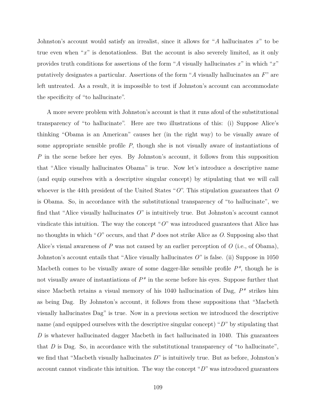Johnston's account would satisfy an irrealist, since it allows for "*A* hallucinates *x*" to be true even when "*x*" is denotationless. But the account is also severely limited, as it only provides truth conditions for assertions of the form "*A* visually hallucinates *x*" in which "*x*" putatively designates a particular. Assertions of the form "*A* visually hallucinates an *F*" are left untreated. As a result, it is impossible to test if Johnston's account can accommodate the specificity of "to hallucinate".

A more severe problem with Johnston's account is that it runs afoul of the substitutional transparency of "to hallucinate". Here are two illustrations of this: (i) Suppose Alice's thinking "Obama is an American" causes her (in the right way) to be visually aware of some appropriate sensible profile *P*, though she is not visually aware of instantiations of *P* in the scene before her eyes. By Johnston's account, it follows from this supposition that "Alice visually hallucinates Obama" is true. Now let's introduce a descriptive name (and equip ourselves with a descriptive singular concept) by stipulating that we will call whoever is the 44th president of the United States "*O*". This stipulation guarantees that *O* is Obama. So, in accordance with the substitutional transparency of "to hallucinate", we find that "Alice visually hallucinates *O*" is intuitively true. But Johnston's account cannot vindicate this intuition. The way the concept " $O$ " was introduced guarantees that Alice has no thoughts in which "*O*" occurs, and that *P* does not strike Alice as *O*. Supposing also that Alice's visual awareness of *P* was not caused by an earlier perception of *O* (i.e., of Obama), Johnston's account entails that "Alice visually hallucinates *O*" is false. (ii) Suppose in 1050 Macbeth comes to be visually aware of some dagger-like sensible profile *P\**, though he is not visually aware of instantiations of  $P^*$  in the scene before his eyes. Suppose further that since Macbeth retains a visual memory of his 1040 hallucination of Dag, *P\** strikes him as being Dag. By Johnston's account, it follows from these suppositions that "Macbeth visually hallucinates Dag" is true. Now in a previous section we introduced the descriptive name (and equipped ourselves with the descriptive singular concept) "*D*" by stipulating that *D* is whatever hallucinated dagger Macbeth in fact hallucinated in 1040. This guarantees that *D* is Dag. So, in accordance with the substitutional transparency of "to hallucinate", we find that "Macbeth visually hallucinates *D*" is intuitively true. But as before, Johnston's account cannot vindicate this intuition. The way the concept "*D*" was introduced guarantees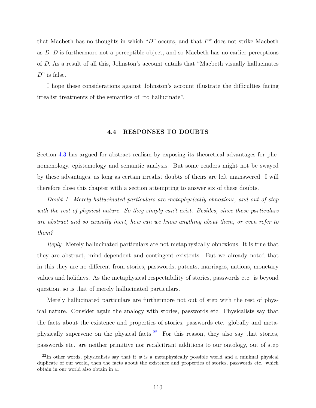that Macbeth has no thoughts in which "*D*" occurs, and that *P\** does not strike Macbeth as *D*. *D* is furthermore not a perceptible object, and so Macbeth has no earlier perceptions of *D*. As a result of all this, Johnston's account entails that "Macbeth visually hallucinates *D*" is false.

I hope these considerations against Johnston's account illustrate the difficulties facing irrealist treatments of the semantics of "to hallucinate".

# **4.4 RESPONSES TO DOUBTS**

<span id="page-120-0"></span>Section [4.3](#page-107-0) has argued for abstract realism by exposing its theoretical advantages for phenomenology, epistemology and semantic analysis. But some readers might not be swayed by these advantages, as long as certain irrealist doubts of theirs are left unanswered. I will therefore close this chapter with a section attempting to answer six of these doubts.

*Doubt 1. Merely hallucinated particulars are metaphysically obnoxious, and out of step with the rest of physical nature. So they simply can't exist. Besides, since these particulars are abstract and so causally inert, how can we know anything about them, or even refer to them?*

*Reply*. Merely hallucinated particulars are not metaphysically obnoxious. It is true that they are abstract, mind-dependent and contingent existents. But we already noted that in this they are no different from stories, passwords, patents, marriages, nations, monetary values and holidays. As the metaphysical respectability of stories, passwords etc. is beyond question, so is that of merely hallucinated particulars.

Merely hallucinated particulars are furthermore not out of step with the rest of physical nature. Consider again the analogy with stories, passwords etc. Physicalists say that the facts about the existence and properties of stories, passwords etc. globally and meta-physically supervene on the physical facts.<sup>[22](#page-120-1)</sup> For this reason, they also say that stories, passwords etc. are neither primitive nor recalcitrant additions to our ontology, out of step

<span id="page-120-1"></span> $22$ In other words, physicalists say that if *w* is a metaphysically possible world and a minimal physical duplicate of our world, then the facts about the existence and properties of stories, passwords etc. which obtain in our world also obtain in *w*.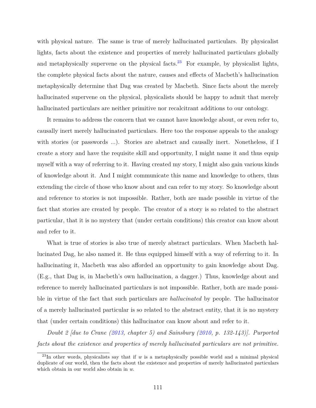with physical nature. The same is true of merely hallucinated particulars. By physicalist lights, facts about the existence and properties of merely hallucinated particulars globally and metaphysically supervene on the physical facts.<sup>[23](#page-121-0)</sup> For example, by physicalist lights, the complete physical facts about the nature, causes and effects of Macbeth's hallucination metaphysically determine that Dag was created by Macbeth. Since facts about the merely hallucinated supervene on the physical, physicalists should be happy to admit that merely hallucinated particulars are neither primitive nor recalcitrant additions to our ontology.

It remains to address the concern that we cannot have knowledge about, or even refer to, causally inert merely hallucinated particulars. Here too the response appeals to the analogy with stories (or passwords ...). Stories are abstract and causally inert. Nonetheless, if I create a story and have the requisite skill and opportunity, I might name it and thus equip myself with a way of referring to it. Having created my story, I might also gain various kinds of knowledge about it. And I might communicate this name and knowledge to others, thus extending the circle of those who know about and can refer to my story. So knowledge about and reference to stories is not impossible. Rather, both are made possible in virtue of the fact that stories are created by people. The creator of a story is so related to the abstract particular, that it is no mystery that (under certain conditions) this creator can know about and refer to it.

What is true of stories is also true of merely abstract particulars. When Macbeth hallucinated Dag, he also named it. He thus equipped himself with a way of referring to it. In hallucinating it, Macbeth was also afforded an opportunity to gain knowledge about Dag. (E.g., that Dag is, in Macbeth's own hallucination, a dagger.) Thus, knowledge about and reference to merely hallucinated particulars is not impossible. Rather, both are made possible in virtue of the fact that such particulars are *hallucinated* by people. The hallucinator of a merely hallucinated particular is so related to the abstract entity, that it is no mystery that (under certain conditions) this hallucinator can know about and refer to it.

*Doubt 2 [due to Crane [\(2013,](#page-148-5) chapter 5) and Sainsbury [\(2010,](#page-152-3) p. 132-143)]. Purported facts about the existence and properties of merely hallucinated particulars are not primitive.*

<span id="page-121-0"></span> $^{23}$ In other words, physicalists say that if *w* is a metaphysically possible world and a minimal physical duplicate of our world, then the facts about the existence and properties of merely hallucinated particulars which obtain in our world also obtain in *w*.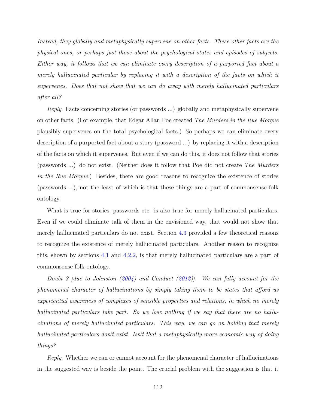*Instead, they globally and metaphysically supervene on other facts. These other facts are the physical ones, or perhaps just those about the psychological states and episodes of subjects. Either way, it follows that we can eliminate every description of a purported fact about a merely hallucinated particular by replacing it with a description of the facts on which it supervenes. Does that not show that we can do away with merely hallucinated particulars after all?*

*Reply*. Facts concerning stories (or passwords ...) globally and metaphysically supervene on other facts. (For example, that Edgar Allan Poe created *The Murders in the Rue Morgue* plausibly supervenes on the total psychological facts.) So perhaps we can eliminate every description of a purported fact about a story (password ...) by replacing it with a description of the facts on which it supervenes. But even if we can do this, it does not follow that stories (passwords ...) do not exist. (Neither does it follow that Poe did not create *The Murders in the Rue Morgue*.) Besides, there are good reasons to recognize the existence of stories (passwords ...), not the least of which is that these things are a part of commonsense folk ontology.

What is true for stories, passwords etc. is also true for merely hallucinated particulars. Even if we could eliminate talk of them in the envisioned way, that would not show that merely hallucinated particulars do not exist. Section [4.3](#page-107-0) provided a few theoretical reasons to recognize the existence of merely hallucinated particulars. Another reason to recognize this, shown by sections [4.1](#page-79-1) and [4.2.2,](#page-104-0) is that merely hallucinated particulars are a part of commonsense folk ontology.

*Doubt 3 [due to Johnston [\(2004\)](#page-149-3) and Conduct [\(2012\)](#page-148-4)]. We can fully account for the phenomenal character of hallucinations by simply taking them to be states that afford us experiential awareness of complexes of sensible properties and relations, in which no merely hallucinated particulars take part. So we lose nothing if we say that there are no hallucinations of merely hallucinated particulars. This way, we can go on holding that merely hallucinated particulars don't exist. Isn't that a metaphysically more economic way of doing things?*

*Reply*. Whether we can or cannot account for the phenomenal character of hallucinations in the suggested way is beside the point. The crucial problem with the suggestion is that it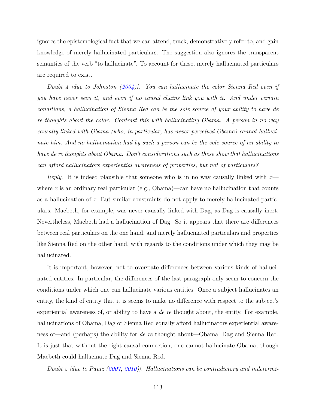ignores the epistemological fact that we can attend, track, demonstratively refer to, and gain knowledge of merely hallucinated particulars. The suggestion also ignores the transparent semantics of the verb "to hallucinate". To account for these, merely hallucinated particulars are required to exist.

*Doubt 4 [due to Johnston [\(2004\)](#page-149-3)]. You can hallucinate the color Sienna Red even if you have never seen it, and even if no causal chains link you with it. And under certain conditions, a hallucination of Sienna Red can be the sole source of your ability to have de re thoughts about the color. Contrast this with hallucinating Obama. A person in no way causally linked with Obama (who, in particular, has never perceived Obama) cannot hallucinate him. And no hallucination had by such a person can be the sole source of an ability to have de re thoughts about Obama. Don't considerations such as these show that hallucinations can afford hallucinators experiential awareness of properties, but not of particulars?*

*Reply*. It is indeed plausible that someone who is in no way causally linked with *x* where x is an ordinary real particular (e.g., Obama)—can have no hallucination that counts as a hallucination of *x*. But similar constraints do not apply to merely hallucinated particulars. Macbeth, for example, was never causally linked with Dag, as Dag is causally inert. Nevertheless, Macbeth had a hallucination of Dag. So it appears that there are differences between real particulars on the one hand, and merely hallucinated particulars and properties like Sienna Red on the other hand, with regards to the conditions under which they may be hallucinated.

It is important, however, not to overstate differences between various kinds of hallucinated entities. In particular, the differences of the last paragraph only seem to concern the conditions under which one can hallucinate various entities. Once a subject hallucinates an entity, the kind of entity that it is seems to make no difference with respect to the subject's experiential awareness of, or ability to have a *de re* thought about, the entity. For example, hallucinations of Obama, Dag or Sienna Red equally afford hallucinators experiential awareness of—and (perhaps) the ability for *de re* thought about—Obama, Dag and Sienna Red. It is just that without the right causal connection, one cannot hallucinate Obama; though Macbeth could hallucinate Dag and Sienna Red.

*Doubt 5 [due to Pautz [\(2007;](#page-151-6) [2010\)](#page-151-2)]. Hallucinations can be contradictory and indetermi-*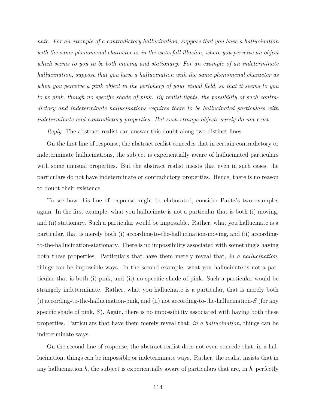*nate. For an example of a contradictory hallucination, suppose that you have a hallucination with the same phenomenal character as in the waterfall illusion, where you perceive an object which seems to you to be both moving and stationary. For an example of an indeterminate hallucination, suppose that you have a hallucination with the same phenomenal character as when you perceive a pink object in the periphery of your visual field, so that it seems to you to be pink, though no specific shade of pink. By realist lights, the possibility of such contradictory and indeterminate hallucinations requires there to be hallucinated particulars with indeterminate and contradictory properties. But such strange objects surely do not exist.*

*Reply*. The abstract realist can answer this doubt along two distinct lines:

On the first line of response, the abstract realist concedes that in certain contradictory or indeterminate hallucinations, the subject is experientially aware of hallucinated particulars with some unusual properties. But the abstract realist insists that even in such cases, the particulars do not have indeterminate or contradictory properties*.* Hence, there is no reason to doubt their existence.

To see how this line of response might be elaborated, consider Pautz's two examples again. In the first example, what you hallucinate is not a particular that is both (i) moving, and (ii) stationary. Such a particular would be impossible. Rather, what you hallucinate is a particular, that is merely both (i) according-to-the-hallucination-moving, and (ii) accordingto-the-hallucination-stationary. There is no impossibility associated with something's having both these properties. Particulars that have them merely reveal that, *in a hallucination*, things can be impossible ways. In the second example, what you hallucinate is not a particular that is both (i) pink, and (ii) no specific shade of pink. Such a particular would be strangely indeterminate. Rather, what you hallucinate is a particular, that is merely both (i) according-to-the-hallucination-pink, and (ii) not according-to-the-hallucination-*S* (for any specific shade of pink, *S*). Again, there is no impossibility associated with having both these properties. Particulars that have them merely reveal that, *in a hallucination*, things can be indeterminate ways.

On the second line of response, the abstract realist does not even concede that, in a hallucination, things can be impossible or indeterminate ways. Rather, the realist insists that in any hallucination *h*, the subject is experientially aware of particulars that are, in *h*, perfectly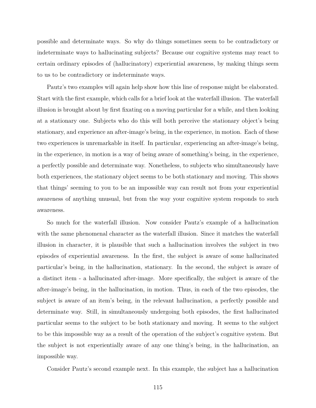possible and determinate ways. So why do things sometimes seem to be contradictory or indeterminate ways to hallucinating subjects? Because our cognitive systems may react to certain ordinary episodes of (hallucinatory) experiential awareness, by making things seem to us to be contradictory or indeterminate ways.

Pautz's two examples will again help show how this line of response might be elaborated. Start with the first example, which calls for a brief look at the waterfall illusion. The waterfall illusion is brought about by first fixating on a moving particular for a while, and then looking at a stationary one. Subjects who do this will both perceive the stationary object's being stationary, and experience an after-image's being, in the experience, in motion. Each of these two experiences is unremarkable in itself. In particular, experiencing an after-image's being, in the experience, in motion is a way of being aware of something's being, in the experience, a perfectly possible and determinate way. Nonetheless, to subjects who simultaneously have both experiences, the stationary object seems to be both stationary and moving. This shows that things' seeming to you to be an impossible way can result not from your experiential awareness of anything unusual, but from the way your cognitive system responds to such awareness.

So much for the waterfall illusion. Now consider Pautz's example of a hallucination with the same phenomenal character as the waterfall illusion. Since it matches the waterfall illusion in character, it is plausible that such a hallucination involves the subject in two episodes of experiential awareness. In the first, the subject is aware of some hallucinated particular's being, in the hallucination, stationary. In the second, the subject is aware of a distinct item - a hallucinated after-image. More specifically, the subject is aware of the after-image's being, in the hallucination, in motion. Thus, in each of the two episodes, the subject is aware of an item's being, in the relevant hallucination, a perfectly possible and determinate way. Still, in simultaneously undergoing both episodes, the first hallucinated particular seems to the subject to be both stationary and moving. It seems to the subject to be this impossible way as a result of the operation of the subject's cognitive system. But the subject is not experientially aware of any one thing's being, in the hallucination, an impossible way.

Consider Pautz's second example next. In this example, the subject has a hallucination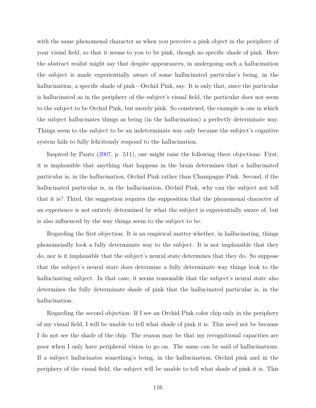with the same phenomenal character as when you perceive a pink object in the periphery of your visual field, so that it seems to you to be pink, though no specific shade of pink. Here the abstract realist might say that despite appearances, in undergoing such a hallucination the subject is made experientially aware of some hallucinated particular's being, in the hallucination, a specific shade of pink - Orchid Pink, say. It is only that, since the particular is hallucinated as in the periphery of the subject's visual field, the particular does not seem to the subject to be Orchid Pink, but merely pink. So construed, the example is one in which the subject hallucinates things as being (in the hallucination) a perfectly determinate way. Things seem to the subject to be an indeterminate way only because the subject's cognitive system fails to fully felicitously respond to the hallucination.

Inspired by Pautz [\(2007,](#page-151-6) p. 511), one might raise the following three objections: First, it is implausible that anything that happens in the brain determines that a hallucinated particular is, in the hallucination, Orchid Pink rather than Champagne Pink. Second, if the hallucinated particular is, in the hallucination, Orchid Pink, why can the subject not tell that it is? Third, the suggestion requires the supposition that the phenomenal character of an experience is not entirely determined by what the subject is experientially aware of, but is also influenced by the way things seem to the subject to be.

Regarding the first objection: It is an empirical matter whether, in hallucinating, things phenomenally look a fully determinate way to the subject. It is not implausible that they do, nor is it implausible that the subject's neural state determines that they do. So suppose that the subject's neural state does determine a fully determinate way things look to the hallucinating subject. In that case, it seems reasonable that the subject's neural state also determines the fully determinate shade of pink that the hallucinated particular is, in the hallucination.

Regarding the second objection: If I see an Orchid Pink color chip only in the periphery of my visual field, I will be unable to tell what shade of pink it is. This need not be because I do not see the shade of the chip. The reason may be that my recognitional capacities are poor when I only have peripheral vision to go on. The same can be said of hallucinations. If a subject hallucinates something's being, in the hallucination, Orchid pink and in the periphery of the visual field, the subject will be unable to tell what shade of pink it is. This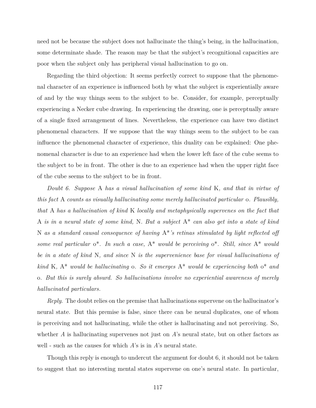need not be because the subject does not hallucinate the thing's being, in the hallucination, some determinate shade. The reason may be that the subject's recognitional capacities are poor when the subject only has peripheral visual hallucination to go on.

Regarding the third objection: It seems perfectly correct to suppose that the phenomenal character of an experience is influenced both by what the subject is experientially aware of and by the way things seem to the subject to be. Consider, for example, perceptually experiencing a Necker cube drawing. In experiencing the drawing, one is perceptually aware of a single fixed arrangement of lines. Nevertheless, the experience can have two distinct phenomenal characters. If we suppose that the way things seem to the subject to be can influence the phenomenal character of experience, this duality can be explained: One phenomenal character is due to an experience had when the lower left face of the cube seems to the subject to be in front. The other is due to an experience had when the upper right face of the cube seems to the subject to be in front.

*Doubt 6. Suppose* A *has a visual hallucination of some kind* K*, and that in virtue of this fact* A *counts as visually hallucinating some merely hallucinated particular* o*. Plausibly, that* A *has a hallucination of kind* K *locally and metaphysically supervenes on the fact that* A *is in a neural state of some kind,* N*. But a subject* A\* *can also get into a state of kind* N *as a standard causal consequence of having* A\**'s retinas stimulated by light reflected off some real particular* o\**. In such a case,* A\* *would be perceiving* o\**. Still, since* A\* *would be in a state of kind* N*, and since* N *is the supervenience base for visual hallucinations of kind* K*,* A\* *would be hallucinating* o*. So it emerges* A\* *would be experiencing both* o\* *and* o*. But this is surely absurd. So hallucinations involve no experiential awareness of merely hallucinated particulars.*

*Reply*. The doubt relies on the premise that hallucinations supervene on the hallucinator's neural state. But this premise is false, since there can be neural duplicates, one of whom is perceiving and not hallucinating, while the other is hallucinating and not perceiving. So, whether *A* is hallucinating supervenes not just on *A*'s neural state, but on other factors as well - such as the causes for which *A*'s is in *A*'s neural state.

Though this reply is enough to undercut the argument for doubt 6, it should not be taken to suggest that no interesting mental states supervene on one's neural state. In particular,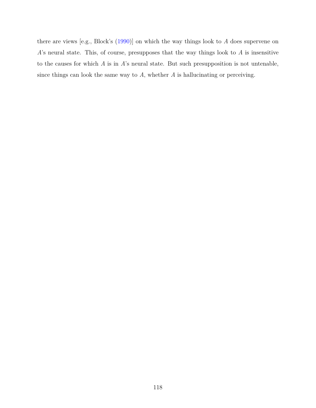there are views [e.g., Block's [\(1990\)](#page-146-2)] on which the way things look to *A* does supervene on *A*'s neural state. This, of course, presupposes that the way things look to *A* is insensitive to the causes for which *A* is in *A*'s neural state. But such presupposition is not untenable, since things can look the same way to *A*, whether *A* is hallucinating or perceiving.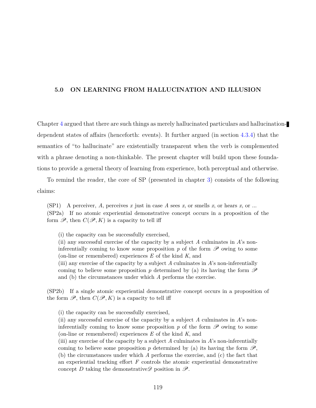## **5.0 ON LEARNING FROM HALLUCINATION AND ILLUSION**

Chapter [4](#page-76-0) argued that there are such things as merely hallucinated particulars and hallucinationdependent states of affairs (henceforth: events). It further argued (in section [4.3.4\)](#page-116-1) that the semantics of "to hallucinate" are existentially transparent when the verb is complemented with a phrase denoting a non-thinkable. The present chapter will build upon these foundations to provide a general theory of learning from experience, both perceptual and otherwise.

To remind the reader, the core of SP (presented in chapter [3\)](#page-44-0) consists of the following claims:

(SP1) A perceiver, *A*, perceives *x* just in case *A* sees *x*, or smells *x*, or hears *x*, or ... (SP2a) If no atomic experiential demonstrative concept occurs in a proposition of the form  $\mathscr{P}$ , then  $C(\mathscr{P}, K)$  is a capacity to tell iff

(i) the capacity can be successfully exercised,

(ii) any successful exercise of the capacity by a subject *A* culminates in *A*'s noninferentially coming to know some proposition  $p$  of the form  $\mathscr P$  owing to some (on-line or remembered) experiences *E* of the kind *K*, and

(iii) any exercise of the capacity by a subject *A* culminates in *A*'s non-inferentially coming to believe some proposition p determined by (a) its having the form  $\mathscr P$ and (b) the circumstances under which *A* performs the exercise.

(SP2b) If a single atomic experiential demonstrative concept occurs in a proposition of the form  $\mathscr{P}$ , then  $C(\mathscr{P}, K)$  is a capacity to tell iff

(i) the capacity can be successfully exercised,

(ii) any successful exercise of the capacity by a subject *A* culminates in *A*'s noninferentially coming to know some proposition  $p$  of the form  $\mathscr P$  owing to some (on-line or remembered) experiences *E* of the kind *K*, and

(iii) any exercise of the capacity by a subject *A* culminates in *A*'s non-inferentially coming to believe some proposition p determined by (a) its having the form  $\mathscr{P}$ , (b) the circumstances under which *A* performs the exercise, and (c) the fact that an experiential tracking effort *F* controls the atomic experiential demonstrative concept *D* taking the demonstrative  $\mathscr{D}$  position in  $\mathscr{P}$ .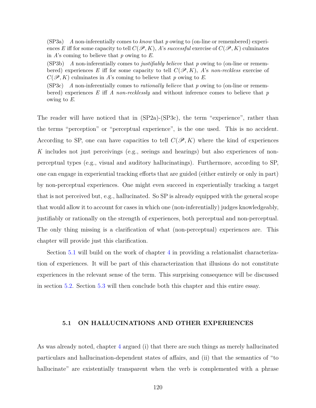(SP3a) *A* non-inferentially comes to *know* that *p* owing to (on-line or remembered) experiences *E* iff for some capacity to tell  $C(\mathcal{P}, K)$ , *A*'s *successful* exercise of  $C(\mathcal{P}, K)$  culminates in *A*'s coming to believe that *p* owing to *E*.

(SP3b) *A* non-inferentially comes to *justifiably believe* that *p* owing to (on-line or remembered) experiences E iff for some capacity to tell  $C(\mathscr{P}, K)$ , *A*'s *non-reckless* exercise of  $C(\mathscr{P}, K)$  culminates in *A*'s coming to believe that *p* owing to *E*.

(SP3c) *A* non-inferentially comes to *rationally believe* that *p* owing to (on-line or remembered) experiences *E* iff *A non-recklessly* and without inference comes to believe that *p* owing to *E*.

The reader will have noticed that in (SP2a)-(SP3c), the term "experience", rather than the terms "perception" or "perceptual experience", is the one used. This is no accident. According to SP, one can have capacities to tell  $C(\mathscr{P}, K)$  where the kind of experiences *K* includes not just perceivings (e.g., seeings and hearings) but also experiences of nonperceptual types (e.g., visual and auditory hallucinatings). Furthermore, according to SP, one can engage in experiential tracking efforts that are guided (either entirely or only in part) by non-perceptual experiences. One might even succeed in experientially tracking a target that is not perceived but, e.g., hallucinated. So SP is already equipped with the general scope that would allow it to account for cases in which one (non-inferentially) judges knowledgeably, justifiably or rationally on the strength of experiences, both perceptual and non-perceptual. The only thing missing is a clarification of what (non-perceptual) experiences are. This chapter will provide just this clarification.

Section [5.1](#page-130-0) will build on the work of chapter [4](#page-76-0) in providing a relationalist characterization of experiences. It will be part of this characterization that illusions do not constitute experiences in the relevant sense of the term. This surprising consequence will be discussed in section [5.2.](#page-135-0) Section [5.3](#page-144-0) will then conclude both this chapter and this entire essay.

## <span id="page-130-0"></span>**5.1 ON HALLUCINATIONS AND OTHER EXPERIENCES**

As was already noted, chapter [4](#page-76-0) argued (i) that there are such things as merely hallucinated particulars and hallucination-dependent states of affairs, and (ii) that the semantics of "to hallucinate" are existentially transparent when the verb is complemented with a phrase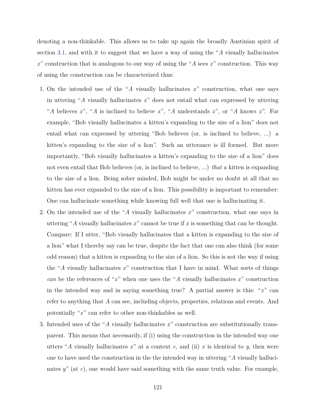denoting a non-thinkable. This allows us to take up again the broadly Austinian spirit of section [3.1,](#page-45-0) and with it to suggest that we have a way of using the "*A* visually hallucinates *x*" construction that is analogous to our way of using the "*A* sees *x*" construction. This way of using the construction can be characterized thus:

- 1. On the intended use of the "*A* visually hallucinates *x*" construction, what one says in uttering "*A* visually hallucinates *x*" does not entail what can expressed by uttering "*A* believes *x*", "*A* is inclined to believe *x*", "*A* understands *x*", or "*A* knows *x*". For example, "Bob visually hallucinates a kitten's expanding to the size of a lion" does not entail what can expressed by uttering "Bob believes (or, is inclined to believe, ...) a kitten's expanding to the size of a lion". Such an utterance is ill formed. But more importantly, "Bob visually hallucinates a kitten's expanding to the size of a lion" does not even entail that Bob believes (or, is inclined to believe, ...) *that* a kitten is expanding to the size of a lion. Being sober minded, Bob might be under no doubt at all that no kitten has ever expanded to the size of a lion. This possibility is important to remember: One can hallucinate something while knowing full well that one is hallucinating it.
- 2. On the intended use of the "*A* visually hallucinates *x*" construction, what one says in uttering "*A* visually hallucinates  $x$ " cannot be true if  $x$  is something that can be thought. Compare: If I utter, "Bob visually hallucinates that a kitten is expanding to the size of a lion" what I thereby say can be true, despite the fact that one can also think (for some odd reason) that a kitten is expanding to the size of a lion. So this is not the way if using the "*A* visually hallucinates *x*" construction that I have in mind. What sorts of things *can* be the references of "*x*" when one uses the "*A* visually hallucinates *x*" construction in the intended way and in saying something true? A partial answer is this: "*x*" can refer to anything that *A* can see, including objects, properties, relations and events. And potentially "*x*" can refer to other non-thinkables as well.
- 3. Intended uses of the "*A* visually hallucinates *x*" construction are substitutionally transparent. This means that necessarily, if (i) using the construction in the intended way one utters "*A* visually hallucinates  $x$ " at a context  $c$ , and (ii)  $x$  is identical to  $y$ , then were one to have used the construction in the the intended way in uttering "*A* visually hallucinates *y*" (at *c*), one would have said something with the same truth value. For example,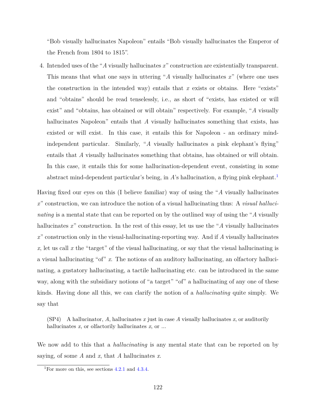"Bob visually hallucinates Napoleon" entails "Bob visually hallucinates the Emperor of the French from 1804 to 1815".

4. Intended uses of the "*A* visually hallucinates *x*" construction are existentially transparent. This means that what one says in uttering "*A* visually hallucinates *x*" (where one uses the construction in the intended way) entails that *x* exists or obtains. Here "exists" and "obtains" should be read tenselessly, i.e., as short of "exists, has existed or will exist" and "obtains, has obtained or will obtain" respectively. For example, "*A* visually hallucinates Napoleon" entails that *A* visually hallucinates something that exists, has existed or will exist. In this case, it entails this for Napoleon - an ordinary mindindependent particular. Similarly, "*A* visually hallucinates a pink elephant's flying" entails that *A* visually hallucinates something that obtains, has obtained or will obtain. In this case, it entails this for some hallucination-dependent event, consisting in some abstract mind-dependent particular's being, in *A*'s hallucination, a flying pink elephant.<sup>[1](#page-132-0)</sup>

Having fixed our eyes on this (I believe familiar) way of using the "*A* visually hallucinates *x*" construction, we can introduce the notion of a visual hallucinating thus: A *visual hallucinating* is a mental state that can be reported on by the outlined way of using the "*A* visually hallucinates x" construction. In the rest of this essay, let us use the "A visually hallucinates" *x*" construction only in the visual-hallucinating-reporting way. And if *A* visually hallucinates  $x$ , let us call  $x$  the "target" of the visual hallucinating, or say that the visual hallucinating is a visual hallucinating "of" *x*. The notions of an auditory hallucinating, an olfactory hallucinating, a gustatory hallucinating, a tactile hallucinating etc. can be introduced in the same way, along with the subsidiary notions of "a target" "of" a hallucinating of any one of these kinds. Having done all this, we can clarify the notion of a *hallucinating* quite simply. We say that

 $(SP4)$  A hallucinator, A, hallucinates x just in case A visually hallucinates x, or auditorily hallucinates *x*, or olfactorily hallucinates *x*, or ...

We now add to this that a *hallucinating* is any mental state that can be reported on by saying, of some *A* and *x*, that *A* hallucinates *x*.

<span id="page-132-0"></span><sup>&</sup>lt;sup>1</sup>For more on this, see sections  $4.2.1$  and  $4.3.4$ .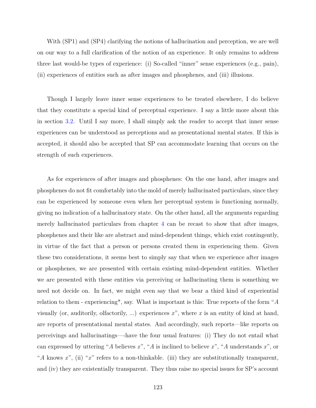With (SP1) and (SP4) clarifying the notions of hallucination and perception, we are well on our way to a full clarification of the notion of an experience. It only remains to address three last would-be types of experience: (i) So-called "inner" sense experiences (e.g., pain), (ii) experiences of entities such as after images and phosphenes, and (iii) illusions.

Though I largely leave inner sense experiences to be treated elsewhere, I do believe that they constitute a special kind of perceptual experience. I say a little more about this in section [3.2.](#page-48-0) Until I say more, I shall simply ask the reader to accept that inner sense experiences can be understood as perceptions and as presentational mental states. If this is accepted, it should also be accepted that SP can accommodate learning that occurs on the strength of such experiences.

As for experiences of after images and phosphenes: On the one hand, after images and phosphenes do not fit comfortably into the mold of merely hallucinated particulars, since they can be experienced by someone even when her perceptual system is functioning normally, giving no indication of a hallucinatory state. On the other hand, all the arguments regarding merely hallucinated particulars from chapter [4](#page-76-0) can be recast to show that after images, phosphenes and their like are abstract and mind-dependent things, which exist contingently, in virtue of the fact that a person or persons created them in experiencing them. Given these two considerations, it seems best to simply say that when we experience after images or phosphenes, we are presented with certain existing mind-dependent entities. Whether we are presented with these entities via perceiving or hallucinating them is something we need not decide on. In fact, we might even say that we bear a third kind of experiential relation to them - experiencing\*, say. What is important is this: True reports of the form "*A* visually (or, auditorily, olfactorily, ...) experiences *x*", where *x* is an entity of kind at hand, are reports of presentational mental states. And accordingly, such reports—like reports on perceivings and hallucinatings—-have the four usual features: (i) They do not entail what can expressed by uttering "*A* believes *x*", "*A* is inclined to believe *x*", "*A* understands *x*", or "*A* knows *x*", (ii) "*x*" refers to a non-thinkable. (iii) they are substitutionally transparent, and (iv) they are existentially transparent. They thus raise no special issues for SP's account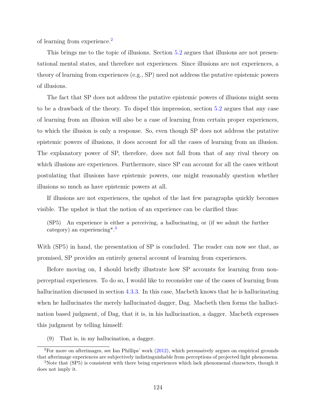of learning from experience.[2](#page-134-0)

This brings me to the topic of illusions. Section [5.2](#page-135-0) argues that illusions are not presentational mental states, and therefore not experiences. Since illusions are not experiences, a theory of learning from experiences (e.g., SP) need not address the putative epistemic powers of illusions.

The fact that SP does not address the putative epistemic powers of illusions might seem to be a drawback of the theory. To dispel this impression, section [5.2](#page-135-0) argues that any case of learning from an illusion will also be a case of learning from certain proper experiences, to which the illusion is only a response. So, even though SP does not address the putative epistemic powers of illusions, it does account for all the cases of learning from an illusion. The explanatory power of SP, therefore, does not fall from that of any rival theory on which illusions are experiences. Furthermore, since SP can account for all the cases without postulating that illusions have epistemic powers, one might reasonably question whether illusions so much as have epistemic powers at all.

If illusions are not experiences, the upshot of the last few paragraphs quickly becomes visible. The upshot is that the notion of an experience can be clarified thus:

(SP5) An experience is either a perceiving, a hallucinating, or (if we admit the further category) an experiencing  $*$ <sup>[3](#page-134-1)</sup>

With (SP5) in hand, the presentation of SP is concluded. The reader can now see that, as promised, SP provides an entirely general account of learning from experiences.

Before moving on, I should briefly illustrate how SP accounts for learning from nonperceptual experiences. To do so, I would like to reconsider one of the cases of learning from hallucination discussed in section [4.3.3.](#page-110-0) In this case, Macbeth knows that he is hallucinating when he hallucinates the merely hallucinated dagger, Dag. Macbeth then forms the hallucination based judgment, of Dag, that it is, in his hallucination, a dagger. Macbeth expresses this judgment by telling himself:

<span id="page-134-0"></span>(9) That is, in my hallucination, a dagger.

<sup>2</sup>For more on afterimages, see Ian Phillips' work [\(2012\)](#page-152-4), which persuasively argues on empirical grounds that afterimage experiences are subjectively indistinguishable from perceptions of projected light phenomena.

<span id="page-134-1"></span><sup>3</sup>Note that (SP5) is consistent with there being experiences which lack phenomenal characters, though it does not imply it.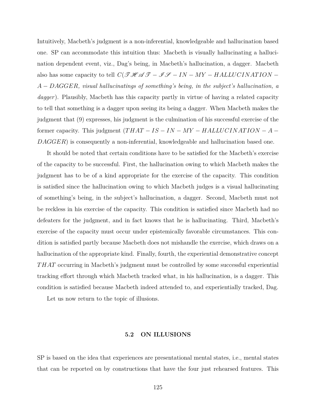Intuitively, Macbeth's judgment is a non-inferential, knowledgeable and hallucination based one. SP can accommodate this intuition thus: Macbeth is visually hallucinating a hallucination dependent event, viz., Dag's being, in Macbeth's hallucination, a dagger. Macbeth also has some capacity to tell  $C(\mathcal{THATION} - \mathcal{IFATION} - \mathcal{IFATION} - \mathcal{IFATION} - \mathcal{IFATION}$ *A* − *DAGGER, visual hallucinatings of something's being, in the subject's hallucination, a dagger*). Plausibly, Macbeth has this capacity partly in virtue of having a related capacity to tell that something is a dagger upon seeing its being a dagger. When Macbeth makes the judgment that (9) expresses, his judgment is the culmination of his successful exercise of the former capacity. This judgment  $(THAT - IS - IN - MY - HALLUCINATION - A -$ *DAGGER*) is consequently a non-inferential, knowledgeable and hallucination based one.

It should be noted that certain conditions have to be satisfied for the Macbeth's exercise of the capacity to be successful. First, the hallucination owing to which Macbeth makes the judgment has to be of a kind appropriate for the exercise of the capacity. This condition is satisfied since the hallucination owing to which Macbeth judges is a visual hallucinating of something's being, in the subject's hallucination, a dagger. Second, Macbeth must not be reckless in his exercise of the capacity. This condition is satisfied since Macbeth had no defeaters for the judgment, and in fact knows that he is hallucinating. Third, Macbeth's exercise of the capacity must occur under epistemically favorable circumstances. This condition is satisfied partly because Macbeth does not mishandle the exercise, which draws on a hallucination of the appropriate kind. Finally, fourth, the experiential demonstrative concept *T HAT* occurring in Macbeth's judgment must be controlled by some successful experiential tracking effort through which Macbeth tracked what, in his hallucination, is a dagger. This condition is satisfied because Macbeth indeed attended to, and experientially tracked, Dag.

Let us now return to the topic of illusions.

## **5.2 ON ILLUSIONS**

<span id="page-135-0"></span>SP is based on the idea that experiences are presentational mental states, i.e., mental states that can be reported on by constructions that have the four just rehearsed features. This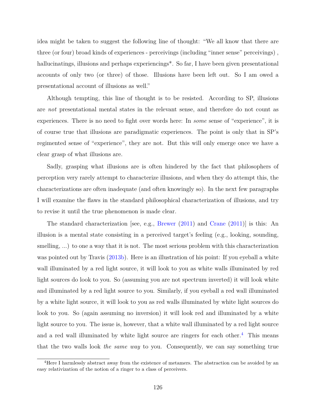idea might be taken to suggest the following line of thought: "We all know that there are three (or four) broad kinds of experiences - perceivings (including "inner sense" perceivings) , hallucinatings, illusions and perhaps experiencings<sup>\*</sup>. So far, I have been given presentational accounts of only two (or three) of those. Illusions have been left out. So I am owed a presentational account of illusions as well."

Although tempting, this line of thought is to be resisted. According to SP, illusions are *not* presentational mental states in the relevant sense, and therefore do not count as experiences. There is no need to fight over words here: In *some* sense of "experience", it is of course true that illusions are paradigmatic experiences. The point is only that in SP's regimented sense of "experience", they are not. But this will only emerge once we have a clear grasp of what illusions are.

Sadly, grasping what illusions are is often hindered by the fact that philosophers of perception very rarely attempt to characterize illusions, and when they do attempt this, the characterizations are often inadequate (and often knowingly so). In the next few paragraphs I will examine the flaws in the standard philosophical characterization of illusions, and try to revise it until the true phenomenon is made clear.

The standard characterization [see, e.g., [Brewer](#page-146-1) [\(2011\)](#page-146-1) and [Crane](#page-148-6) [\(2011\)](#page-148-6)] is this: An illusion is a mental state consisting in a perceived target's feeling (e.g., looking, sounding, smelling, ...) to one a way that it is not. The most serious problem with this characterization was pointed out by Travis  $(2013b)$ . Here is an illustration of his point: If you eyeball a white wall illuminated by a red light source, it will look to you as white walls illuminated by red light sources do look to you. So (assuming you are not spectrum inverted) it will look white and illuminated by a red light source to you. Similarly, if you eyeball a red wall illuminated by a white light source, it will look to you as red walls illuminated by white light sources do look to you. So (again assuming no inversion) it will look red and illuminated by a white light source to you. The issue is, however, that a white wall illuminated by a red light source and a red wall illuminated by white light source are ringers for each other.<sup>[4](#page-136-0)</sup> This means that the two walls look *the same way* to you. Consequently, we can say something true

<span id="page-136-0"></span><sup>&</sup>lt;sup>4</sup>Here I harmlessly abstract away from the existence of metamers. The abstraction can be avoided by an easy relativization of the notion of a ringer to a class of perceivers.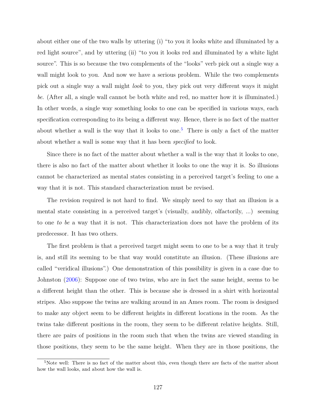about either one of the two walls by uttering (i) "to you it looks white and illuminated by a red light source", and by uttering (ii) "to you it looks red and illuminated by a white light source". This is so because the two complements of the "looks" verb pick out a single way a wall might look to you. And now we have a serious problem. While the two complements pick out a single way a wall might *look* to you, they pick out very different ways it might *be*. (After all, a single wall cannot be both white and red, no matter how it is illuminated.) In other words, a single way something looks to one can be specified in various ways, each specification corresponding to its being a different way. Hence, there is no fact of the matter about whether a wall is the way that it looks to one.<sup>[5](#page-137-0)</sup> There is only a fact of the matter about whether a wall is some way that it has been *specified* to look.

Since there is no fact of the matter about whether a wall is the way that it looks to one, there is also no fact of the matter about whether it looks to one the way it is. So illusions cannot be characterized as mental states consisting in a perceived target's feeling to one a way that it is not. This standard characterization must be revised.

The revision required is not hard to find. We simply need to say that an illusion is a mental state consisting in a perceived target's (visually, audibly, olfactorily, ...) seeming to one *to be* a way that it is not. This characterization does not have the problem of its predecessor. It has two others.

The first problem is that a perceived target might seem to one to be a way that it truly is, and still its seeming to be that way would constitute an illusion. (These illusions are called "veridical illusions".) One demonstration of this possibility is given in a case due to Johnston [\(2006\)](#page-150-3): Suppose one of two twins, who are in fact the same height, seems to be a different height than the other. This is because she is dressed in a shirt with horizontal stripes. Also suppose the twins are walking around in an Ames room. The room is designed to make any object seem to be different heights in different locations in the room. As the twins take different positions in the room, they seem to be different relative heights. Still, there are pairs of positions in the room such that when the twins are viewed standing in those positions, they seem to be the same height. When they are in those positions, the

<span id="page-137-0"></span><sup>&</sup>lt;sup>5</sup>Note well: There is no fact of the matter about this, even though there are facts of the matter about how the wall looks, and about how the wall is.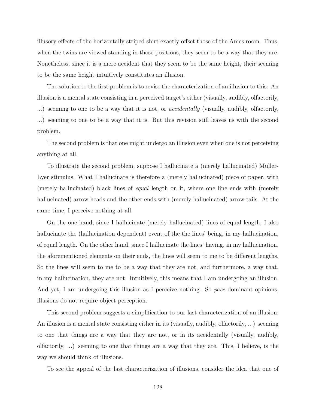illusory effects of the horizontally striped shirt exactly offset those of the Ames room. Thus, when the twins are viewed standing in those positions, they seem to be a way that they are. Nonetheless, since it is a mere accident that they seem to be the same height, their seeming to be the same height intuitively constitutes an illusion.

The solution to the first problem is to revise the characterization of an illusion to this: An illusion is a mental state consisting in a perceived target's either (visually, audibly, olfactorily, ...) seeming to one to be a way that it is not, or *accidentally* (visually, audibly, olfactorily, ...) seeming to one to be a way that it is. But this revision still leaves us with the second problem.

The second problem is that one might undergo an illusion even when one is not perceiving anything at all.

To illustrate the second problem, suppose I hallucinate a (merely hallucinated) Müller-Lyer stimulus. What I hallucinate is therefore a (merely hallucinated) piece of paper, with (merely hallucinated) black lines of *equal* length on it, where one line ends with (merely hallucinated) arrow heads and the other ends with (merely hallucinated) arrow tails. At the same time, I perceive nothing at all.

On the one hand, since I hallucinate (merely hallucinated) lines of equal length, I also hallucinate the (hallucination dependent) event of the the lines' being, in my hallucination, of equal length. On the other hand, since I hallucinate the lines' having, in my hallucination, the aforementioned elements on their ends, the lines will seem to me to be different lengths. So the lines will seem to me to be a way that they are not, and furthermore, a way that, in my hallucination, they are not. Intuitively, this means that I am undergoing an illusion. And yet, I am undergoing this illusion as I perceive nothing. So *pace* dominant opinions, illusions do not require object perception.

This second problem suggests a simplification to our last characterization of an illusion: An illusion is a mental state consisting either in its (visually, audibly, olfactorily, ...) seeming to one that things are a way that they are not, or in its accidentally (visually, audibly, olfactorily, ...) seeming to one that things are a way that they are. This, I believe, is the way we should think of illusions.

To see the appeal of the last characterization of illusions, consider the idea that one of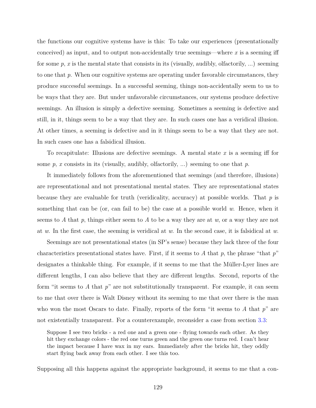the functions our cognitive systems have is this: To take our experiences (presentationally conceived) as input, and to output non-accidentally true seemings—where  $x$  is a seeming iff for some  $p, x$  is the mental state that consists in its (visually, audibly, olfactorily, ...) seeming to one that *p*. When our cognitive systems are operating under favorable circumstances, they produce successful seemings. In a successful seeming, things non-accidentally seem to us to be ways that they are. But under unfavorable circumstances, our systems produce defective seemings. An illusion is simply a defective seeming. Sometimes a seeming is defective and still, in it, things seem to be a way that they are. In such cases one has a veridical illusion. At other times, a seeming is defective and in it things seem to be a way that they are not. In such cases one has a falsidical illusion.

To recapitulate: Illusions are defective seemings. A mental state *x* is a seeming iff for some *p*, *x* consists in its (visually, audibly, olfactorily, ...) seeming to one that *p*.

It immediately follows from the aforementioned that seemings (and therefore, illusions) are representational and not presentational mental states. They are representational states because they are evaluable for truth (veridicality, accuracy) at possible worlds. That *p* is something that can be (or, can fail to be) the case at a possible world *w*. Hence, when it seems to *A* that *p*, things either seem to *A* to be a way they are at *w*, or a way they are not at *w*. In the first case, the seeming is veridical at *w*. In the second case, it is falsidical at *w*.

Seemings are not presentational states (in SP's sense) because they lack three of the four characteristics presentational states have. First, if it seems to *A* that *p*, the phrase "that *p*" designates a thinkable thing. For example, if it seems to me that the Müller-Lyer lines are different lengths, I can also believe that they are different lengths. Second, reports of the form "it seems to *A* that *p*" are not substitutionally transparent. For example, it can seem to me that over there is Walt Disney without its seeming to me that over there is the man who won the most Oscars to date. Finally, reports of the form "it seems to *A* that *p*" are not existentially transparent. For a counterexample, reconsider a case from section [3.3:](#page-51-0)

Suppose I see two bricks - a red one and a green one - flying towards each other. As they hit they exchange colors - the red one turns green and the green one turns red. I can't hear the impact because I have wax in my ears. Immediately after the bricks hit, they oddly start flying back away from each other. I see this too.

Supposing all this happens against the appropriate background, it seems to me that a con-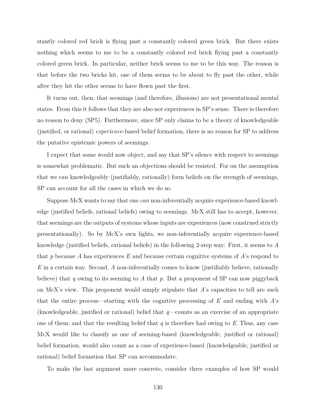stantly colored red brick is flying past a constantly colored green brick. But there exists nothing which seems to me to be a constantly colored red brick flying past a constantly colored green brick. In particular, neither brick seems to me to be this way. The reason is that before the two bricks hit, one of them seems to be about to fly past the other, while after they hit the other seems to have flown past the first.

It turns out, then, that seemings (and therefore, illusions) are not presentational mental states. From this it follows that they are also not experiences in SP's sense. There is therefore no reason to deny (SP5). Furthermore, since SP only claims to be a theory of knowledgeable (justified, or rational) *experience*-based belief formation, there is no reason for SP to address the putative epistemic powers of seemings.

I expect that some would now object, and say that SP's silence with respect to seemings is somewhat problematic. But such an objections should be resisted. For on the assumption that we can knowledgeably (justifiably, rationally) form beliefs on the strength of seemings, SP can account for all the cases in which we do so.

Suppose McX wants to say that one *can* non-inferentially acquire experience-based knowledge (justified beliefs, rational beliefs) owing to seemings. McX still has to accept, however, that seemings are the outputs of systems whose inputs are experiences (now construed strictly presentationally). So by McX's own lights, we non-inferentially acquire experience-based knowledge (justified beliefs, rational beliefs) in the following 2-step way: First, it seems to *A* that *p* because *A* has experiences *E* and because certain cognitive systems of *A*'s respond to *E* in a certain way. Second, *A* non-inferentially comes to know (justifiably believe, rationally believe) that *q* owing to its seeming to *A* that *p*. But a proponent of SP can now piggyback on McX's view. This proponent would simply stipulate that *A*'s capacities to tell are such that the entire process—starting with the cognitive processing of *E* and ending with *A*'s (knowledgeable, justified or rational) belief that *q*—counts as an exercise of an appropriate one of them; and that the resulting belief that *q* is therefore had owing to *E*. Thus, any case McX would like to classify as one of seeming-based (knowledgeable, justified or rational) belief formation, would also count as a case of experience-based (knowledgeable, justified or rational) belief formation that SP can accommodate.

To make the last argument more concrete, consider three examples of how SP would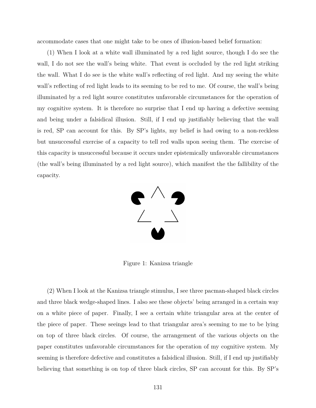accommodate cases that one might take to be ones of illusion-based belief formation:

(1) When I look at a white wall illuminated by a red light source, though I do see the wall, I do not see the wall's being white. That event is occluded by the red light striking the wall. What I do see is the white wall's reflecting of red light. And my seeing the white wall's reflecting of red light leads to its seeming to be red to me. Of course, the wall's being illuminated by a red light source constitutes unfavorable circumstances for the operation of my cognitive system. It is therefore no surprise that I end up having a defective seeming and being under a falsidical illusion. Still, if I end up justifiably believing that the wall is red, SP can account for this. By SP's lights, my belief is had owing to a non-reckless but unsuccessful exercise of a capacity to tell red walls upon seeing them. The exercise of this capacity is unsuccessful because it occurs under epistemically unfavorable circumstances (the wall's being illuminated by a red light source), which manifest the the fallibility of the capacity.



Figure 1: Kanizsa triangle

(2) When I look at the Kanizsa triangle stimulus, I see three pacman-shaped black circles and three black wedge-shaped lines. I also see these objects' being arranged in a certain way on a white piece of paper. Finally, I see a certain white triangular area at the center of the piece of paper. These seeings lead to that triangular area's seeming to me to be lying on top of three black circles. Of course, the arrangement of the various objects on the paper constitutes unfavorable circumstances for the operation of my cognitive system. My seeming is therefore defective and constitutes a falsidical illusion. Still, if I end up justifiably believing that something is on top of three black circles, SP can account for this. By SP's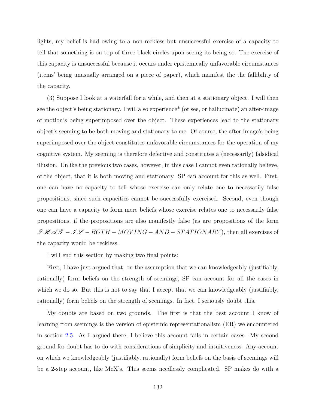lights, my belief is had owing to a non-reckless but unsuccessful exercise of a capacity to tell that something is on top of three black circles upon seeing its being so. The exercise of this capacity is unsuccessful because it occurs under epistemically unfavorable circumstances (items' being unusually arranged on a piece of paper), which manifest the the fallibility of the capacity.

(3) Suppose I look at a waterfall for a while, and then at a stationary object. I will then see the object's being stationary. I will also experience\* (or see, or hallucinate) an after-image of motion's being superimposed over the object. These experiences lead to the stationary object's seeming to be both moving and stationary to me. Of course, the after-image's being superimposed over the object constitutes unfavorable circumstances for the operation of my cognitive system. My seeming is therefore defective and constitutes a (necessarily) falsidical illusion. Unlike the previous two cases, however, in this case I cannot even rationally believe, of the object, that it is both moving and stationary. SP can account for this as well. First, one can have no capacity to tell whose exercise can only relate one to necessarily false propositions, since such capacities cannot be successfully exercised. Second, even though one can have a capacity to form mere beliefs whose exercise relates one to necessarily false propositions, if the propositions are also manifestly false (as are propositions of the form  $\mathcal{THA}$   $\mathcal{T} - \mathcal{IF} - BOTH - MOVING - AND - STATIONARY$ , then all exercises of the capacity would be reckless.

I will end this section by making two final points:

First, I have just argued that, on the assumption that we can knowledgeably (justifiably, rationally) form beliefs on the strength of seemings, SP can account for all the cases in which we do so. But this is not to say that I accept that we can knowledgeably (justifiably, rationally) form beliefs on the strength of seemings. In fact, I seriously doubt this.

My doubts are based on two grounds. The first is that the best account I know of learning from seemings is the version of epistemic representationalism (ER) we encountered in section [2.5.](#page-41-0) As I argued there, I believe this account fails in certain cases. My second ground for doubt has to do with considerations of simplicity and intuitiveness. Any account on which we knowledgeably (justifiably, rationally) form beliefs on the basis of seemings will be a 2-step account, like McX's. This seems needlessly complicated. SP makes do with a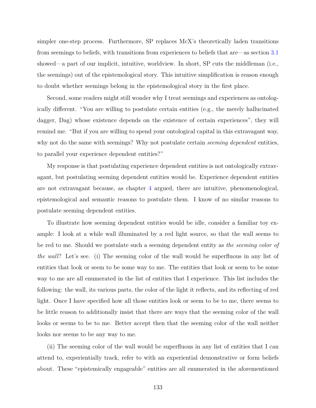simpler one-step process. Furthermore, SP replaces McX's theoretically laden transitions from seemings to beliefs, with transitions from experiences to beliefs that are—as section [3.1](#page-45-0) showed—a part of our implicit, intuitive, worldview. In short, SP cuts the middleman (i.e., the seemings) out of the epistemological story. This intuitive simplification is reason enough to doubt whether seemings belong in the epistemological story in the first place.

Second, some readers might still wonder why I treat seemings and experiences as ontologically different. "You are willing to postulate certain entities (e.g., the merely hallucinated dagger, Dag) whose existence depends on the existence of certain experiences", they will remind me. "But if you are willing to spend your ontological capital in this extravagant way, why not do the same with seemings? Why not postulate certain *seeming dependent* entities, to parallel your experience dependent entities?"

My response is that postulating experience dependent entities is not ontologically extravagant, but postulating seeming dependent entities would be. Experience dependent entities are not extravagant because, as chapter [4](#page-76-0) argued, there are intuitive, phenomenological, epistemological and semantic reasons to postulate them. I know of no similar reasons to postulate seeming dependent entities.

To illustrate how seeming dependent entities would be idle, consider a familiar toy example: I look at a while wall illuminated by a red light source, so that the wall seems to be red to me. Should we postulate such a seeming dependent entity as *the seeming color of the wall*? Let's see. (i) The seeming color of the wall would be superfluous in any list of entities that look or seem to be some way to me. The entities that look or seem to be some way to me are all enumerated in the list of entities that I experience. This list includes the following: the wall, its various parts, the color of the light it reflects, and its reflecting of red light. Once I have specified how all those entities look or seem to be to me, there seems to be little reason to additionally insist that there are ways that the seeming color of the wall looks or seems to be to me. Better accept then that the seeming color of the wall neither looks nor seems to be any way to me.

(ii) The seeming color of the wall would be superfluous in any list of entities that I can attend to, experientially track, refer to with an experiential demonstrative or form beliefs about. These "epistemically engageable" entities are all enumerated in the aforementioned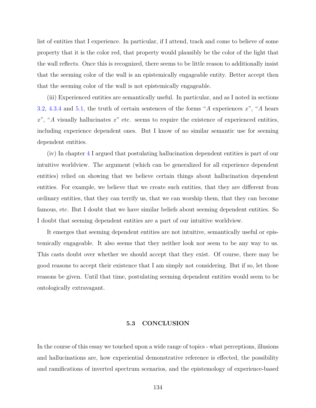list of entities that I experience. In particular, if I attend, track and come to believe of some property that it is the color red, that property would plausibly be the color of the light that the wall reflects. Once this is recognized, there seems to be little reason to additionally insist that the seeming color of the wall is an epistemically engageable entity. Better accept then that the seeming color of the wall is not epistemically engageable.

(iii) Experienced entities are semantically useful. In particular, and as I noted in sections [3.2,](#page-48-0) [4.3.4](#page-116-0) and [5.1,](#page-130-0) the truth of certain sentences of the forms "*A* experiences *x*", "*A* hears *x*", "*A* visually hallucinates *x*" etc. seems to require the existence of experienced entities, including experience dependent ones. But I know of no similar semantic use for seeming dependent entities.

(iv) In chapter [4](#page-76-0) I argued that postulating hallucination dependent entities is part of our intuitive worldview. The argument (which can be generalized for all experience dependent entities) relied on showing that we believe certain things about hallucination dependent entities. For example, we believe that we create such entities, that they are different from ordinary entities, that they can terrify us, that we can worship them, that they can become famous, etc. But I doubt that we have similar beliefs about seeming dependent entities. So I doubt that seeming dependent entities are a part of our intuitive worldview.

It emerges that seeming dependent entities are not intuitive, semantically useful or epistemically engageable. It also seems that they neither look nor seem to be any way to us. This casts doubt over whether we should accept that they exist. Of course, there may be good reasons to accept their existence that I am simply not considering. But if so, let those reasons be given. Until that time, postulating seeming dependent entities would seem to be ontologically extravagant.

## **5.3 CONCLUSION**

In the course of this essay we touched upon a wide range of topics - what perceptions, illusions and hallucinations are, how experiential demonstrative reference is effected, the possibility and ramifications of inverted spectrum scenarios, and the epistemology of experience-based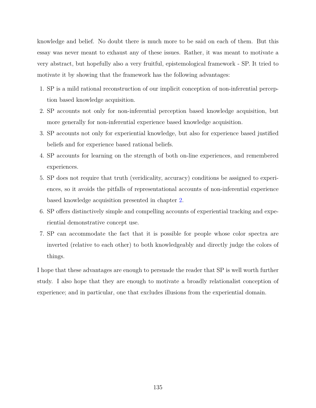knowledge and belief. No doubt there is much more to be said on each of them. But this essay was never meant to exhaust any of these issues. Rather, it was meant to motivate a very abstract, but hopefully also a very fruitful, epistemological framework - SP. It tried to motivate it by showing that the framework has the following advantages:

- 1. SP is a mild rational reconstruction of our implicit conception of non-inferential perception based knowledge acquisition.
- 2. SP accounts not only for non-inferential perception based knowledge acquisition, but more generally for non-inferential experience based knowledge acquisition.
- 3. SP accounts not only for experiential knowledge, but also for experience based justified beliefs and for experience based rational beliefs.
- 4. SP accounts for learning on the strength of both on-line experiences, and remembered experiences.
- 5. SP does not require that truth (veridicality, accuracy) conditions be assigned to experiences, so it avoids the pitfalls of representational accounts of non-inferential experience based knowledge acquisition presented in chapter [2.](#page-14-0)
- 6. SP offers distinctively simple and compelling accounts of experiential tracking and experiential demonstrative concept use.
- 7. SP can accommodate the fact that it is possible for people whose color spectra are inverted (relative to each other) to both knowledgeably and directly judge the colors of things.

I hope that these advantages are enough to persuade the reader that SP is well worth further study. I also hope that they are enough to motivate a broadly relationalist conception of experience; and in particular, one that excludes illusions from the experiential domain.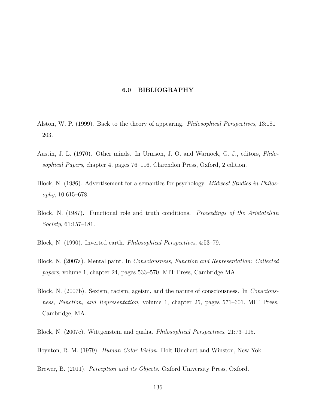## **6.0 BIBLIOGRAPHY**

- Alston, W. P. (1999). Back to the theory of appearing. *Philosophical Perspectives*, 13:181– 203.
- Austin, J. L. (1970). Other minds. In Urmson, J. O. and Warnock, G. J., editors, *Philosophical Papers*, chapter 4, pages 76–116. Clarendon Press, Oxford, 2 edition.
- Block, N. (1986). Advertisement for a semantics for psychology. *Midwest Studies in Philosophy*, 10:615–678.
- Block, N. (1987). Functional role and truth conditions. *Proceedings of the Aristotelian Society*, 61:157–181.
- Block, N. (1990). Inverted earth. *Philosophical Perspectives*, 4:53–79.
- Block, N. (2007a). Mental paint. In *Consciousness, Function and Representation: Collected papers*, volume 1, chapter 24, pages 533–570. MIT Press, Cambridge MA.
- Block, N. (2007b). Sexism, racism, ageism, and the nature of consciousness. In *Consciousness, Function, and Representation*, volume 1, chapter 25, pages 571–601. MIT Press, Cambridge, MA.
- Block, N. (2007c). Wittgenstein and qualia. *Philosophical Perspectives*, 21:73–115.
- Boynton, R. M. (1979). *Human Color Vision*. Holt Rinehart and Winston, New Yok.
- Brewer, B. (2011). *Perception and its Objects*. Oxford University Press, Oxford.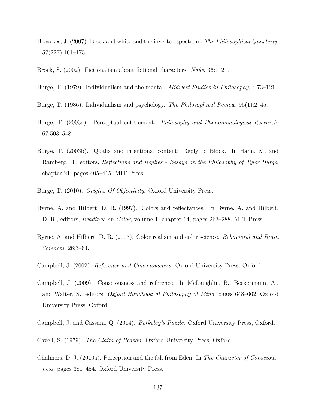- Broackes, J. (2007). Black and white and the inverted spectrum. *The Philosophical Quarterly*, 57(227):161–175.
- Brock, S. (2002). Fictionalism about fictional characters. *Noûs*, 36:1–21.
- Burge, T. (1979). Individualism and the mental. *Midwest Studies in Philosophy*, 4:73–121.
- Burge, T. (1986). Individualism and psychology. *The Philosophical Review*, 95(1):2–45.
- Burge, T. (2003a). Perceptual entitlement. *Philosophy and Phenomenological Research*, 67:503–548.
- Burge, T. (2003b). Qualia and intentional content: Reply to Block. In Hahn, M. and Ramberg, B., editors, *Reflections and Replies - Essays on the Philosophy of Tyler Burge*, chapter 21, pages 405–415. MIT Press.
- Burge, T. (2010). *Origins Of Objectivity*. Oxford University Press.
- Byrne, A. and Hilbert, D. R. (1997). Colors and reflectances. In Byrne, A. and Hilbert, D. R., editors, *Readings on Color*, volume 1, chapter 14, pages 263–288. MIT Press.
- Byrne, A. and Hilbert, D. R. (2003). Color realism and color science. *Behavioral and Brain Sciences*, 26:3–64.
- Campbell, J. (2002). *Reference and Consciousness*. Oxford University Press, Oxford.
- Campbell, J. (2009). Consciousness and reference. In McLaughlin, B., Beckermann, A., and Walter, S., editors, *Oxford Handbook of Philosophy of Mind*, pages 648–662. Oxford University Press, Oxford.
- Campbell, J. and Cassam, Q. (2014). *Berkeley's Puzzle*. Oxford University Press, Oxford.
- Cavell, S. (1979). *The Claim of Reason*. Oxford University Press, Oxford.
- Chalmers, D. J. (2010a). Perception and the fall from Eden. In *The Character of Consciousness*, pages 381–454. Oxford University Press.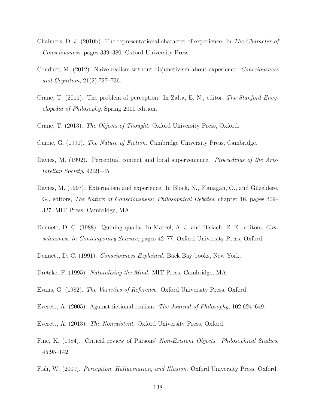- Chalmers, D. J. (2010b). The representational character of experience. In *The Character of Consciousness*, pages 339–380. Oxford University Press.
- Conduct, M. (2012). Naive realism without disjunctivism about experience. *Consciousness and Cognition*, 21(2):727–736.
- Crane, T. (2011). The problem of perception. In Zalta, E. N., editor, *The Stanford Encyclopedia of Philosophy*. Spring 2011 edition.
- Crane, T. (2013). *The Objects of Thought*. Oxford University Press, Oxford.
- Currie, G. (1990). *The Nature of Fiction*. Cambridge University Press, Cambridge.
- Davies, M. (1992). Perceptual content and local supervenience. *Proceedings of the Aristotelian Society*, 92:21–45.
- Davies, M. (1997). Externalism and experience. In Block, N., Flanagan, O., and Güzeldere, G., editors, *The Nature of Consciousness: Philosophical Debates*, chapter 16, pages 309– 327. MIT Press, Cambridge, MA.
- Dennett, D. C. (1988). Quining qualia. In Marcel, A. J. and Bisiach, E. E., editors, *Consciousness in Contemporary Science*, pages 42–77. Oxford University Press, Oxford.
- Dennett, D. C. (1991). *Consciouness Explained*. Back Bay books, New York.
- Dretske, F. (1995). *Naturalizing the Mind*. MIT Press, Cambridge, MA.
- Evans, G. (1982). *The Varieties of Reference*. Oxford University Press, Oxford.
- Everett, A. (2005). Against fictional realism. *The Journal of Philosophy*, 102:624–649.
- Everett, A. (2013). *The Nonexistent*. Oxford University Press, Oxford.
- Fine, K. (1984). Critical review of Parsons' *Non-Existent Objects*. *Philosophical Studies*, 45:95–142.
- Fish, W. (2009). *Perception, Hallucination, and Illusion*. Oxford University Press, Oxford.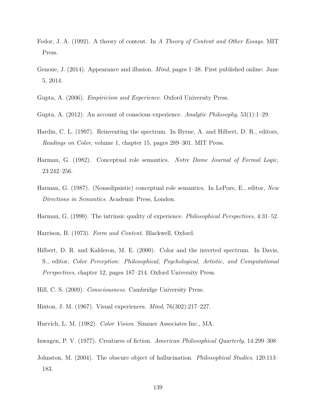- Fodor, J. A. (1992). A theory of content. In *A Theory of Content and Other Essays*. MIT Press.
- Genone, J. (2014). Appearance and illusion. *Mind*, pages 1–38. First published online: June 5, 2014.
- Gupta, A. (2006). *Empiricism and Experience*. Oxford University Press.
- Gupta, A. (2012). An account of conscious experience. *Analytic Philosophy*, 53(1):1–29.
- Hardin, C. L. (1997). Reinventing the spectrum. In Byrne, A. and Hilbert, D. R., editors, *Readings on Color*, volume 1, chapter 15, pages 289–301. MIT Press.
- Harman, G. (1982). Conceptual role semantics. *Notre Dame Journal of Formal Logic*, 23:242–256.
- Harman, G. (1987). (Nonsolipsistic) conceptual role semantics. In LePore, E., editor, *New Directions in Semantics*. Academic Press, London.
- Harman, G. (1990). The intrinsic quality of experience. *Philosophical Perspectives*, 4:31–52.
- Harrison, B. (1973). *Form and Content*. Blackwell, Oxford.
- Hilbert, D. R. and Kalderon, M. E. (2000). Color and the inverted spectrum. In Davis, S., editor, *Color Perception: Philosophical, Psychological, Artistic, and Computational Perspectives*, chapter 12, pages 187–214. Oxford University Press.
- Hill, C. S. (2009). *Consciousness*. Cambridge University Press.
- Hinton, J. M. (1967). Visual experiences. *Mind*, 76(302):217–227.
- Hurvich, L. M. (1982). *Color Vision*. Sinauer Associates Inc., MA.
- Inwagen, P. V. (1977). Creatures of fiction. *American Philosophical Quarterly*, 14:299–308.
- Johnston, M. (2004). The obscure object of hallucination. *Philosophical Studies*, 120:113– 183.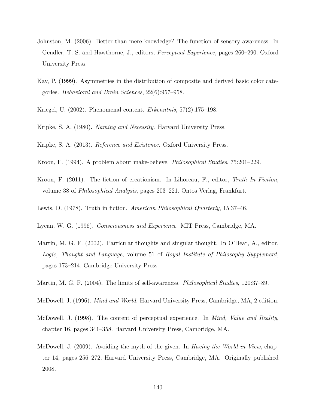- Johnston, M. (2006). Better than mere knowledge? The function of sensory awareness. In Gendler, T. S. and Hawthorne, J., editors, *Perceptual Experience*, pages 260–290. Oxford University Press.
- Kay, P. (1999). Asymmetries in the distribution of composite and derived basic color categories. *Behavioral and Brain Sciences*, 22(6):957–958.
- Kriegel, U. (2002). Phenomenal content. *Erkenntnis*, 57(2):175–198.
- Kripke, S. A. (1980). *Naming and Necessity*. Harvard University Press.
- Kripke, S. A. (2013). *Reference and Existence*. Oxford University Press.
- Kroon, F. (1994). A problem about make-believe. *Philosophical Studies*, 75:201–229.
- Kroon, F. (2011). The fiction of creationism. In Lihoreau, F., editor, *Truth In Fiction*, volume 38 of *Philosophical Analysis*, pages 203–221. Ontos Verlag, Frankfurt.
- Lewis, D. (1978). Truth in fiction. *American Philosophical Quarterly*, 15:37–46.
- Lycan, W. G. (1996). *Consciousness and Experience*. MIT Press, Cambridge, MA.
- Martin, M. G. F. (2002). Particular thoughts and singular thought. In O'Hear, A., editor, *Logic, Thought and Language*, volume 51 of *Royal Institute of Philosophy Supplement*, pages 173–214. Cambridge University Press.
- Martin, M. G. F. (2004). The limits of self-awareness. *Philosophical Studies*, 120:37–89.
- McDowell, J. (1996). *Mind and World*. Harvard University Press, Cambridge, MA, 2 edition.
- McDowell, J. (1998). The content of perceptual experience. In *Mind, Value and Reality*, chapter 16, pages 341–358. Harvard University Press, Cambridge, MA.
- McDowell, J. (2009). Avoiding the myth of the given. In *Having the World in View*, chapter 14, pages 256–272. Harvard University Press, Cambridge, MA. Originally published 2008.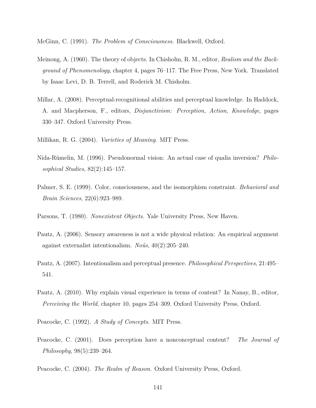McGinn, C. (1991). *The Problem of Consciousness*. Blackwell, Oxford.

- Meinong, A. (1960). The theory of objects. In Chisholm, R. M., editor, *Realism and the Background of Phenomenology*, chapter 4, pages 76–117. The Free Press, New York. Translated by Isaac Levi, D. B. Terrell, and Roderick M. Chisholm.
- Millar, A. (2008). Perceptual-recognitional abilities and perceptual knowledge. In Haddock, A. and Macpherson, F., editors, *Disjunctivism: Perception, Action, Knowledge*, pages 330–347. Oxford University Press.
- Millikan, R. G. (2004). *Varieties of Meaning*. MIT Press.
- Nida-Rümelin, M. (1996). Pseudonormal vision: An actual case of qualia inversion? *Philosophical Studies*, 82(2):145–157.
- Palmer, S. E. (1999). Color, consciousness, and the isomorphism constraint. *Behavioral and Brain Sciences*, 22(6):923–989.
- Parsons, T. (1980). *Nonexistent Objects*. Yale University Press, New Haven.
- Pautz, A. (2006). Sensory awareness is not a wide physical relation: An empirical argument against externalist intentionalism. *Noûs*, 40(2):205–240.
- Pautz, A. (2007). Intentionalism and perceptual presence. *Philosophical Perspectives*, 21:495– 541.
- Pautz, A. (2010). Why explain visual experience in terms of content? In Nanay, B., editor, *Perceiving the World*, chapter 10, pages 254–309. Oxford University Press, Oxford.
- Peacocke, C. (1992). *A Study of Concepts*. MIT Press.
- Peacocke, C. (2001). Does perception have a nonconceptual content? *The Journal of Philosophy*, 98(5):239–264.
- Peacocke, C. (2004). *The Realm of Reason*. Oxford University Press, Oxford.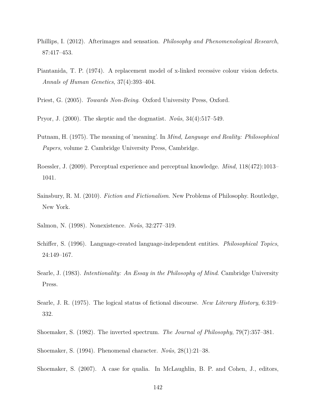- Phillips, I. (2012). Afterimages and sensation. *Philosophy and Phenomenological Research*, 87:417–453.
- Piantanida, T. P. (1974). A replacement model of x-linked recessive colour vision defects. *Annals of Human Genetics*, 37(4):393–404.
- Priest, G. (2005). *Towards Non-Being*. Oxford University Press, Oxford.
- Pryor, J. (2000). The skeptic and the dogmatist. *Noûs*, 34(4):517–549.
- Putnam, H. (1975). The meaning of 'meaning'. In *Mind, Language and Reality: Philosophical Papers*, volume 2. Cambridge University Press, Cambridge.
- Roessler, J. (2009). Perceptual experience and perceptual knowledge. *Mind*, 118(472):1013– 1041.
- Sainsbury, R. M. (2010). *Fiction and Fictionalism*. New Problems of Philosophy. Routledge, New York.
- Salmon, N. (1998). Nonexistence. *Noûs*, 32:277–319.
- Schiffer, S. (1996). Language-created language-independent entities. *Philosophical Topics*, 24:149–167.
- Searle, J. (1983). *Intentionality: An Essay in the Philosophy of Mind*. Cambridge University Press.
- Searle, J. R. (1975). The logical status of fictional discourse. *New Literary History*, 6:319– 332.
- Shoemaker, S. (1982). The inverted spectrum. *The Journal of Philosophy*, 79(7):357–381.
- Shoemaker, S. (1994). Phenomenal character. *Noûs*, 28(1):21–38.
- Shoemaker, S. (2007). A case for qualia. In McLaughlin, B. P. and Cohen, J., editors,